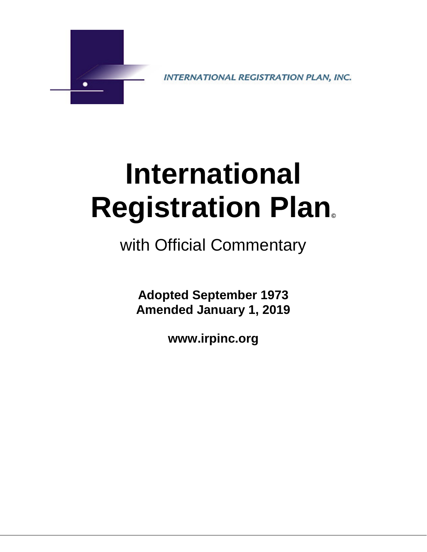

INTERNATIONAL REGISTRATION PLAN, INC.

# **International Registration Plan©**

with Official Commentary

**Adopted September 1973 Amended January 1, 2019**

**www.irpinc.org**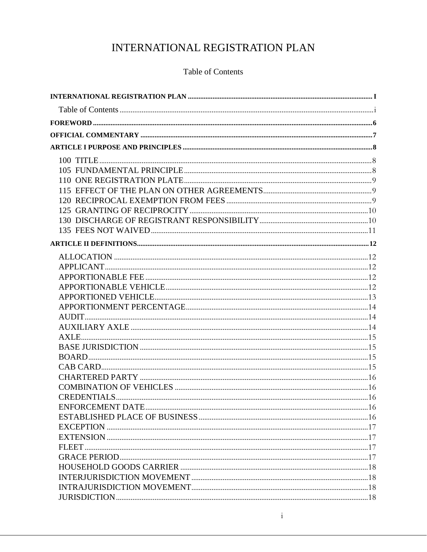# INTERNATIONAL REGISTRATION PLAN

## Table of Contents

<span id="page-1-1"></span><span id="page-1-0"></span>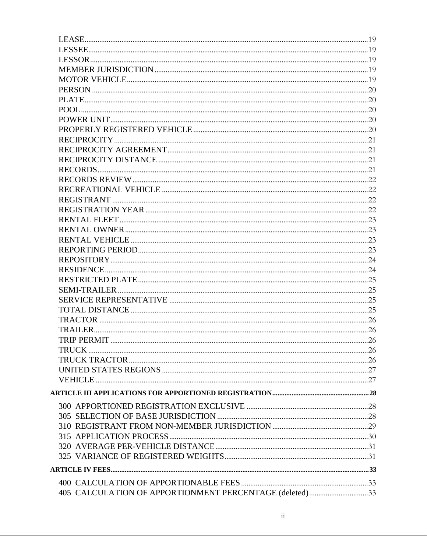| 405 CALCULATION OF APPORTIONMENT PERCENTAGE (deleted)33 |  |
|---------------------------------------------------------|--|
|                                                         |  |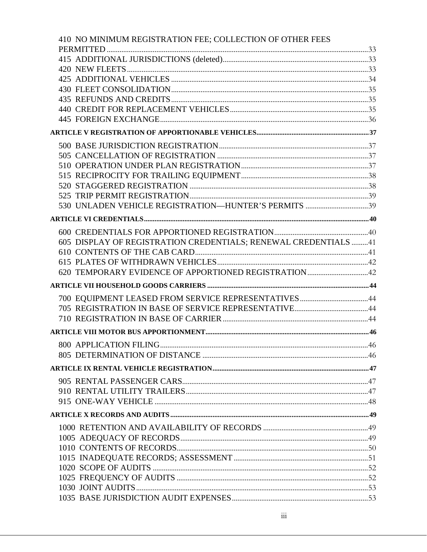| 410 NO MINIMUM REGISTRATION FEE; COLLECTION OF OTHER FEES       |      |
|-----------------------------------------------------------------|------|
|                                                                 |      |
|                                                                 |      |
|                                                                 |      |
|                                                                 |      |
|                                                                 |      |
|                                                                 |      |
|                                                                 |      |
|                                                                 |      |
|                                                                 |      |
|                                                                 |      |
|                                                                 |      |
|                                                                 |      |
|                                                                 |      |
|                                                                 |      |
|                                                                 |      |
|                                                                 |      |
|                                                                 |      |
|                                                                 |      |
| 605 DISPLAY OF REGISTRATION CREDENTIALS; RENEWAL CREDENTIALS 41 |      |
|                                                                 |      |
|                                                                 |      |
|                                                                 |      |
|                                                                 |      |
|                                                                 |      |
|                                                                 |      |
|                                                                 |      |
|                                                                 |      |
| 800 APPLICATION FILING.                                         | . 46 |
|                                                                 |      |
|                                                                 |      |
|                                                                 |      |
|                                                                 |      |
|                                                                 |      |
|                                                                 |      |
|                                                                 |      |
|                                                                 |      |
|                                                                 |      |
|                                                                 |      |
|                                                                 |      |
|                                                                 |      |
|                                                                 |      |
|                                                                 |      |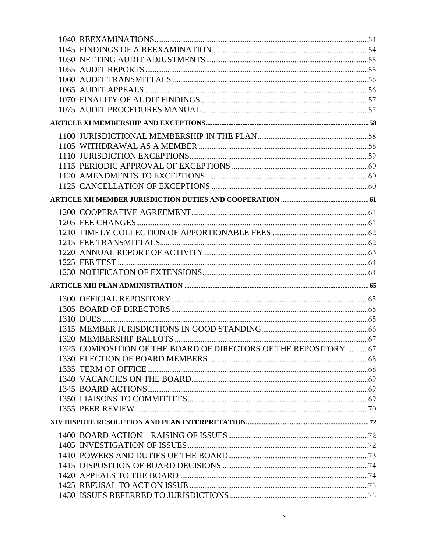| 1325 COMPOSITION OF THE BOARD OF DIRECTORS OF THE REPOSITORY  67 |  |
|------------------------------------------------------------------|--|
|                                                                  |  |
|                                                                  |  |
|                                                                  |  |
|                                                                  |  |
|                                                                  |  |
|                                                                  |  |
|                                                                  |  |
|                                                                  |  |
|                                                                  |  |
|                                                                  |  |
|                                                                  |  |
|                                                                  |  |
|                                                                  |  |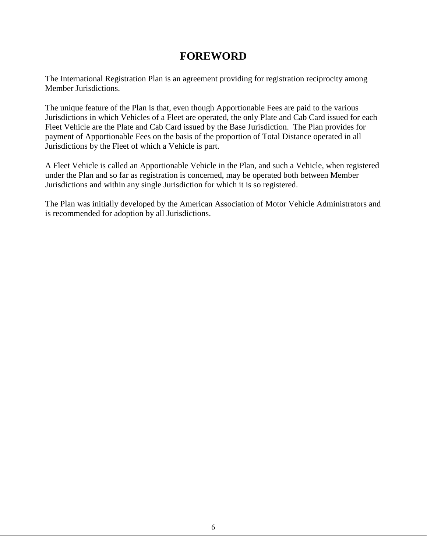# **FOREWORD**

<span id="page-6-0"></span>The International Registration Plan is an agreement providing for registration reciprocity among Member Jurisdictions.

The unique feature of the Plan is that, even though Apportionable Fees are paid to the various Jurisdictions in which Vehicles of a Fleet are operated, the only Plate and Cab Card issued for each Fleet Vehicle are the Plate and Cab Card issued by the Base Jurisdiction. The Plan provides for payment of Apportionable Fees on the basis of the proportion of Total Distance operated in all Jurisdictions by the Fleet of which a Vehicle is part.

A Fleet Vehicle is called an Apportionable Vehicle in the Plan, and such a Vehicle, when registered under the Plan and so far as registration is concerned, may be operated both between Member Jurisdictions and within any single Jurisdiction for which it is so registered.

The Plan was initially developed by the American Association of Motor Vehicle Administrators and is recommended for adoption by all Jurisdictions.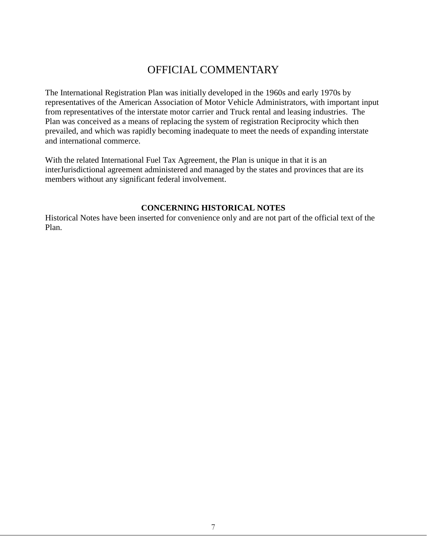# OFFICIAL COMMENTARY

<span id="page-7-0"></span>The International Registration Plan was initially developed in the 1960s and early 1970s by representatives of the American Association of Motor Vehicle Administrators, with important input from representatives of the interstate motor carrier and Truck rental and leasing industries. The Plan was conceived as a means of replacing the system of registration Reciprocity which then prevailed, and which was rapidly becoming inadequate to meet the needs of expanding interstate and international commerce.

With the related International Fuel Tax Agreement, the Plan is unique in that it is an interJurisdictional agreement administered and managed by the states and provinces that are its members without any significant federal involvement.

## **CONCERNING HISTORICAL NOTES**

Historical Notes have been inserted for convenience only and are not part of the official text of the Plan.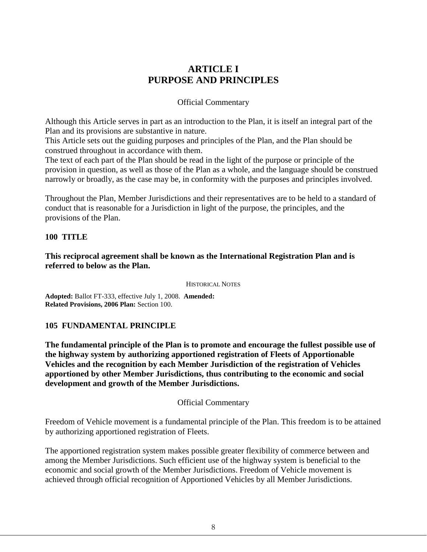## **ARTICLE I PURPOSE AND PRINCIPLES**

## Official Commentary

<span id="page-8-0"></span>Although this Article serves in part as an introduction to the Plan, it is itself an integral part of the Plan and its provisions are substantive in nature.

This Article sets out the guiding purposes and principles of the Plan, and the Plan should be construed throughout in accordance with them.

The text of each part of the Plan should be read in the light of the purpose or principle of the provision in question, as well as those of the Plan as a whole, and the language should be construed narrowly or broadly, as the case may be, in conformity with the purposes and principles involved.

Throughout the Plan, Member Jurisdictions and their representatives are to be held to a standard of conduct that is reasonable for a Jurisdiction in light of the purpose, the principles, and the provisions of the Plan.

## <span id="page-8-1"></span>**100 TITLE**

## **This reciprocal agreement shall be known as the International Registration Plan and is referred to below as the Plan.**

HISTORICAL NOTES

**Adopted:** Ballot FT-333, effective July 1, 2008. **Amended: Related Provisions, 2006 Plan:** Section 100.

## <span id="page-8-2"></span>**105 FUNDAMENTAL PRINCIPLE**

**The fundamental principle of the Plan is to promote and encourage the fullest possible use of the highway system by authorizing apportioned registration of Fleets of Apportionable Vehicles and the recognition by each Member Jurisdiction of the registration of Vehicles apportioned by other Member Jurisdictions, thus contributing to the economic and social development and growth of the Member Jurisdictions.**

## Official Commentary

Freedom of Vehicle movement is a fundamental principle of the Plan. This freedom is to be attained by authorizing apportioned registration of Fleets.

The apportioned registration system makes possible greater flexibility of commerce between and among the Member Jurisdictions. Such efficient use of the highway system is beneficial to the economic and social growth of the Member Jurisdictions. Freedom of Vehicle movement is achieved through official recognition of Apportioned Vehicles by all Member Jurisdictions.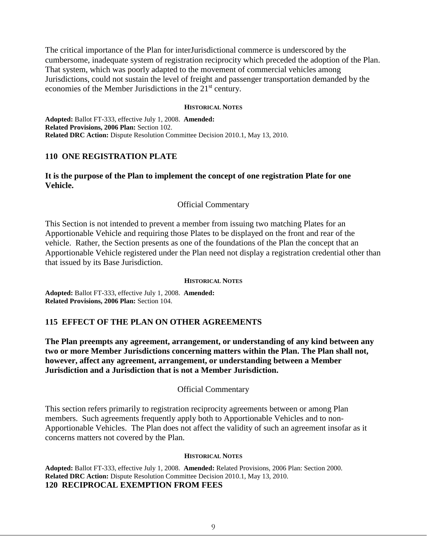The critical importance of the Plan for interJurisdictional commerce is underscored by the cumbersome, inadequate system of registration reciprocity which preceded the adoption of the Plan. That system, which was poorly adapted to the movement of commercial vehicles among Jurisdictions, could not sustain the level of freight and passenger transportation demanded by the economies of the Member Jurisdictions in the 21<sup>st</sup> century.

#### **HISTORICAL NOTES**

**Adopted:** Ballot FT-333, effective July 1, 2008. **Amended: Related Provisions, 2006 Plan:** Section 102. **Related DRC Action:** Dispute Resolution Committee Decision 2010.1, May 13, 2010.

## <span id="page-9-0"></span>**110 ONE REGISTRATION PLATE**

## **It is the purpose of the Plan to implement the concept of one registration Plate for one Vehicle.**

## Official Commentary

This Section is not intended to prevent a member from issuing two matching Plates for an Apportionable Vehicle and requiring those Plates to be displayed on the front and rear of the vehicle. Rather, the Section presents as one of the foundations of the Plan the concept that an Apportionable Vehicle registered under the Plan need not display a registration credential other than that issued by its Base Jurisdiction.

#### **HISTORICAL NOTES**

**Adopted:** Ballot FT-333, effective July 1, 2008. **Amended: Related Provisions, 2006 Plan:** Section 104.

## <span id="page-9-1"></span>**115 EFFECT OF THE PLAN ON OTHER AGREEMENTS**

**The Plan preempts any agreement, arrangement, or understanding of any kind between any two or more Member Jurisdictions concerning matters within the Plan. The Plan shall not, however, affect any agreement, arrangement, or understanding between a Member Jurisdiction and a Jurisdiction that is not a Member Jurisdiction.** 

## Official Commentary

This section refers primarily to registration reciprocity agreements between or among Plan members. Such agreements frequently apply both to Apportionable Vehicles and to non-Apportionable Vehicles. The Plan does not affect the validity of such an agreement insofar as it concerns matters not covered by the Plan.

#### **HISTORICAL NOTES**

<span id="page-9-2"></span>**Adopted:** Ballot FT-333, effective July 1, 2008. **Amended:** Related Provisions, 2006 Plan: Section 2000. **Related DRC Action:** Dispute Resolution Committee Decision 2010.1, May 13, 2010. **120 RECIPROCAL EXEMPTION FROM FEES**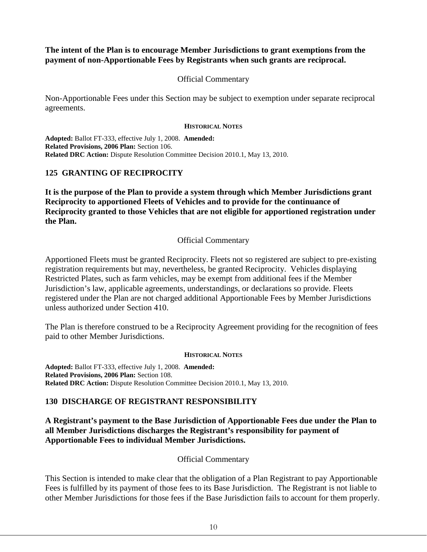## **The intent of the Plan is to encourage Member Jurisdictions to grant exemptions from the payment of non-Apportionable Fees by Registrants when such grants are reciprocal.**

## Official Commentary

Non-Apportionable Fees under this Section may be subject to exemption under separate reciprocal agreements.

#### **HISTORICAL NOTES**

**Adopted:** Ballot FT-333, effective July 1, 2008. **Amended: Related Provisions, 2006 Plan:** Section 106. **Related DRC Action:** Dispute Resolution Committee Decision 2010.1, May 13, 2010.

## <span id="page-10-0"></span>**125 GRANTING OF RECIPROCITY**

**It is the purpose of the Plan to provide a system through which Member Jurisdictions grant Reciprocity to apportioned Fleets of Vehicles and to provide for the continuance of Reciprocity granted to those Vehicles that are not eligible for apportioned registration under the Plan.**

## Official Commentary

Apportioned Fleets must be granted Reciprocity. Fleets not so registered are subject to pre-existing registration requirements but may, nevertheless, be granted Reciprocity. Vehicles displaying Restricted Plates, such as farm vehicles, may be exempt from additional fees if the Member Jurisdiction's law, applicable agreements, understandings, or declarations so provide. Fleets registered under the Plan are not charged additional Apportionable Fees by Member Jurisdictions unless authorized under Section 410.

The Plan is therefore construed to be a Reciprocity Agreement providing for the recognition of fees paid to other Member Jurisdictions.

## **HISTORICAL NOTES**

**Adopted:** Ballot FT-333, effective July 1, 2008. **Amended: Related Provisions, 2006 Plan:** Section 108. **Related DRC Action:** Dispute Resolution Committee Decision 2010.1, May 13, 2010.

## <span id="page-10-1"></span>**130 DISCHARGE OF REGISTRANT RESPONSIBILITY**

**A Registrant's payment to the Base Jurisdiction of Apportionable Fees due under the Plan to all Member Jurisdictions discharges the Registrant's responsibility for payment of Apportionable Fees to individual Member Jurisdictions.**

## Official Commentary

This Section is intended to make clear that the obligation of a Plan Registrant to pay Apportionable Fees is fulfilled by its payment of those fees to its Base Jurisdiction. The Registrant is not liable to other Member Jurisdictions for those fees if the Base Jurisdiction fails to account for them properly.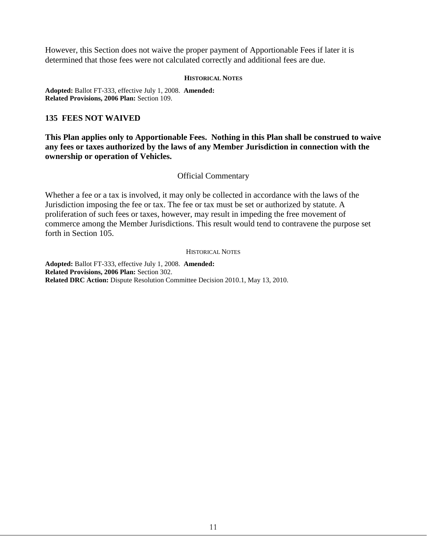However, this Section does not waive the proper payment of Apportionable Fees if later it is determined that those fees were not calculated correctly and additional fees are due.

#### **HISTORICAL NOTES**

**Adopted:** Ballot FT-333, effective July 1, 2008. **Amended: Related Provisions, 2006 Plan:** Section 109.

## <span id="page-11-0"></span>**135 FEES NOT WAIVED**

**This Plan applies only to Apportionable Fees. Nothing in this Plan shall be construed to waive any fees or taxes authorized by the laws of any Member Jurisdiction in connection with the ownership or operation of Vehicles.** 

## Official Commentary

Whether a fee or a tax is involved, it may only be collected in accordance with the laws of the Jurisdiction imposing the fee or tax. The fee or tax must be set or authorized by statute. A proliferation of such fees or taxes, however, may result in impeding the free movement of commerce among the Member Jurisdictions. This result would tend to contravene the purpose set forth in Section 105.

#### HISTORICAL NOTES

**Adopted:** Ballot FT-333, effective July 1, 2008. **Amended: Related Provisions, 2006 Plan:** Section 302. **Related DRC Action:** Dispute Resolution Committee Decision 2010.1, May 13, 2010.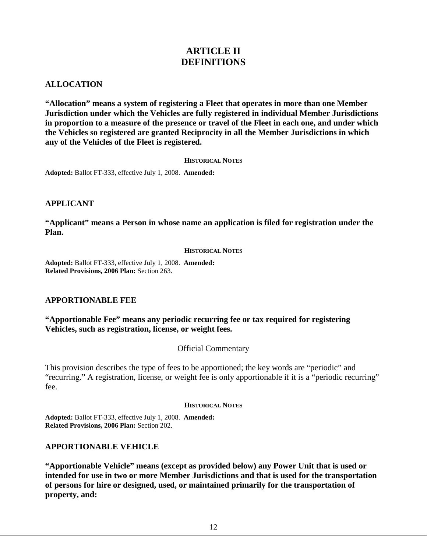## **ARTICLE II DEFINITIONS**

## <span id="page-12-1"></span><span id="page-12-0"></span>**ALLOCATION**

**"Allocation" means a system of registering a Fleet that operates in more than one Member Jurisdiction under which the Vehicles are fully registered in individual Member Jurisdictions in proportion to a measure of the presence or travel of the Fleet in each one, and under which the Vehicles so registered are granted Reciprocity in all the Member Jurisdictions in which any of the Vehicles of the Fleet is registered.** 

#### **HISTORICAL NOTES**

**Adopted:** Ballot FT-333, effective July 1, 2008. **Amended:**

## <span id="page-12-2"></span>**APPLICANT**

**"Applicant" means a Person in whose name an application is filed for registration under the Plan.**

#### **HISTORICAL NOTES**

**Adopted:** Ballot FT-333, effective July 1, 2008. **Amended: Related Provisions, 2006 Plan:** Section 263.

## <span id="page-12-3"></span>**APPORTIONABLE FEE**

**"Apportionable Fee" means any periodic recurring fee or tax required for registering Vehicles, such as registration, license, or weight fees.**

## Official Commentary

This provision describes the type of fees to be apportioned; the key words are "periodic" and "recurring." A registration, license, or weight fee is only apportionable if it is a "periodic recurring" fee.

#### **HISTORICAL NOTES**

**Adopted:** Ballot FT-333, effective July 1, 2008. **Amended: Related Provisions, 2006 Plan:** Section 202.

## <span id="page-12-4"></span>**APPORTIONABLE VEHICLE**

**"Apportionable Vehicle" means (except as provided below) any Power Unit that is used or intended for use in two or more Member Jurisdictions and that is used for the transportation of persons for hire or designed, used, or maintained primarily for the transportation of property, and:**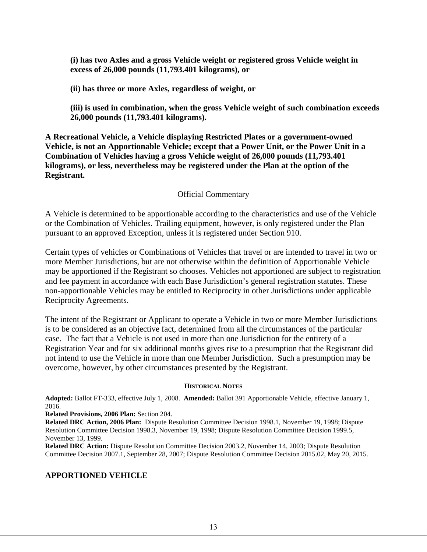**(i) has two Axles and a gross Vehicle weight or registered gross Vehicle weight in excess of 26,000 pounds (11,793.401 kilograms), or**

**(ii) has three or more Axles, regardless of weight, or**

**(iii) is used in combination, when the gross Vehicle weight of such combination exceeds 26,000 pounds (11,793.401 kilograms).** 

**A Recreational Vehicle, a Vehicle displaying Restricted Plates or a government-owned Vehicle, is not an Apportionable Vehicle; except that a Power Unit, or the Power Unit in a Combination of Vehicles having a gross Vehicle weight of 26,000 pounds (11,793.401 kilograms), or less, nevertheless may be registered under the Plan at the option of the Registrant.**

## Official Commentary

A Vehicle is determined to be apportionable according to the characteristics and use of the Vehicle or the Combination of Vehicles. Trailing equipment, however, is only registered under the Plan pursuant to an approved Exception, unless it is registered under Section 910.

Certain types of vehicles or Combinations of Vehicles that travel or are intended to travel in two or more Member Jurisdictions, but are not otherwise within the definition of Apportionable Vehicle may be apportioned if the Registrant so chooses. Vehicles not apportioned are subject to registration and fee payment in accordance with each Base Jurisdiction's general registration statutes. These non-apportionable Vehicles may be entitled to Reciprocity in other Jurisdictions under applicable Reciprocity Agreements.

The intent of the Registrant or Applicant to operate a Vehicle in two or more Member Jurisdictions is to be considered as an objective fact, determined from all the circumstances of the particular case. The fact that a Vehicle is not used in more than one Jurisdiction for the entirety of a Registration Year and for six additional months gives rise to a presumption that the Registrant did not intend to use the Vehicle in more than one Member Jurisdiction. Such a presumption may be overcome, however, by other circumstances presented by the Registrant.

#### **HISTORICAL NOTES**

**Adopted:** Ballot FT-333, effective July 1, 2008. **Amended:** Ballot 391 Apportionable Vehicle, effective January 1, 2016.

**Related Provisions, 2006 Plan:** Section 204.

**Related DRC Action, 2006 Plan:** Dispute Resolution Committee Decision 1998.1, November 19, 1998; Dispute Resolution Committee Decision 1998.3, November 19, 1998; Dispute Resolution Committee Decision 1999.5, November 13, 1999.

**Related DRC Action:** Dispute Resolution Committee Decision 2003.2, November 14, 2003; Dispute Resolution Committee Decision 2007.1, September 28, 2007; Dispute Resolution Committee Decision 2015.02, May 20, 2015.

## <span id="page-13-0"></span>**APPORTIONED VEHICLE**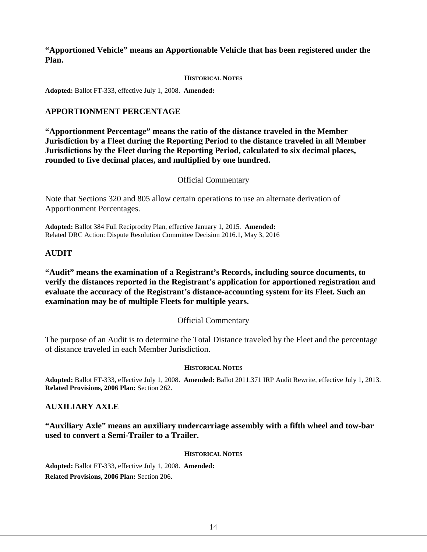**"Apportioned Vehicle" means an Apportionable Vehicle that has been registered under the Plan.**

#### **HISTORICAL NOTES**

**Adopted:** Ballot FT-333, effective July 1, 2008. **Amended:**

## <span id="page-14-0"></span>**APPORTIONMENT PERCENTAGE**

**"Apportionment Percentage" means the ratio of the distance traveled in the Member Jurisdiction by a Fleet during the Reporting Period to the distance traveled in all Member Jurisdictions by the Fleet during the Reporting Period, calculated to six decimal places, rounded to five decimal places, and multiplied by one hundred.** 

#### Official Commentary

Note that Sections 320 and 805 allow certain operations to use an alternate derivation of Apportionment Percentages.

**Adopted:** Ballot 384 Full Reciprocity Plan, effective January 1, 2015. **Amended:** Related DRC Action: Dispute Resolution Committee Decision 2016.1, May 3, 2016

#### <span id="page-14-1"></span>**AUDIT**

## **"Audit" means the examination of a Registrant's Records, including source documents, to verify the distances reported in the Registrant's application for apportioned registration and evaluate the accuracy of the Registrant's distance-accounting system for its Fleet. Such an examination may be of multiple Fleets for multiple years.**

#### Official Commentary

The purpose of an Audit is to determine the Total Distance traveled by the Fleet and the percentage of distance traveled in each Member Jurisdiction.

#### **HISTORICAL NOTES**

**Adopted:** Ballot FT-333, effective July 1, 2008. **Amended:** Ballot 2011.371 IRP Audit Rewrite, effective July 1, 2013. **Related Provisions, 2006 Plan:** Section 262.

## <span id="page-14-2"></span>**AUXILIARY AXLE**

**"Auxiliary Axle" means an auxiliary undercarriage assembly with a fifth wheel and tow-bar used to convert a Semi-Trailer to a Trailer.**

#### **HISTORICAL NOTES**

**Adopted:** Ballot FT-333, effective July 1, 2008. **Amended: Related Provisions, 2006 Plan:** Section 206.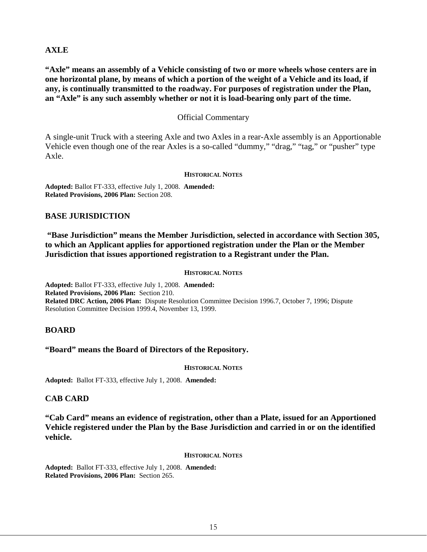## <span id="page-15-0"></span>**AXLE**

**"Axle" means an assembly of a Vehicle consisting of two or more wheels whose centers are in one horizontal plane, by means of which a portion of the weight of a Vehicle and its load, if any, is continually transmitted to the roadway. For purposes of registration under the Plan, an "Axle" is any such assembly whether or not it is load-bearing only part of the time.** 

## Official Commentary

A single-unit Truck with a steering Axle and two Axles in a rear-Axle assembly is an Apportionable Vehicle even though one of the rear Axles is a so-called "dummy," "drag," "tag," or "pusher" type Axle.

#### **HISTORICAL NOTES**

**Adopted:** Ballot FT-333, effective July 1, 2008. **Amended: Related Provisions, 2006 Plan:** Section 208.

## <span id="page-15-1"></span>**BASE JURISDICTION**

**"Base Jurisdiction" means the Member Jurisdiction, selected in accordance with Section 305, to which an Applicant applies for apportioned registration under the Plan or the Member Jurisdiction that issues apportioned registration to a Registrant under the Plan.**

#### **HISTORICAL NOTES**

**Adopted:** Ballot FT-333, effective July 1, 2008. **Amended: Related Provisions, 2006 Plan:** Section 210. **Related DRC Action, 2006 Plan:** Dispute Resolution Committee Decision 1996.7, October 7, 1996; Dispute Resolution Committee Decision 1999.4, November 13, 1999.

#### <span id="page-15-2"></span>**BOARD**

#### **"Board" means the Board of Directors of the Repository.**

#### **HISTORICAL NOTES**

**Adopted:** Ballot FT-333, effective July 1, 2008. **Amended:** 

## <span id="page-15-3"></span>**CAB CARD**

**"Cab Card" means an evidence of registration, other than a Plate, issued for an Apportioned Vehicle registered under the Plan by the Base Jurisdiction and carried in or on the identified vehicle.**

#### **HISTORICAL NOTES**

**Adopted:** Ballot FT-333, effective July 1, 2008. **Amended: Related Provisions, 2006 Plan:** Section 265.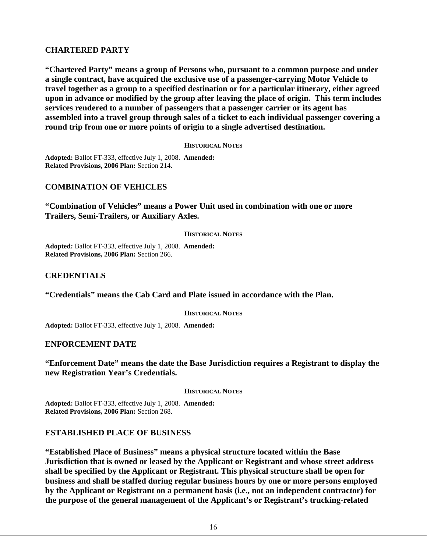## <span id="page-16-0"></span>**CHARTERED PARTY**

**"Chartered Party" means a group of Persons who, pursuant to a common purpose and under a single contract, have acquired the exclusive use of a passenger-carrying Motor Vehicle to travel together as a group to a specified destination or for a particular itinerary, either agreed upon in advance or modified by the group after leaving the place of origin. This term includes services rendered to a number of passengers that a passenger carrier or its agent has assembled into a travel group through sales of a ticket to each individual passenger covering a round trip from one or more points of origin to a single advertised destination.**

**HISTORICAL NOTES**

**Adopted:** Ballot FT-333, effective July 1, 2008. **Amended: Related Provisions, 2006 Plan:** Section 214.

## <span id="page-16-1"></span>**COMBINATION OF VEHICLES**

**"Combination of Vehicles" means a Power Unit used in combination with one or more Trailers, Semi-Trailers, or Auxiliary Axles.**

#### **HISTORICAL NOTES**

**Adopted:** Ballot FT-333, effective July 1, 2008. **Amended: Related Provisions, 2006 Plan:** Section 266.

## <span id="page-16-2"></span>**CREDENTIALS**

**"Credentials" means the Cab Card and Plate issued in accordance with the Plan.**

**HISTORICAL NOTES**

**Adopted:** Ballot FT-333, effective July 1, 2008. **Amended:**

<span id="page-16-3"></span>**ENFORCEMENT DATE**

**"Enforcement Date" means the date the Base Jurisdiction requires a Registrant to display the new Registration Year's Credentials.**

**HISTORICAL NOTES**

**Adopted:** Ballot FT-333, effective July 1, 2008. **Amended: Related Provisions, 2006 Plan:** Section 268.

## <span id="page-16-4"></span>**ESTABLISHED PLACE OF BUSINESS**

**"Established Place of Business" means a physical structure located within the Base Jurisdiction that is owned or leased by the Applicant or Registrant and whose street address shall be specified by the Applicant or Registrant. This physical structure shall be open for business and shall be staffed during regular business hours by one or more persons employed by the Applicant or Registrant on a permanent basis (i.e., not an independent contractor) for the purpose of the general management of the Applicant's or Registrant's trucking-related**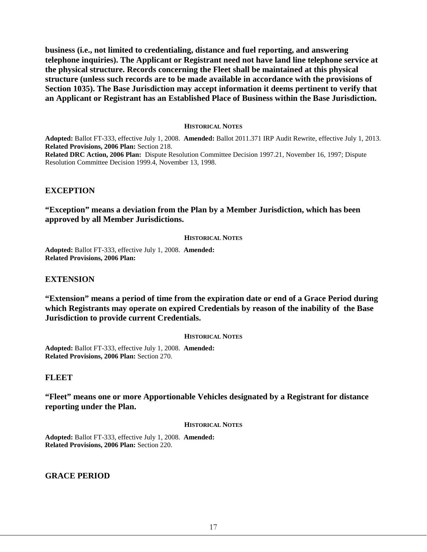**business (i.e., not limited to credentialing, distance and fuel reporting, and answering telephone inquiries). The Applicant or Registrant need not have land line telephone service at the physical structure. Records concerning the Fleet shall be maintained at this physical structure (unless such records are to be made available in accordance with the provisions of Section 1035). The Base Jurisdiction may accept information it deems pertinent to verify that an Applicant or Registrant has an Established Place of Business within the Base Jurisdiction.** 

#### **HISTORICAL NOTES**

**Adopted:** Ballot FT-333, effective July 1, 2008. **Amended:** Ballot 2011.371 IRP Audit Rewrite, effective July 1, 2013. **Related Provisions, 2006 Plan:** Section 218.

**Related DRC Action, 2006 Plan:** Dispute Resolution Committee Decision 1997.21, November 16, 1997; Dispute Resolution Committee Decision 1999.4, November 13, 1998.

#### <span id="page-17-0"></span>**EXCEPTION**

#### **"Exception" means a deviation from the Plan by a Member Jurisdiction, which has been approved by all Member Jurisdictions.**

#### **HISTORICAL NOTES**

**Adopted:** Ballot FT-333, effective July 1, 2008. **Amended: Related Provisions, 2006 Plan:**

#### <span id="page-17-1"></span>**EXTENSION**

**"Extension" means a period of time from the expiration date or end of a Grace Period during which Registrants may operate on expired Credentials by reason of the inability of the Base Jurisdiction to provide current Credentials.**

#### **HISTORICAL NOTES**

**Adopted:** Ballot FT-333, effective July 1, 2008. **Amended: Related Provisions, 2006 Plan:** Section 270.

#### <span id="page-17-2"></span>**FLEET**

**"Fleet" means one or more Apportionable Vehicles designated by a Registrant for distance reporting under the Plan.**

#### **HISTORICAL NOTES**

**Adopted:** Ballot FT-333, effective July 1, 2008. **Amended: Related Provisions, 2006 Plan:** Section 220.

<span id="page-17-3"></span>**GRACE PERIOD**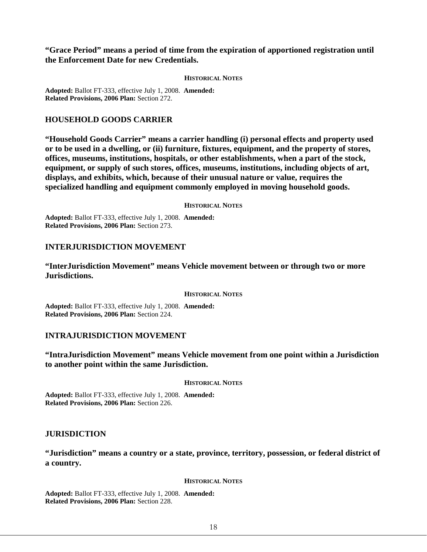**"Grace Period" means a period of time from the expiration of apportioned registration until the Enforcement Date for new Credentials.**

#### **HISTORICAL NOTES**

**Adopted:** Ballot FT-333, effective July 1, 2008. **Amended: Related Provisions, 2006 Plan:** Section 272.

#### <span id="page-18-0"></span>**HOUSEHOLD GOODS CARRIER**

**"Household Goods Carrier" means a carrier handling (i) personal effects and property used or to be used in a dwelling, or (ii) furniture, fixtures, equipment, and the property of stores, offices, museums, institutions, hospitals, or other establishments, when a part of the stock, equipment, or supply of such stores, offices, museums, institutions, including objects of art, displays, and exhibits, which, because of their unusual nature or value, requires the specialized handling and equipment commonly employed in moving household goods.**

#### **HISTORICAL NOTES**

**Adopted:** Ballot FT-333, effective July 1, 2008. **Amended: Related Provisions, 2006 Plan:** Section 273.

#### <span id="page-18-1"></span>**INTERJURISDICTION MOVEMENT**

**"InterJurisdiction Movement" means Vehicle movement between or through two or more Jurisdictions.**

#### **HISTORICAL NOTES**

**Adopted:** Ballot FT-333, effective July 1, 2008. **Amended: Related Provisions, 2006 Plan:** Section 224.

#### <span id="page-18-2"></span>**INTRAJURISDICTION MOVEMENT**

**"IntraJurisdiction Movement" means Vehicle movement from one point within a Jurisdiction to another point within the same Jurisdiction.**

**HISTORICAL NOTES**

**Adopted:** Ballot FT-333, effective July 1, 2008. **Amended: Related Provisions, 2006 Plan:** Section 226.

#### <span id="page-18-3"></span>**JURISDICTION**

**"Jurisdiction" means a country or a state, province, territory, possession, or federal district of a country.** 

#### **HISTORICAL NOTES**

**Adopted:** Ballot FT-333, effective July 1, 2008. **Amended: Related Provisions, 2006 Plan:** Section 228.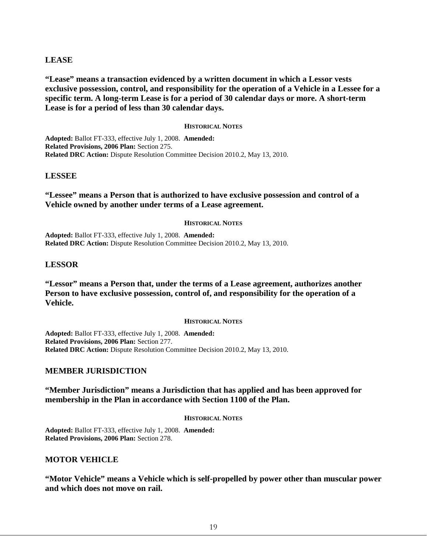## <span id="page-19-0"></span>**LEASE**

**"Lease" means a transaction evidenced by a written document in which a Lessor vests exclusive possession, control, and responsibility for the operation of a Vehicle in a Lessee for a specific term. A long-term Lease is for a period of 30 calendar days or more. A short-term Lease is for a period of less than 30 calendar days.**

#### **HISTORICAL NOTES**

**Adopted:** Ballot FT-333, effective July 1, 2008. **Amended: Related Provisions, 2006 Plan:** Section 275. **Related DRC Action:** Dispute Resolution Committee Decision 2010.2, May 13, 2010.

#### <span id="page-19-1"></span>**LESSEE**

**"Lessee" means a Person that is authorized to have exclusive possession and control of a Vehicle owned by another under terms of a Lease agreement.** 

#### **HISTORICAL NOTES**

**Adopted:** Ballot FT-333, effective July 1, 2008. **Amended: Related DRC Action:** Dispute Resolution Committee Decision 2010.2, May 13, 2010.

#### <span id="page-19-2"></span>**LESSOR**

**"Lessor" means a Person that, under the terms of a Lease agreement, authorizes another Person to have exclusive possession, control of, and responsibility for the operation of a Vehicle.** 

#### **HISTORICAL NOTES**

**Adopted:** Ballot FT-333, effective July 1, 2008. **Amended: Related Provisions, 2006 Plan:** Section 277. **Related DRC Action:** Dispute Resolution Committee Decision 2010.2, May 13, 2010.

#### <span id="page-19-3"></span>**MEMBER JURISDICTION**

#### **"Member Jurisdiction" means a Jurisdiction that has applied and has been approved for membership in the Plan in accordance with Section 1100 of the Plan.**

#### **HISTORICAL NOTES**

**Adopted:** Ballot FT-333, effective July 1, 2008. **Amended: Related Provisions, 2006 Plan:** Section 278.

#### <span id="page-19-4"></span>**MOTOR VEHICLE**

**"Motor Vehicle" means a Vehicle which is self-propelled by power other than muscular power and which does not move on rail.**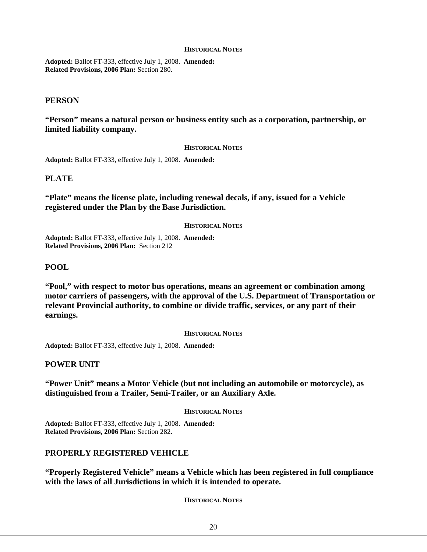#### **HISTORICAL NOTES**

**Adopted:** Ballot FT-333, effective July 1, 2008. **Amended: Related Provisions, 2006 Plan:** Section 280.

#### <span id="page-20-0"></span>**PERSON**

**"Person" means a natural person or business entity such as a corporation, partnership, or limited liability company.**

#### **HISTORICAL NOTES**

**Adopted:** Ballot FT-333, effective July 1, 2008. **Amended:**

#### <span id="page-20-1"></span>**PLATE**

**"Plate" means the license plate, including renewal decals, if any, issued for a Vehicle registered under the Plan by the Base Jurisdiction.**

#### **HISTORICAL NOTES**

**Adopted:** Ballot FT-333, effective July 1, 2008. **Amended: Related Provisions, 2006 Plan:** Section 212

#### <span id="page-20-2"></span>**POOL**

**"Pool," with respect to motor bus operations, means an agreement or combination among motor carriers of passengers, with the approval of the U.S. Department of Transportation or relevant Provincial authority, to combine or divide traffic, services, or any part of their earnings.**

#### **HISTORICAL NOTES**

**Adopted:** Ballot FT-333, effective July 1, 2008. **Amended:**

#### <span id="page-20-3"></span>**POWER UNIT**

**"Power Unit" means a Motor Vehicle (but not including an automobile or motorcycle), as distinguished from a Trailer, Semi-Trailer, or an Auxiliary Axle.** 

#### **HISTORICAL NOTES**

**Adopted:** Ballot FT-333, effective July 1, 2008. **Amended: Related Provisions, 2006 Plan:** Section 282.

#### <span id="page-20-4"></span>**PROPERLY REGISTERED VEHICLE**

**"Properly Registered Vehicle" means a Vehicle which has been registered in full compliance with the laws of all Jurisdictions in which it is intended to operate.** 

**HISTORICAL NOTES**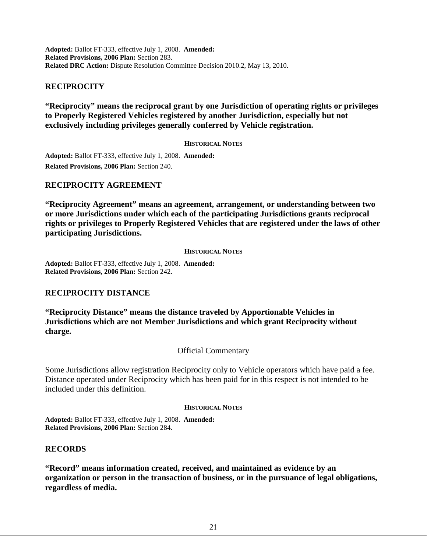**Adopted:** Ballot FT-333, effective July 1, 2008. **Amended: Related Provisions, 2006 Plan:** Section 283. **Related DRC Action:** Dispute Resolution Committee Decision 2010.2, May 13, 2010.

## <span id="page-21-0"></span>**RECIPROCITY**

**"Reciprocity" means the reciprocal grant by one Jurisdiction of operating rights or privileges to Properly Registered Vehicles registered by another Jurisdiction, especially but not exclusively including privileges generally conferred by Vehicle registration.**

#### **HISTORICAL NOTES**

**Adopted:** Ballot FT-333, effective July 1, 2008. **Amended: Related Provisions, 2006 Plan:** Section 240.

## <span id="page-21-1"></span>**RECIPROCITY AGREEMENT**

**"Reciprocity Agreement" means an agreement, arrangement, or understanding between two or more Jurisdictions under which each of the participating Jurisdictions grants reciprocal rights or privileges to Properly Registered Vehicles that are registered under the laws of other participating Jurisdictions.**

#### **HISTORICAL NOTES**

**Adopted:** Ballot FT-333, effective July 1, 2008. **Amended: Related Provisions, 2006 Plan:** Section 242.

## <span id="page-21-2"></span>**RECIPROCITY DISTANCE**

**"Reciprocity Distance" means the distance traveled by Apportionable Vehicles in Jurisdictions which are not Member Jurisdictions and which grant Reciprocity without charge.** 

## Official Commentary

Some Jurisdictions allow registration Reciprocity only to Vehicle operators which have paid a fee. Distance operated under Reciprocity which has been paid for in this respect is not intended to be included under this definition.

#### **HISTORICAL NOTES**

**Adopted:** Ballot FT-333, effective July 1, 2008. **Amended: Related Provisions, 2006 Plan:** Section 284.

## <span id="page-21-3"></span>**RECORDS**

**"Record" means information created, received, and maintained as evidence by an organization or person in the transaction of business, or in the pursuance of legal obligations, regardless of media.**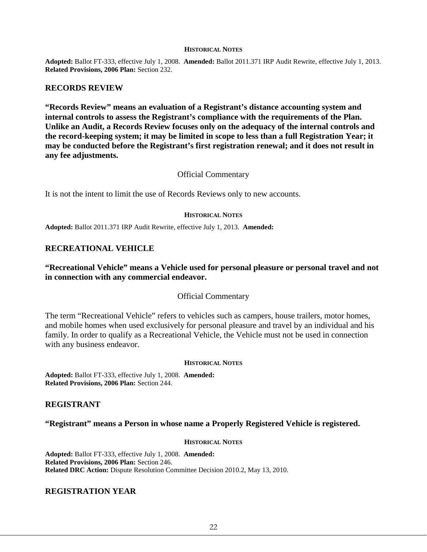#### **HISTORICAL NOTES**

**Adopted:** Ballot FT-333, effective July 1, 2008. **Amended:** Ballot 2011.371 IRP Audit Rewrite, effective July 1, 2013. **Related Provisions, 2006 Plan:** Section 232.

#### <span id="page-22-0"></span>**RECORDS REVIEW**

**"Records Review" means an evaluation of a Registrant's distance accounting system and internal controls to assess the Registrant's compliance with the requirements of the Plan. Unlike an Audit, a Records Review focuses only on the adequacy of the internal controls and the record-keeping system; it may be limited in scope to less than a full Registration Year; it may be conducted before the Registrant's first registration renewal; and it does not result in any fee adjustments.**

#### Official Commentary

It is not the intent to limit the use of Records Reviews only to new accounts.

#### **HISTORICAL NOTES**

**Adopted:** Ballot 2011.371 IRP Audit Rewrite, effective July 1, 2013. **Amended:**

#### <span id="page-22-1"></span>**RECREATIONAL VEHICLE**

#### **"Recreational Vehicle" means a Vehicle used for personal pleasure or personal travel and not in connection with any commercial endeavor.**

#### Official Commentary

The term "Recreational Vehicle" refers to vehicles such as campers, house trailers, motor homes, and mobile homes when used exclusively for personal pleasure and travel by an individual and his family. In order to qualify as a Recreational Vehicle, the Vehicle must not be used in connection with any business endeavor.

#### **HISTORICAL NOTES**

**Adopted:** Ballot FT-333, effective July 1, 2008. **Amended: Related Provisions, 2006 Plan:** Section 244.

#### <span id="page-22-2"></span>**REGISTRANT**

#### **"Registrant" means a Person in whose name a Properly Registered Vehicle is registered.**

#### **HISTORICAL NOTES**

**Adopted:** Ballot FT-333, effective July 1, 2008. **Amended: Related Provisions, 2006 Plan:** Section 246. **Related DRC Action:** Dispute Resolution Committee Decision 2010.2, May 13, 2010.

#### <span id="page-22-3"></span>**REGISTRATION YEAR**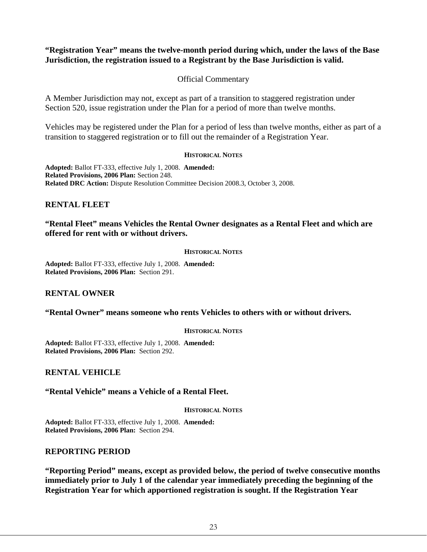## **"Registration Year" means the twelve-month period during which, under the laws of the Base Jurisdiction, the registration issued to a Registrant by the Base Jurisdiction is valid.**

## Official Commentary

A Member Jurisdiction may not, except as part of a transition to staggered registration under Section 520, issue registration under the Plan for a period of more than twelve months.

Vehicles may be registered under the Plan for a period of less than twelve months, either as part of a transition to staggered registration or to fill out the remainder of a Registration Year.

#### **HISTORICAL NOTES**

**Adopted:** Ballot FT-333, effective July 1, 2008. **Amended: Related Provisions, 2006 Plan:** Section 248. **Related DRC Action:** Dispute Resolution Committee Decision 2008.3, October 3, 2008.

## <span id="page-23-0"></span>**RENTAL FLEET**

## **"Rental Fleet" means Vehicles the Rental Owner designates as a Rental Fleet and which are offered for rent with or without drivers.**

#### **HISTORICAL NOTES**

**Adopted:** Ballot FT-333, effective July 1, 2008. **Amended: Related Provisions, 2006 Plan:** Section 291.

## <span id="page-23-1"></span>**RENTAL OWNER**

## **"Rental Owner" means someone who rents Vehicles to others with or without drivers.**

#### **HISTORICAL NOTES**

**Adopted:** Ballot FT-333, effective July 1, 2008. **Amended: Related Provisions, 2006 Plan:** Section 292.

<span id="page-23-2"></span>**RENTAL VEHICLE** 

## **"Rental Vehicle" means a Vehicle of a Rental Fleet.**

#### **HISTORICAL NOTES**

**Adopted:** Ballot FT-333, effective July 1, 2008. **Amended: Related Provisions, 2006 Plan:** Section 294.

## <span id="page-23-3"></span>**REPORTING PERIOD**

**"Reporting Period" means, except as provided below, the period of twelve consecutive months immediately prior to July 1 of the calendar year immediately preceding the beginning of the Registration Year for which apportioned registration is sought. If the Registration Year**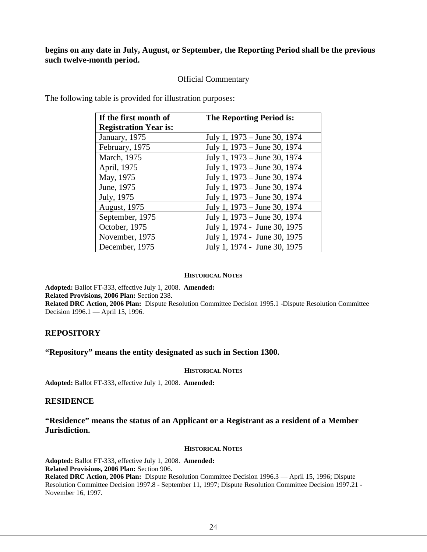## **begins on any date in July, August, or September, the Reporting Period shall be the previous such twelve-month period.**

## Official Commentary

The following table is provided for illustration purposes:

| If the first month of        | <b>The Reporting Period is:</b> |
|------------------------------|---------------------------------|
| <b>Registration Year is:</b> |                                 |
| January, 1975                | July 1, 1973 – June 30, 1974    |
| February, 1975               | July 1, 1973 – June 30, 1974    |
| March, 1975                  | July 1, 1973 – June 30, 1974    |
| April, 1975                  | July 1, 1973 – June 30, 1974    |
| May, 1975                    | July 1, 1973 – June 30, 1974    |
| June, 1975                   | July 1, 1973 – June 30, 1974    |
| July, 1975                   | July 1, 1973 – June 30, 1974    |
| <b>August</b> , 1975         | July 1, 1973 – June 30, 1974    |
| September, 1975              | July 1, 1973 – June 30, 1974    |
| October, 1975                | July 1, 1974 - June 30, 1975    |
| November, 1975               | July 1, 1974 - June 30, 1975    |
| December, 1975               | July 1, 1974 - June 30, 1975    |

#### **HISTORICAL NOTES**

**Adopted:** Ballot FT-333, effective July 1, 2008. **Amended:**

**Related Provisions, 2006 Plan:** Section 238.

**Related DRC Action, 2006 Plan:** Dispute Resolution Committee Decision 1995.1 -Dispute Resolution Committee Decision 1996.1 — April 15, 1996.

## <span id="page-24-0"></span>**REPOSITORY**

## **"Repository" means the entity designated as such in Section 1300.**

#### **HISTORICAL NOTES**

**Adopted:** Ballot FT-333, effective July 1, 2008. **Amended:**

## <span id="page-24-1"></span>**RESIDENCE**

## **"Residence" means the status of an Applicant or a Registrant as a resident of a Member Jurisdiction.**

#### **HISTORICAL NOTES**

**Adopted:** Ballot FT-333, effective July 1, 2008. **Amended: Related Provisions, 2006 Plan:** Section 906. **Related DRC Action, 2006 Plan:** Dispute Resolution Committee Decision 1996.3 — April 15, 1996; Dispute Resolution Committee Decision 1997.8 - September 11, 1997; Dispute Resolution Committee Decision 1997.21 - November 16, 1997.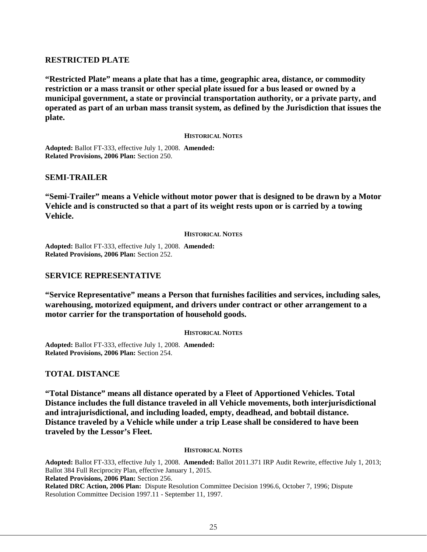## <span id="page-25-0"></span>**RESTRICTED PLATE**

**"Restricted Plate" means a plate that has a time, geographic area, distance, or commodity restriction or a mass transit or other special plate issued for a bus leased or owned by a municipal government, a state or provincial transportation authority, or a private party, and operated as part of an urban mass transit system, as defined by the Jurisdiction that issues the plate.**

#### **HISTORICAL NOTES**

**Adopted:** Ballot FT-333, effective July 1, 2008. **Amended: Related Provisions, 2006 Plan:** Section 250.

#### <span id="page-25-1"></span>**SEMI-TRAILER**

**"Semi-Trailer" means a Vehicle without motor power that is designed to be drawn by a Motor Vehicle and is constructed so that a part of its weight rests upon or is carried by a towing Vehicle.**

#### **HISTORICAL NOTES**

**Adopted:** Ballot FT-333, effective July 1, 2008. **Amended: Related Provisions, 2006 Plan:** Section 252.

## <span id="page-25-2"></span>**SERVICE REPRESENTATIVE**

**"Service Representative" means a Person that furnishes facilities and services, including sales, warehousing, motorized equipment, and drivers under contract or other arrangement to a motor carrier for the transportation of household goods.**

#### **HISTORICAL NOTES**

**Adopted:** Ballot FT-333, effective July 1, 2008. **Amended: Related Provisions, 2006 Plan:** Section 254.

#### <span id="page-25-3"></span>**TOTAL DISTANCE**

**"Total Distance" means all distance operated by a Fleet of Apportioned Vehicles. Total Distance includes the full distance traveled in all Vehicle movements, both interjurisdictional and intrajurisdictional, and including loaded, empty, deadhead, and bobtail distance. Distance traveled by a Vehicle while under a trip Lease shall be considered to have been traveled by the Lessor's Fleet.**

#### **HISTORICAL NOTES**

**Adopted:** Ballot FT-333, effective July 1, 2008. **Amended:** Ballot 2011.371 IRP Audit Rewrite, effective July 1, 2013; Ballot 384 Full Reciprocity Plan, effective January 1, 2015. **Related Provisions, 2006 Plan:** Section 256. **Related DRC Action, 2006 Plan:** Dispute Resolution Committee Decision 1996.6, October 7, 1996; Dispute Resolution Committee Decision 1997.11 - September 11, 1997.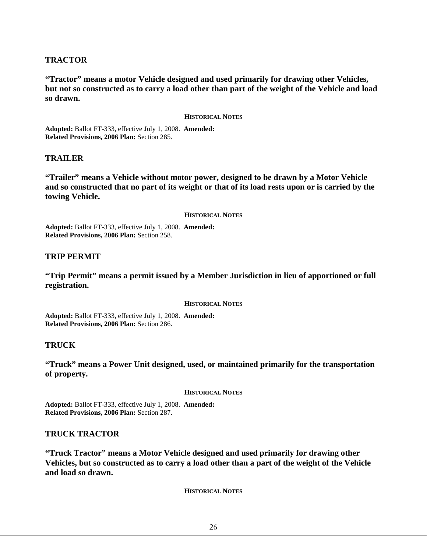## <span id="page-26-0"></span>**TRACTOR**

**"Tractor" means a motor Vehicle designed and used primarily for drawing other Vehicles, but not so constructed as to carry a load other than part of the weight of the Vehicle and load so drawn.**

#### **HISTORICAL NOTES**

**Adopted:** Ballot FT-333, effective July 1, 2008. **Amended: Related Provisions, 2006 Plan:** Section 285.

#### <span id="page-26-1"></span>**TRAILER**

**"Trailer" means a Vehicle without motor power, designed to be drawn by a Motor Vehicle and so constructed that no part of its weight or that of its load rests upon or is carried by the towing Vehicle.** 

#### **HISTORICAL NOTES**

**Adopted:** Ballot FT-333, effective July 1, 2008. **Amended: Related Provisions, 2006 Plan:** Section 258.

## <span id="page-26-2"></span>**TRIP PERMIT**

**"Trip Permit" means a permit issued by a Member Jurisdiction in lieu of apportioned or full registration.**

**HISTORICAL NOTES**

**Adopted:** Ballot FT-333, effective July 1, 2008. **Amended: Related Provisions, 2006 Plan:** Section 286.

## <span id="page-26-3"></span>**TRUCK**

**"Truck" means a Power Unit designed, used, or maintained primarily for the transportation of property.** 

#### **HISTORICAL NOTES**

**Adopted:** Ballot FT-333, effective July 1, 2008. **Amended: Related Provisions, 2006 Plan:** Section 287.

## <span id="page-26-4"></span>**TRUCK TRACTOR**

**"Truck Tractor" means a Motor Vehicle designed and used primarily for drawing other Vehicles, but so constructed as to carry a load other than a part of the weight of the Vehicle and load so drawn.** 

**HISTORICAL NOTES**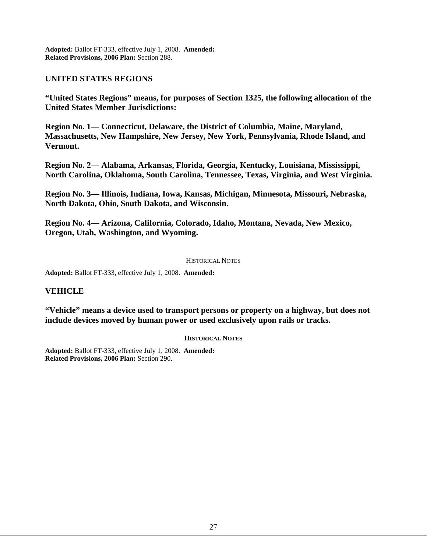**Adopted:** Ballot FT-333, effective July 1, 2008. **Amended: Related Provisions, 2006 Plan:** Section 288.

## <span id="page-27-0"></span>**UNITED STATES REGIONS**

**"United States Regions" means, for purposes of Section 1325, the following allocation of the United States Member Jurisdictions:** 

**Region No. 1— Connecticut, Delaware, the District of Columbia, Maine, Maryland, Massachusetts, New Hampshire, New Jersey, New York, Pennsylvania, Rhode Island, and Vermont.**

**Region No. 2— Alabama, Arkansas, Florida, Georgia, Kentucky, Louisiana, Mississippi, North Carolina, Oklahoma, South Carolina, Tennessee, Texas, Virginia, and West Virginia.**

**Region No. 3— Illinois, Indiana, Iowa, Kansas, Michigan, Minnesota, Missouri, Nebraska, North Dakota, Ohio, South Dakota, and Wisconsin.**

**Region No. 4— Arizona, California, Colorado, Idaho, Montana, Nevada, New Mexico, Oregon, Utah, Washington, and Wyoming.**

#### HISTORICAL NOTES

**Adopted:** Ballot FT-333, effective July 1, 2008. **Amended:**

## <span id="page-27-1"></span>**VEHICLE**

**"Vehicle" means a device used to transport persons or property on a highway, but does not include devices moved by human power or used exclusively upon rails or tracks.** 

#### **HISTORICAL NOTES**

**Adopted:** Ballot FT-333, effective July 1, 2008. **Amended: Related Provisions, 2006 Plan:** Section 290.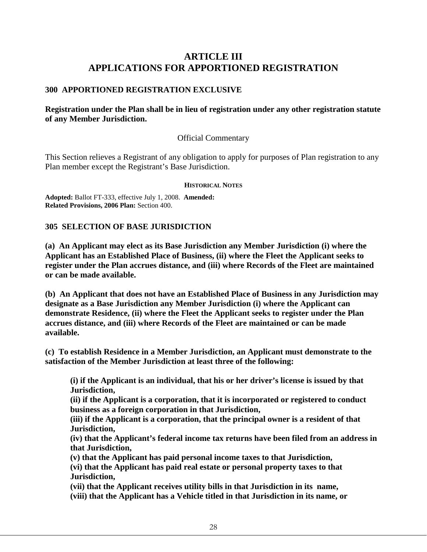## **ARTICLE III APPLICATIONS FOR APPORTIONED REGISTRATION**

## <span id="page-28-1"></span><span id="page-28-0"></span>**300 APPORTIONED REGISTRATION EXCLUSIVE**

## **Registration under the Plan shall be in lieu of registration under any other registration statute of any Member Jurisdiction.**

## Official Commentary

This Section relieves a Registrant of any obligation to apply for purposes of Plan registration to any Plan member except the Registrant's Base Jurisdiction.

#### **HISTORICAL NOTES**

**Adopted:** Ballot FT-333, effective July 1, 2008. **Amended: Related Provisions, 2006 Plan:** Section 400.

## <span id="page-28-2"></span>**305 SELECTION OF BASE JURISDICTION**

**(a) An Applicant may elect as its Base Jurisdiction any Member Jurisdiction (i) where the Applicant has an Established Place of Business, (ii) where the Fleet the Applicant seeks to register under the Plan accrues distance, and (iii) where Records of the Fleet are maintained or can be made available.**

**(b) An Applicant that does not have an Established Place of Business in any Jurisdiction may designate as a Base Jurisdiction any Member Jurisdiction (i) where the Applicant can demonstrate Residence, (ii) where the Fleet the Applicant seeks to register under the Plan accrues distance, and (iii) where Records of the Fleet are maintained or can be made available.**

**(c) To establish Residence in a Member Jurisdiction, an Applicant must demonstrate to the satisfaction of the Member Jurisdiction at least three of the following:**

**(i) if the Applicant is an individual, that his or her driver's license is issued by that Jurisdiction,**

**(ii) if the Applicant is a corporation, that it is incorporated or registered to conduct business as a foreign corporation in that Jurisdiction,**

**(iii) if the Applicant is a corporation, that the principal owner is a resident of that Jurisdiction,**

**(iv) that the Applicant's federal income tax returns have been filed from an address in that Jurisdiction,**

**(v) that the Applicant has paid personal income taxes to that Jurisdiction,**

**(vi) that the Applicant has paid real estate or personal property taxes to that Jurisdiction,** 

**(vii) that the Applicant receives utility bills in that Jurisdiction in its name, (viii) that the Applicant has a Vehicle titled in that Jurisdiction in its name, or**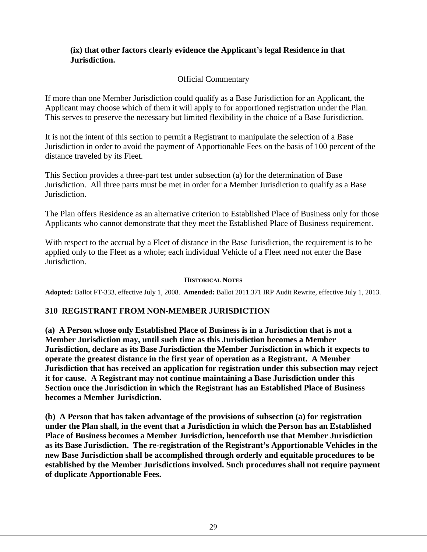## **(ix) that other factors clearly evidence the Applicant's legal Residence in that Jurisdiction.**

## Official Commentary

If more than one Member Jurisdiction could qualify as a Base Jurisdiction for an Applicant, the Applicant may choose which of them it will apply to for apportioned registration under the Plan. This serves to preserve the necessary but limited flexibility in the choice of a Base Jurisdiction.

It is not the intent of this section to permit a Registrant to manipulate the selection of a Base Jurisdiction in order to avoid the payment of Apportionable Fees on the basis of 100 percent of the distance traveled by its Fleet.

This Section provides a three-part test under subsection (a) for the determination of Base Jurisdiction. All three parts must be met in order for a Member Jurisdiction to qualify as a Base Jurisdiction.

The Plan offers Residence as an alternative criterion to Established Place of Business only for those Applicants who cannot demonstrate that they meet the Established Place of Business requirement.

With respect to the accrual by a Fleet of distance in the Base Jurisdiction, the requirement is to be applied only to the Fleet as a whole; each individual Vehicle of a Fleet need not enter the Base Jurisdiction.

## **HISTORICAL NOTES**

**Adopted:** Ballot FT-333, effective July 1, 2008. **Amended:** Ballot 2011.371 IRP Audit Rewrite, effective July 1, 2013.

## <span id="page-29-0"></span>**310 REGISTRANT FROM NON-MEMBER JURISDICTION**

**(a) A Person whose only Established Place of Business is in a Jurisdiction that is not a Member Jurisdiction may, until such time as this Jurisdiction becomes a Member Jurisdiction, declare as its Base Jurisdiction the Member Jurisdiction in which it expects to operate the greatest distance in the first year of operation as a Registrant. A Member Jurisdiction that has received an application for registration under this subsection may reject it for cause. A Registrant may not continue maintaining a Base Jurisdiction under this Section once the Jurisdiction in which the Registrant has an Established Place of Business becomes a Member Jurisdiction.**

**(b) A Person that has taken advantage of the provisions of subsection (a) for registration under the Plan shall, in the event that a Jurisdiction in which the Person has an Established Place of Business becomes a Member Jurisdiction, henceforth use that Member Jurisdiction as its Base Jurisdiction. The re-registration of the Registrant's Apportionable Vehicles in the new Base Jurisdiction shall be accomplished through orderly and equitable procedures to be established by the Member Jurisdictions involved. Such procedures shall not require payment of duplicate Apportionable Fees.**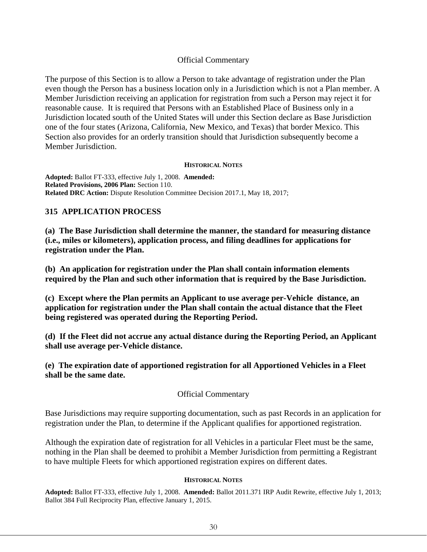## Official Commentary

The purpose of this Section is to allow a Person to take advantage of registration under the Plan even though the Person has a business location only in a Jurisdiction which is not a Plan member. A Member Jurisdiction receiving an application for registration from such a Person may reject it for reasonable cause. It is required that Persons with an Established Place of Business only in a Jurisdiction located south of the United States will under this Section declare as Base Jurisdiction one of the four states (Arizona, California, New Mexico, and Texas) that border Mexico. This Section also provides for an orderly transition should that Jurisdiction subsequently become a Member Jurisdiction.

#### **HISTORICAL NOTES**

**Adopted:** Ballot FT-333, effective July 1, 2008. **Amended: Related Provisions, 2006 Plan:** Section 110. **Related DRC Action:** Dispute Resolution Committee Decision 2017.1, May 18, 2017;

## <span id="page-30-0"></span>**315 APPLICATION PROCESS**

**(a) The Base Jurisdiction shall determine the manner, the standard for measuring distance (i.e., miles or kilometers), application process, and filing deadlines for applications for registration under the Plan.**

**(b) An application for registration under the Plan shall contain information elements required by the Plan and such other information that is required by the Base Jurisdiction.**

**(c) Except where the Plan permits an Applicant to use average per-Vehicle distance, an application for registration under the Plan shall contain the actual distance that the Fleet being registered was operated during the Reporting Period.** 

**(d) If the Fleet did not accrue any actual distance during the Reporting Period, an Applicant shall use average per-Vehicle distance.** 

**(e) The expiration date of apportioned registration for all Apportioned Vehicles in a Fleet shall be the same date.**

## Official Commentary

Base Jurisdictions may require supporting documentation, such as past Records in an application for registration under the Plan, to determine if the Applicant qualifies for apportioned registration.

Although the expiration date of registration for all Vehicles in a particular Fleet must be the same, nothing in the Plan shall be deemed to prohibit a Member Jurisdiction from permitting a Registrant to have multiple Fleets for which apportioned registration expires on different dates.

#### **HISTORICAL NOTES**

**Adopted:** Ballot FT-333, effective July 1, 2008. **Amended:** Ballot 2011.371 IRP Audit Rewrite, effective July 1, 2013; Ballot 384 Full Reciprocity Plan, effective January 1, 2015.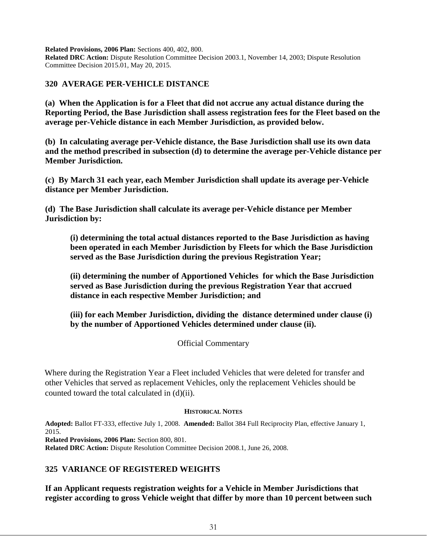**Related Provisions, 2006 Plan:** Sections 400, 402, 800.

**Related DRC Action:** Dispute Resolution Committee Decision 2003.1, November 14, 2003; Dispute Resolution Committee Decision 2015.01, May 20, 2015.

#### <span id="page-31-0"></span>**320 AVERAGE PER-VEHICLE DISTANCE**

**(a) When the Application is for a Fleet that did not accrue any actual distance during the Reporting Period, the Base Jurisdiction shall assess registration fees for the Fleet based on the average per-Vehicle distance in each Member Jurisdiction, as provided below.** 

**(b) In calculating average per-Vehicle distance, the Base Jurisdiction shall use its own data and the method prescribed in subsection (d) to determine the average per-Vehicle distance per Member Jurisdiction.** 

**(c) By March 31 each year, each Member Jurisdiction shall update its average per-Vehicle distance per Member Jurisdiction.** 

**(d) The Base Jurisdiction shall calculate its average per-Vehicle distance per Member Jurisdiction by:** 

**(i) determining the total actual distances reported to the Base Jurisdiction as having been operated in each Member Jurisdiction by Fleets for which the Base Jurisdiction served as the Base Jurisdiction during the previous Registration Year;** 

**(ii) determining the number of Apportioned Vehicles for which the Base Jurisdiction served as Base Jurisdiction during the previous Registration Year that accrued distance in each respective Member Jurisdiction; and** 

**(iii) for each Member Jurisdiction, dividing the distance determined under clause (i) by the number of Apportioned Vehicles determined under clause (ii).**

Official Commentary

Where during the Registration Year a Fleet included Vehicles that were deleted for transfer and other Vehicles that served as replacement Vehicles, only the replacement Vehicles should be counted toward the total calculated in (d)(ii).

#### **HISTORICAL NOTES**

**Adopted:** Ballot FT-333, effective July 1, 2008. **Amended:** Ballot 384 Full Reciprocity Plan, effective January 1, 2015.

**Related Provisions, 2006 Plan:** Section 800, 801.

**Related DRC Action:** Dispute Resolution Committee Decision 2008.1, June 26, 2008.

## <span id="page-31-1"></span>**325 VARIANCE OF REGISTERED WEIGHTS**

**If an Applicant requests registration weights for a Vehicle in Member Jurisdictions that register according to gross Vehicle weight that differ by more than 10 percent between such**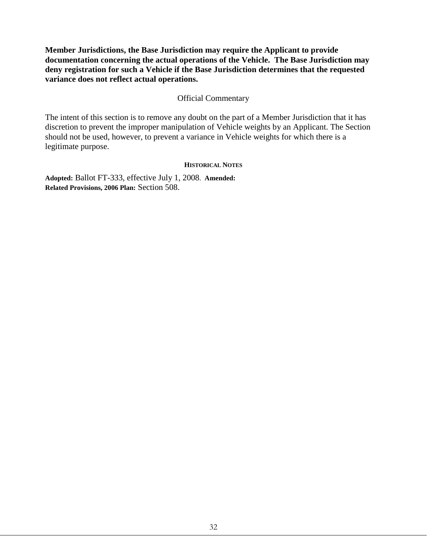**Member Jurisdictions, the Base Jurisdiction may require the Applicant to provide documentation concerning the actual operations of the Vehicle. The Base Jurisdiction may deny registration for such a Vehicle if the Base Jurisdiction determines that the requested variance does not reflect actual operations.**

## Official Commentary

The intent of this section is to remove any doubt on the part of a Member Jurisdiction that it has discretion to prevent the improper manipulation of Vehicle weights by an Applicant. The Section should not be used, however, to prevent a variance in Vehicle weights for which there is a legitimate purpose.

#### **HISTORICAL NOTES**

**Adopted:** Ballot FT-333, effective July 1, 2008. **Amended: Related Provisions, 2006 Plan:** Section 508.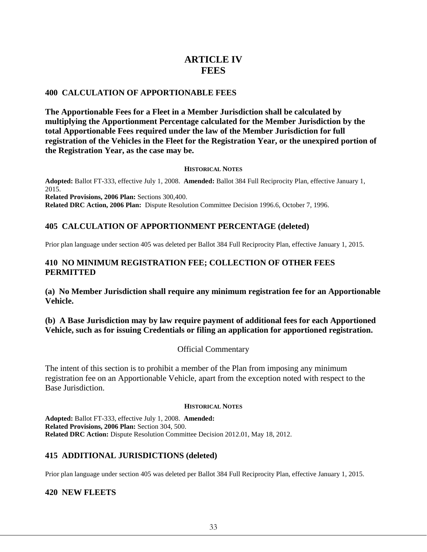## **ARTICLE IV FEES**

## <span id="page-33-1"></span><span id="page-33-0"></span>**400 CALCULATION OF APPORTIONABLE FEES**

**The Apportionable Fees for a Fleet in a Member Jurisdiction shall be calculated by multiplying the Apportionment Percentage calculated for the Member Jurisdiction by the total Apportionable Fees required under the law of the Member Jurisdiction for full registration of the Vehicles in the Fleet for the Registration Year, or the unexpired portion of the Registration Year, as the case may be.**

#### **HISTORICAL NOTES**

**Adopted:** Ballot FT-333, effective July 1, 2008. **Amended:** Ballot 384 Full Reciprocity Plan, effective January 1, 2015. **Related Provisions, 2006 Plan:** Sections 300,400. **Related DRC Action, 2006 Plan:** Dispute Resolution Committee Decision 1996.6, October 7, 1996.

## <span id="page-33-2"></span>**405 CALCULATION OF APPORTIONMENT PERCENTAGE (deleted)**

Prior plan language under section 405 was deleted per Ballot 384 Full Reciprocity Plan, effective January 1, 2015.

## <span id="page-33-3"></span>**410 NO MINIMUM REGISTRATION FEE; COLLECTION OF OTHER FEES PERMITTED**

**(a) No Member Jurisdiction shall require any minimum registration fee for an Apportionable Vehicle.**

## **(b) A Base Jurisdiction may by law require payment of additional fees for each Apportioned Vehicle, such as for issuing Credentials or filing an application for apportioned registration.**

## Official Commentary

The intent of this section is to prohibit a member of the Plan from imposing any minimum registration fee on an Apportionable Vehicle, apart from the exception noted with respect to the Base Jurisdiction.

#### **HISTORICAL NOTES**

**Adopted:** Ballot FT-333, effective July 1, 2008. **Amended: Related Provisions, 2006 Plan:** Section 304, 500. **Related DRC Action:** Dispute Resolution Committee Decision 2012.01, May 18, 2012.

## <span id="page-33-4"></span>**415 ADDITIONAL JURISDICTIONS (deleted)**

Prior plan language under section 405 was deleted per Ballot 384 Full Reciprocity Plan, effective January 1, 2015.

## <span id="page-33-5"></span>**420 NEW FLEETS**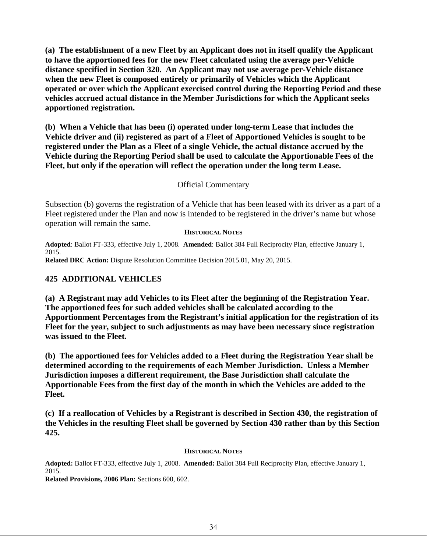**(a) The establishment of a new Fleet by an Applicant does not in itself qualify the Applicant to have the apportioned fees for the new Fleet calculated using the average per-Vehicle distance specified in Section 320. An Applicant may not use average per-Vehicle distance when the new Fleet is composed entirely or primarily of Vehicles which the Applicant operated or over which the Applicant exercised control during the Reporting Period and these vehicles accrued actual distance in the Member Jurisdictions for which the Applicant seeks apportioned registration.**

**(b) When a Vehicle that has been (i) operated under long-term Lease that includes the Vehicle driver and (ii) registered as part of a Fleet of Apportioned Vehicles is sought to be registered under the Plan as a Fleet of a single Vehicle, the actual distance accrued by the Vehicle during the Reporting Period shall be used to calculate the Apportionable Fees of the Fleet, but only if the operation will reflect the operation under the long term Lease.**

## Official Commentary

Subsection (b) governs the registration of a Vehicle that has been leased with its driver as a part of a Fleet registered under the Plan and now is intended to be registered in the driver's name but whose operation will remain the same.

#### **HISTORICAL NOTES**

**Adopted**: Ballot FT-333, effective July 1, 2008. **Amended**: Ballot 384 Full Reciprocity Plan, effective January 1, 2015.

**Related DRC Action:** Dispute Resolution Committee Decision 2015.01, May 20, 2015.

## <span id="page-34-0"></span>**425 ADDITIONAL VEHICLES**

**(a) A Registrant may add Vehicles to its Fleet after the beginning of the Registration Year. The apportioned fees for such added vehicles shall be calculated according to the Apportionment Percentages from the Registrant's initial application for the registration of its Fleet for the year, subject to such adjustments as may have been necessary since registration was issued to the Fleet.** 

**(b) The apportioned fees for Vehicles added to a Fleet during the Registration Year shall be determined according to the requirements of each Member Jurisdiction. Unless a Member Jurisdiction imposes a different requirement, the Base Jurisdiction shall calculate the Apportionable Fees from the first day of the month in which the Vehicles are added to the Fleet.**

**(c) If a reallocation of Vehicles by a Registrant is described in Section 430, the registration of the Vehicles in the resulting Fleet shall be governed by Section 430 rather than by this Section 425.**

#### **HISTORICAL NOTES**

**Adopted:** Ballot FT-333, effective July 1, 2008. **Amended:** Ballot 384 Full Reciprocity Plan, effective January 1, 2015.

**Related Provisions, 2006 Plan:** Sections 600, 602.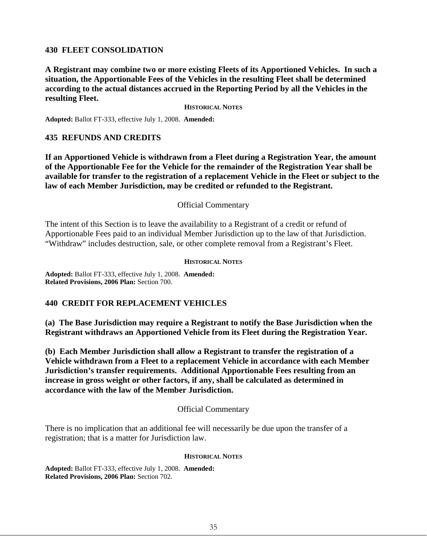## <span id="page-35-0"></span>**430 FLEET CONSOLIDATION**

**A Registrant may combine two or more existing Fleets of its Apportioned Vehicles. In such a situation, the Apportionable Fees of the Vehicles in the resulting Fleet shall be determined according to the actual distances accrued in the Reporting Period by all the Vehicles in the resulting Fleet.**

**HISTORICAL NOTES**

**Adopted:** Ballot FT-333, effective July 1, 2008. **Amended:**

## <span id="page-35-1"></span>**435 REFUNDS AND CREDITS**

**If an Apportioned Vehicle is withdrawn from a Fleet during a Registration Year, the amount of the Apportionable Fee for the Vehicle for the remainder of the Registration Year shall be available for transfer to the registration of a replacement Vehicle in the Fleet or subject to the law of each Member Jurisdiction, may be credited or refunded to the Registrant.**

#### Official Commentary

The intent of this Section is to leave the availability to a Registrant of a credit or refund of Apportionable Fees paid to an individual Member Jurisdiction up to the law of that Jurisdiction. "Withdraw" includes destruction, sale, or other complete removal from a Registrant's Fleet.

#### **HISTORICAL NOTES**

**Adopted:** Ballot FT-333, effective July 1, 2008. **Amended: Related Provisions, 2006 Plan:** Section 700.

## <span id="page-35-2"></span>**440 CREDIT FOR REPLACEMENT VEHICLES**

**(a) The Base Jurisdiction may require a Registrant to notify the Base Jurisdiction when the Registrant withdraws an Apportioned Vehicle from its Fleet during the Registration Year.** 

**(b) Each Member Jurisdiction shall allow a Registrant to transfer the registration of a Vehicle withdrawn from a Fleet to a replacement Vehicle in accordance with each Member Jurisdiction's transfer requirements. Additional Apportionable Fees resulting from an increase in gross weight or other factors, if any, shall be calculated as determined in accordance with the law of the Member Jurisdiction.** 

#### Official Commentary

There is no implication that an additional fee will necessarily be due upon the transfer of a registration; that is a matter for Jurisdiction law.

#### **HISTORICAL NOTES**

**Adopted:** Ballot FT-333, effective July 1, 2008. **Amended: Related Provisions, 2006 Plan:** Section 702.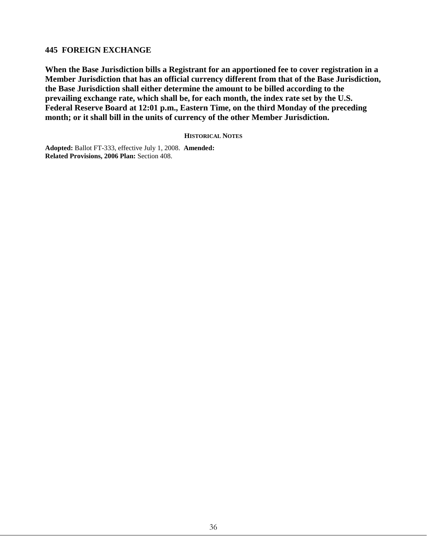## **445 FOREIGN EXCHANGE**

**When the Base Jurisdiction bills a Registrant for an apportioned fee to cover registration in a Member Jurisdiction that has an official currency different from that of the Base Jurisdiction, the Base Jurisdiction shall either determine the amount to be billed according to the prevailing exchange rate, which shall be, for each month, the index rate set by the U.S. Federal Reserve Board at 12:01 p.m., Eastern Time, on the third Monday of the preceding month; or it shall bill in the units of currency of the other Member Jurisdiction.** 

**HISTORICAL NOTES**

**Adopted:** Ballot FT-333, effective July 1, 2008. **Amended: Related Provisions, 2006 Plan:** Section 408.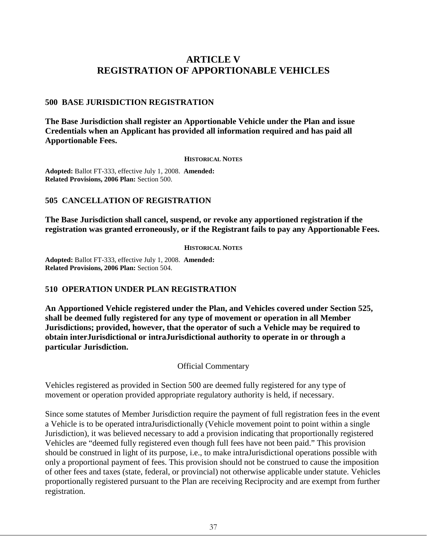# **ARTICLE V REGISTRATION OF APPORTIONABLE VEHICLES**

## **500 BASE JURISDICTION REGISTRATION**

**The Base Jurisdiction shall register an Apportionable Vehicle under the Plan and issue Credentials when an Applicant has provided all information required and has paid all Apportionable Fees.**

#### **HISTORICAL NOTES**

**Adopted:** Ballot FT-333, effective July 1, 2008. **Amended: Related Provisions, 2006 Plan:** Section 500.

## **505 CANCELLATION OF REGISTRATION**

**The Base Jurisdiction shall cancel, suspend, or revoke any apportioned registration if the registration was granted erroneously, or if the Registrant fails to pay any Apportionable Fees.**

**HISTORICAL NOTES**

**Adopted:** Ballot FT-333, effective July 1, 2008. **Amended: Related Provisions, 2006 Plan:** Section 504.

## **510 OPERATION UNDER PLAN REGISTRATION**

**An Apportioned Vehicle registered under the Plan, and Vehicles covered under Section 525, shall be deemed fully registered for any type of movement or operation in all Member Jurisdictions; provided, however, that the operator of such a Vehicle may be required to obtain interJurisdictional or intraJurisdictional authority to operate in or through a particular Jurisdiction.**

Official Commentary

Vehicles registered as provided in Section 500 are deemed fully registered for any type of movement or operation provided appropriate regulatory authority is held, if necessary.

Since some statutes of Member Jurisdiction require the payment of full registration fees in the event a Vehicle is to be operated intraJurisdictionally (Vehicle movement point to point within a single Jurisdiction), it was believed necessary to add a provision indicating that proportionally registered Vehicles are "deemed fully registered even though full fees have not been paid." This provision should be construed in light of its purpose, i.e., to make intraJurisdictional operations possible with only a proportional payment of fees. This provision should not be construed to cause the imposition of other fees and taxes (state, federal, or provincial) not otherwise applicable under statute. Vehicles proportionally registered pursuant to the Plan are receiving Reciprocity and are exempt from further registration.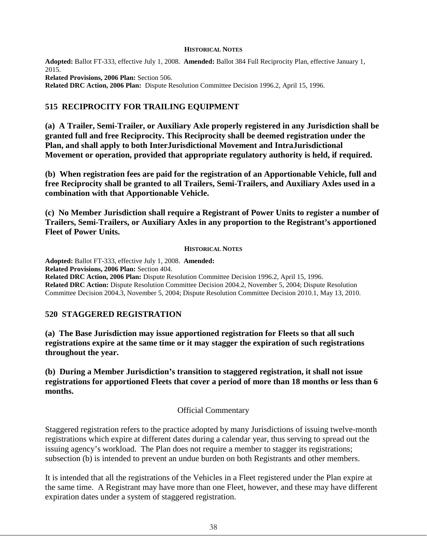#### **HISTORICAL NOTES**

**Adopted:** Ballot FT-333, effective July 1, 2008. **Amended:** Ballot 384 Full Reciprocity Plan, effective January 1, 2015.

**Related Provisions, 2006 Plan:** Section 506. **Related DRC Action, 2006 Plan:** Dispute Resolution Committee Decision 1996.2, April 15, 1996.

## **515 RECIPROCITY FOR TRAILING EQUIPMENT**

**(a) A Trailer, Semi-Trailer, or Auxiliary Axle properly registered in any Jurisdiction shall be granted full and free Reciprocity. This Reciprocity shall be deemed registration under the Plan, and shall apply to both InterJurisdictional Movement and IntraJurisdictional Movement or operation, provided that appropriate regulatory authority is held, if required.** 

**(b) When registration fees are paid for the registration of an Apportionable Vehicle, full and free Reciprocity shall be granted to all Trailers, Semi-Trailers, and Auxiliary Axles used in a combination with that Apportionable Vehicle.** 

**(c) No Member Jurisdiction shall require a Registrant of Power Units to register a number of Trailers, Semi-Trailers, or Auxiliary Axles in any proportion to the Registrant's apportioned Fleet of Power Units.**

### **HISTORICAL NOTES**

**Adopted:** Ballot FT-333, effective July 1, 2008. **Amended: Related Provisions, 2006 Plan:** Section 404. **Related DRC Action, 2006 Plan:** Dispute Resolution Committee Decision 1996.2, April 15, 1996. **Related DRC Action:** Dispute Resolution Committee Decision 2004.2, November 5, 2004; Dispute Resolution Committee Decision 2004.3, November 5, 2004; Dispute Resolution Committee Decision 2010.1, May 13, 2010.

## **520 STAGGERED REGISTRATION**

**(a) The Base Jurisdiction may issue apportioned registration for Fleets so that all such registrations expire at the same time or it may stagger the expiration of such registrations throughout the year.** 

**(b) During a Member Jurisdiction's transition to staggered registration, it shall not issue registrations for apportioned Fleets that cover a period of more than 18 months or less than 6 months.**

## Official Commentary

Staggered registration refers to the practice adopted by many Jurisdictions of issuing twelve-month registrations which expire at different dates during a calendar year, thus serving to spread out the issuing agency's workload. The Plan does not require a member to stagger its registrations; subsection (b) is intended to prevent an undue burden on both Registrants and other members.

It is intended that all the registrations of the Vehicles in a Fleet registered under the Plan expire at the same time. A Registrant may have more than one Fleet, however, and these may have different expiration dates under a system of staggered registration.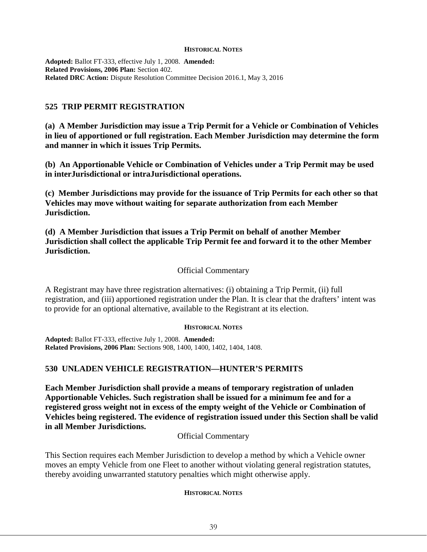#### **HISTORICAL NOTES**

**Adopted:** Ballot FT-333, effective July 1, 2008. **Amended: Related Provisions, 2006 Plan:** Section 402. **Related DRC Action:** Dispute Resolution Committee Decision 2016.1, May 3, 2016

## **525 TRIP PERMIT REGISTRATION**

**(a) A Member Jurisdiction may issue a Trip Permit for a Vehicle or Combination of Vehicles in lieu of apportioned or full registration. Each Member Jurisdiction may determine the form and manner in which it issues Trip Permits.** 

**(b) An Apportionable Vehicle or Combination of Vehicles under a Trip Permit may be used in interJurisdictional or intraJurisdictional operations.** 

**(c) Member Jurisdictions may provide for the issuance of Trip Permits for each other so that Vehicles may move without waiting for separate authorization from each Member Jurisdiction.** 

**(d) A Member Jurisdiction that issues a Trip Permit on behalf of another Member Jurisdiction shall collect the applicable Trip Permit fee and forward it to the other Member Jurisdiction.** 

## Official Commentary

A Registrant may have three registration alternatives: (i) obtaining a Trip Permit, (ii) full registration, and (iii) apportioned registration under the Plan. It is clear that the drafters' intent was to provide for an optional alternative, available to the Registrant at its election.

### **HISTORICAL NOTES**

**Adopted:** Ballot FT-333, effective July 1, 2008. **Amended: Related Provisions, 2006 Plan:** Sections 908, 1400, 1400, 1402, 1404, 1408.

## **530 UNLADEN VEHICLE REGISTRATION—HUNTER'S PERMITS**

**Each Member Jurisdiction shall provide a means of temporary registration of unladen Apportionable Vehicles. Such registration shall be issued for a minimum fee and for a registered gross weight not in excess of the empty weight of the Vehicle or Combination of Vehicles being registered. The evidence of registration issued under this Section shall be valid in all Member Jurisdictions.**

Official Commentary

This Section requires each Member Jurisdiction to develop a method by which a Vehicle owner moves an empty Vehicle from one Fleet to another without violating general registration statutes, thereby avoiding unwarranted statutory penalties which might otherwise apply.

## **HISTORICAL NOTES**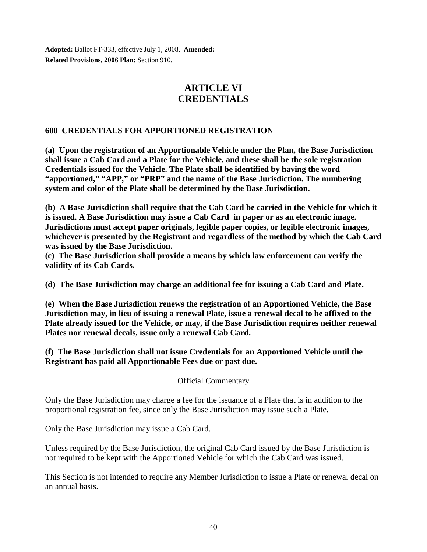**Adopted:** Ballot FT-333, effective July 1, 2008. **Amended: Related Provisions, 2006 Plan:** Section 910.

# **ARTICLE VI CREDENTIALS**

## **600 CREDENTIALS FOR APPORTIONED REGISTRATION**

**(a) Upon the registration of an Apportionable Vehicle under the Plan, the Base Jurisdiction shall issue a Cab Card and a Plate for the Vehicle, and these shall be the sole registration Credentials issued for the Vehicle. The Plate shall be identified by having the word "apportioned," "APP," or "PRP" and the name of the Base Jurisdiction. The numbering system and color of the Plate shall be determined by the Base Jurisdiction.**

**(b) A Base Jurisdiction shall require that the Cab Card be carried in the Vehicle for which it is issued. A Base Jurisdiction may issue a Cab Card in paper or as an electronic image. Jurisdictions must accept paper originals, legible paper copies, or legible electronic images, whichever is presented by the Registrant and regardless of the method by which the Cab Card was issued by the Base Jurisdiction.**

**(c) The Base Jurisdiction shall provide a means by which law enforcement can verify the validity of its Cab Cards.** 

**(d) The Base Jurisdiction may charge an additional fee for issuing a Cab Card and Plate.** 

**(e) When the Base Jurisdiction renews the registration of an Apportioned Vehicle, the Base Jurisdiction may, in lieu of issuing a renewal Plate, issue a renewal decal to be affixed to the Plate already issued for the Vehicle, or may, if the Base Jurisdiction requires neither renewal Plates nor renewal decals, issue only a renewal Cab Card.**

**(f) The Base Jurisdiction shall not issue Credentials for an Apportioned Vehicle until the Registrant has paid all Apportionable Fees due or past due.** 

Official Commentary

Only the Base Jurisdiction may charge a fee for the issuance of a Plate that is in addition to the proportional registration fee, since only the Base Jurisdiction may issue such a Plate.

Only the Base Jurisdiction may issue a Cab Card.

Unless required by the Base Jurisdiction, the original Cab Card issued by the Base Jurisdiction is not required to be kept with the Apportioned Vehicle for which the Cab Card was issued.

This Section is not intended to require any Member Jurisdiction to issue a Plate or renewal decal on an annual basis.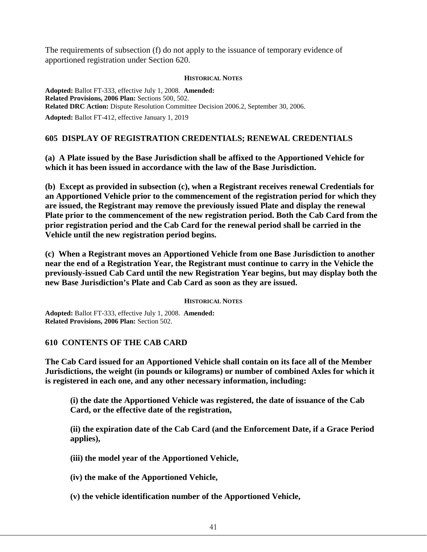The requirements of subsection (f) do not apply to the issuance of temporary evidence of apportioned registration under Section 620.

### **HISTORICAL NOTES**

**Adopted:** Ballot FT-333, effective July 1, 2008. **Amended: Related Provisions, 2006 Plan:** Sections 500, 502. **Related DRC Action:** Dispute Resolution Committee Decision 2006.2, September 30, 2006. **Adopted:** Ballot FT-412, effective January 1, 2019

## **605 DISPLAY OF REGISTRATION CREDENTIALS; RENEWAL CREDENTIALS**

**(a) A Plate issued by the Base Jurisdiction shall be affixed to the Apportioned Vehicle for which it has been issued in accordance with the law of the Base Jurisdiction.** 

**(b) Except as provided in subsection (c), when a Registrant receives renewal Credentials for an Apportioned Vehicle prior to the commencement of the registration period for which they are issued, the Registrant may remove the previously issued Plate and display the renewal Plate prior to the commencement of the new registration period. Both the Cab Card from the prior registration period and the Cab Card for the renewal period shall be carried in the Vehicle until the new registration period begins.**

**(c) When a Registrant moves an Apportioned Vehicle from one Base Jurisdiction to another near the end of a Registration Year, the Registrant must continue to carry in the Vehicle the previously-issued Cab Card until the new Registration Year begins, but may display both the new Base Jurisdiction's Plate and Cab Card as soon as they are issued.**

#### **HISTORICAL NOTES**

**Adopted:** Ballot FT-333, effective July 1, 2008. **Amended: Related Provisions, 2006 Plan:** Section 502.

## **610 CONTENTS OF THE CAB CARD**

**The Cab Card issued for an Apportioned Vehicle shall contain on its face all of the Member Jurisdictions, the weight (in pounds or kilograms) or number of combined Axles for which it is registered in each one, and any other necessary information, including:**

**(i) the date the Apportioned Vehicle was registered, the date of issuance of the Cab Card, or the effective date of the registration,**

**(ii) the expiration date of the Cab Card (and the Enforcement Date, if a Grace Period applies),**

**(iii) the model year of the Apportioned Vehicle,**

**(iv) the make of the Apportioned Vehicle,**

**(v) the vehicle identification number of the Apportioned Vehicle,**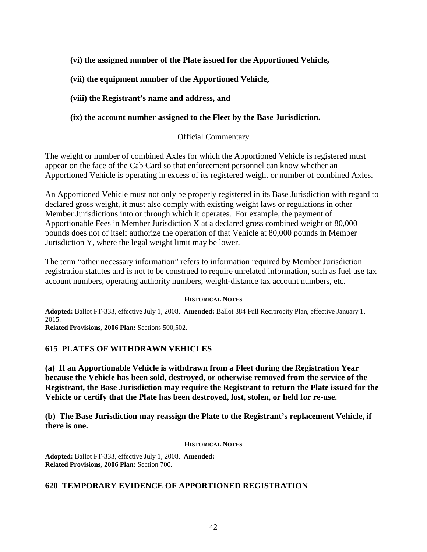## **(vi) the assigned number of the Plate issued for the Apportioned Vehicle,**

## **(vii) the equipment number of the Apportioned Vehicle,**

## **(viii) the Registrant's name and address, and**

## **(ix) the account number assigned to the Fleet by the Base Jurisdiction.**

## Official Commentary

The weight or number of combined Axles for which the Apportioned Vehicle is registered must appear on the face of the Cab Card so that enforcement personnel can know whether an Apportioned Vehicle is operating in excess of its registered weight or number of combined Axles.

An Apportioned Vehicle must not only be properly registered in its Base Jurisdiction with regard to declared gross weight, it must also comply with existing weight laws or regulations in other Member Jurisdictions into or through which it operates. For example, the payment of Apportionable Fees in Member Jurisdiction X at a declared gross combined weight of 80,000 pounds does not of itself authorize the operation of that Vehicle at 80,000 pounds in Member Jurisdiction Y, where the legal weight limit may be lower.

The term "other necessary information" refers to information required by Member Jurisdiction registration statutes and is not to be construed to require unrelated information, such as fuel use tax account numbers, operating authority numbers, weight-distance tax account numbers, etc.

### **HISTORICAL NOTES**

**Adopted:** Ballot FT-333, effective July 1, 2008. **Amended:** Ballot 384 Full Reciprocity Plan, effective January 1, 2015.

**Related Provisions, 2006 Plan:** Sections 500,502.

## **615 PLATES OF WITHDRAWN VEHICLES**

**(a) If an Apportionable Vehicle is withdrawn from a Fleet during the Registration Year because the Vehicle has been sold, destroyed, or otherwise removed from the service of the Registrant, the Base Jurisdiction may require the Registrant to return the Plate issued for the Vehicle or certify that the Plate has been destroyed, lost, stolen, or held for re-use.**

**(b) The Base Jurisdiction may reassign the Plate to the Registrant's replacement Vehicle, if there is one.**

### **HISTORICAL NOTES**

**Adopted:** Ballot FT-333, effective July 1, 2008. **Amended: Related Provisions, 2006 Plan:** Section 700.

## **620 TEMPORARY EVIDENCE OF APPORTIONED REGISTRATION**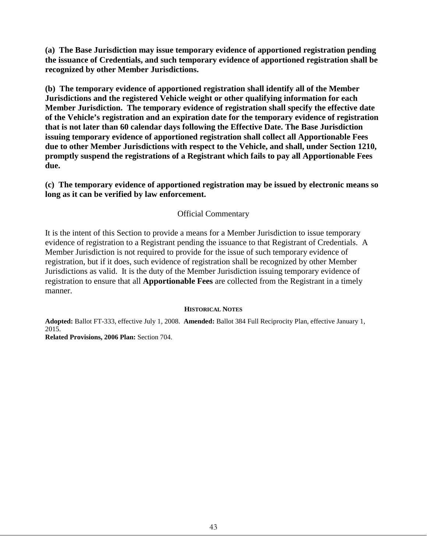**(a) The Base Jurisdiction may issue temporary evidence of apportioned registration pending the issuance of Credentials, and such temporary evidence of apportioned registration shall be recognized by other Member Jurisdictions.** 

**(b) The temporary evidence of apportioned registration shall identify all of the Member Jurisdictions and the registered Vehicle weight or other qualifying information for each Member Jurisdiction. The temporary evidence of registration shall specify the effective date of the Vehicle's registration and an expiration date for the temporary evidence of registration that is not later than 60 calendar days following the Effective Date. The Base Jurisdiction issuing temporary evidence of apportioned registration shall collect all Apportionable Fees due to other Member Jurisdictions with respect to the Vehicle, and shall, under Section 1210, promptly suspend the registrations of a Registrant which fails to pay all Apportionable Fees due.**

**(c) The temporary evidence of apportioned registration may be issued by electronic means so long as it can be verified by law enforcement.**

## Official Commentary

It is the intent of this Section to provide a means for a Member Jurisdiction to issue temporary evidence of registration to a Registrant pending the issuance to that Registrant of Credentials. A Member Jurisdiction is not required to provide for the issue of such temporary evidence of registration, but if it does, such evidence of registration shall be recognized by other Member Jurisdictions as valid. It is the duty of the Member Jurisdiction issuing temporary evidence of registration to ensure that all **Apportionable Fees** are collected from the Registrant in a timely manner.

### **HISTORICAL NOTES**

**Adopted:** Ballot FT-333, effective July 1, 2008. **Amended:** Ballot 384 Full Reciprocity Plan, effective January 1, 2015.

**Related Provisions, 2006 Plan:** Section 704.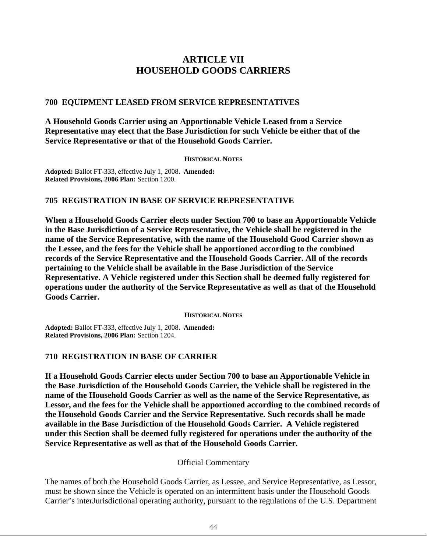# **ARTICLE VII HOUSEHOLD GOODS CARRIERS**

## **700 EQUIPMENT LEASED FROM SERVICE REPRESENTATIVES**

**A Household Goods Carrier using an Apportionable Vehicle Leased from a Service Representative may elect that the Base Jurisdiction for such Vehicle be either that of the Service Representative or that of the Household Goods Carrier.**

#### **HISTORICAL NOTES**

**Adopted:** Ballot FT-333, effective July 1, 2008. **Amended: Related Provisions, 2006 Plan:** Section 1200.

## **705 REGISTRATION IN BASE OF SERVICE REPRESENTATIVE**

**When a Household Goods Carrier elects under Section 700 to base an Apportionable Vehicle in the Base Jurisdiction of a Service Representative, the Vehicle shall be registered in the name of the Service Representative, with the name of the Household Good Carrier shown as the Lessee, and the fees for the Vehicle shall be apportioned according to the combined records of the Service Representative and the Household Goods Carrier. All of the records pertaining to the Vehicle shall be available in the Base Jurisdiction of the Service Representative. A Vehicle registered under this Section shall be deemed fully registered for operations under the authority of the Service Representative as well as that of the Household Goods Carrier.**

**HISTORICAL NOTES**

**Adopted:** Ballot FT-333, effective July 1, 2008. **Amended: Related Provisions, 2006 Plan:** Section 1204.

## **710 REGISTRATION IN BASE OF CARRIER**

**If a Household Goods Carrier elects under Section 700 to base an Apportionable Vehicle in the Base Jurisdiction of the Household Goods Carrier, the Vehicle shall be registered in the name of the Household Goods Carrier as well as the name of the Service Representative, as Lessor, and the fees for the Vehicle shall be apportioned according to the combined records of the Household Goods Carrier and the Service Representative. Such records shall be made available in the Base Jurisdiction of the Household Goods Carrier. A Vehicle registered under this Section shall be deemed fully registered for operations under the authority of the Service Representative as well as that of the Household Goods Carrier.**

## Official Commentary

The names of both the Household Goods Carrier, as Lessee, and Service Representative, as Lessor, must be shown since the Vehicle is operated on an intermittent basis under the Household Goods Carrier's interJurisdictional operating authority, pursuant to the regulations of the U.S. Department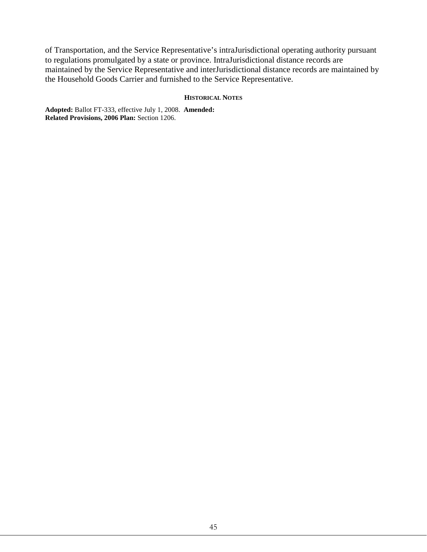of Transportation, and the Service Representative's intraJurisdictional operating authority pursuant to regulations promulgated by a state or province. IntraJurisdictional distance records are maintained by the Service Representative and interJurisdictional distance records are maintained by the Household Goods Carrier and furnished to the Service Representative.

#### **HISTORICAL NOTES**

**Adopted:** Ballot FT-333, effective July 1, 2008. **Amended: Related Provisions, 2006 Plan:** Section 1206.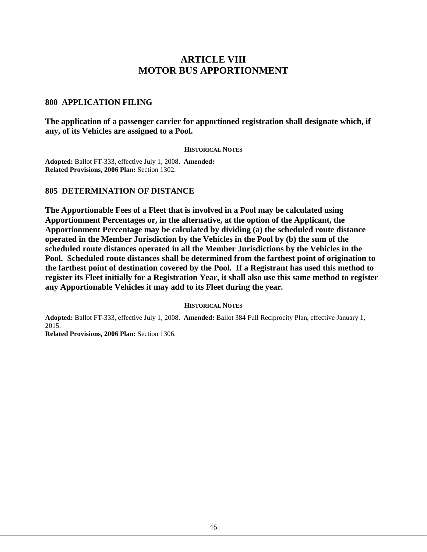# **ARTICLE VIII MOTOR BUS APPORTIONMENT**

### **800 APPLICATION FILING**

**The application of a passenger carrier for apportioned registration shall designate which, if any, of its Vehicles are assigned to a Pool.**

#### **HISTORICAL NOTES**

**Adopted:** Ballot FT-333, effective July 1, 2008. **Amended: Related Provisions, 2006 Plan:** Section 1302.

### **805 DETERMINATION OF DISTANCE**

**The Apportionable Fees of a Fleet that is involved in a Pool may be calculated using Apportionment Percentages or, in the alternative, at the option of the Applicant, the Apportionment Percentage may be calculated by dividing (a) the scheduled route distance operated in the Member Jurisdiction by the Vehicles in the Pool by (b) the sum of the scheduled route distances operated in all the Member Jurisdictions by the Vehicles in the Pool. Scheduled route distances shall be determined from the farthest point of origination to the farthest point of destination covered by the Pool. If a Registrant has used this method to register its Fleet initially for a Registration Year, it shall also use this same method to register any Apportionable Vehicles it may add to its Fleet during the year.**

#### **HISTORICAL NOTES**

**Adopted:** Ballot FT-333, effective July 1, 2008. **Amended:** Ballot 384 Full Reciprocity Plan, effective January 1, 2015.

**Related Provisions, 2006 Plan:** Section 1306.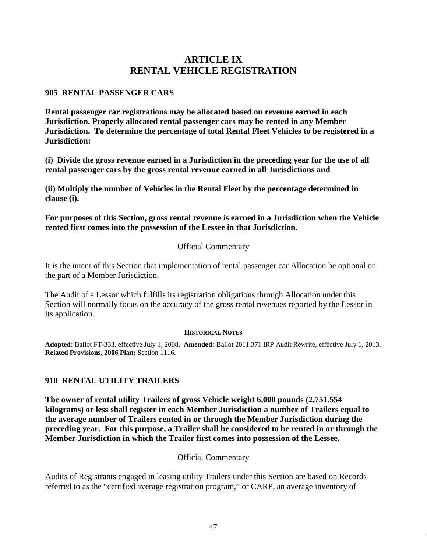# **ARTICLE IX RENTAL VEHICLE REGISTRATION**

## **905 RENTAL PASSENGER CARS**

**Rental passenger car registrations may be allocated based on revenue earned in each Jurisdiction. Properly allocated rental passenger cars may be rented in any Member Jurisdiction. To determine the percentage of total Rental Fleet Vehicles to be registered in a Jurisdiction:** 

**(i) Divide the gross revenue earned in a Jurisdiction in the preceding year for the use of all rental passenger cars by the gross rental revenue earned in all Jurisdictions and** 

**(ii) Multiply the number of Vehicles in the Rental Fleet by the percentage determined in clause (i).**

**For purposes of this Section, gross rental revenue is earned in a Jurisdiction when the Vehicle rented first comes into the possession of the Lessee in that Jurisdiction.**

## Official Commentary

It is the intent of this Section that implementation of rental passenger car Allocation be optional on the part of a Member Jurisdiction.

The Audit of a Lessor which fulfills its registration obligations through Allocation under this Section will normally focus on the accuracy of the gross rental revenues reported by the Lessor in its application.

## **HISTORICAL NOTES**

**Adopted:** Ballot FT-333, effective July 1, 2008. **Amended:** Ballot 2011.371 IRP Audit Rewrite, effective July 1, 2013. **Related Provisions, 2006 Plan:** Section 1116.

## **910 RENTAL UTILITY TRAILERS**

**The owner of rental utility Trailers of gross Vehicle weight 6,000 pounds (2,751.554 kilograms) or less shall register in each Member Jurisdiction a number of Trailers equal to the average number of Trailers rented in or through the Member Jurisdiction during the preceding year. For this purpose, a Trailer shall be considered to be rented in or through the Member Jurisdiction in which the Trailer first comes into possession of the Lessee.** 

## Official Commentary

Audits of Registrants engaged in leasing utility Trailers under this Section are based on Records referred to as the "certified average registration program," or CARP, an average inventory of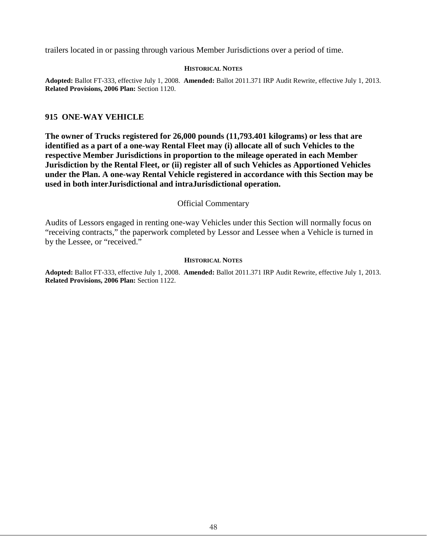trailers located in or passing through various Member Jurisdictions over a period of time.

#### **HISTORICAL NOTES**

**Adopted:** Ballot FT-333, effective July 1, 2008. **Amended:** Ballot 2011.371 IRP Audit Rewrite, effective July 1, 2013. **Related Provisions, 2006 Plan:** Section 1120.

### **915 ONE-WAY VEHICLE**

**The owner of Trucks registered for 26,000 pounds (11,793.401 kilograms) or less that are identified as a part of a one-way Rental Fleet may (i) allocate all of such Vehicles to the respective Member Jurisdictions in proportion to the mileage operated in each Member Jurisdiction by the Rental Fleet, or (ii) register all of such Vehicles as Apportioned Vehicles under the Plan. A one-way Rental Vehicle registered in accordance with this Section may be used in both interJurisdictional and intraJurisdictional operation.**

### Official Commentary

Audits of Lessors engaged in renting one-way Vehicles under this Section will normally focus on "receiving contracts," the paperwork completed by Lessor and Lessee when a Vehicle is turned in by the Lessee, or "received."

#### **HISTORICAL NOTES**

**Adopted:** Ballot FT-333, effective July 1, 2008. **Amended:** Ballot 2011.371 IRP Audit Rewrite, effective July 1, 2013. **Related Provisions, 2006 Plan:** Section 1122.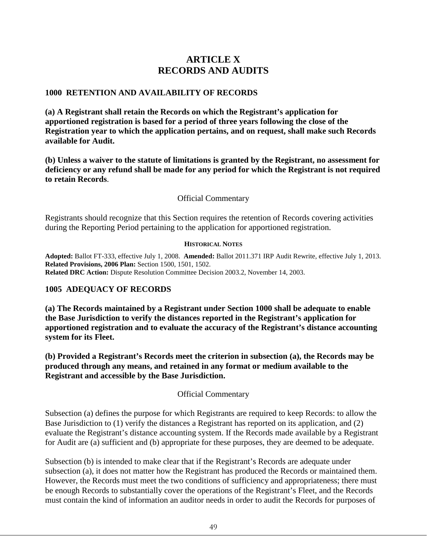# **ARTICLE X RECORDS AND AUDITS**

## **1000 RETENTION AND AVAILABILITY OF RECORDS**

**(a) A Registrant shall retain the Records on which the Registrant's application for apportioned registration is based for a period of three years following the close of the Registration year to which the application pertains, and on request, shall make such Records available for Audit.** 

**(b) Unless a waiver to the statute of limitations is granted by the Registrant, no assessment for deficiency or any refund shall be made for any period for which the Registrant is not required to retain Records**.

## Official Commentary

Registrants should recognize that this Section requires the retention of Records covering activities during the Reporting Period pertaining to the application for apportioned registration.

### **HISTORICAL NOTES**

**Adopted:** Ballot FT-333, effective July 1, 2008. **Amended:** Ballot 2011.371 IRP Audit Rewrite, effective July 1, 2013. **Related Provisions, 2006 Plan:** Section 1500, 1501, 1502. **Related DRC Action:** Dispute Resolution Committee Decision 2003.2, November 14, 2003.

## **1005 ADEQUACY OF RECORDS**

**(a) The Records maintained by a Registrant under Section 1000 shall be adequate to enable the Base Jurisdiction to verify the distances reported in the Registrant's application for apportioned registration and to evaluate the accuracy of the Registrant's distance accounting system for its Fleet.** 

**(b) Provided a Registrant's Records meet the criterion in subsection (a), the Records may be produced through any means, and retained in any format or medium available to the Registrant and accessible by the Base Jurisdiction.** 

## Official Commentary

Subsection (a) defines the purpose for which Registrants are required to keep Records: to allow the Base Jurisdiction to (1) verify the distances a Registrant has reported on its application, and (2) evaluate the Registrant's distance accounting system. If the Records made available by a Registrant for Audit are (a) sufficient and (b) appropriate for these purposes, they are deemed to be adequate.

Subsection (b) is intended to make clear that if the Registrant's Records are adequate under subsection (a), it does not matter how the Registrant has produced the Records or maintained them. However, the Records must meet the two conditions of sufficiency and appropriateness; there must be enough Records to substantially cover the operations of the Registrant's Fleet, and the Records must contain the kind of information an auditor needs in order to audit the Records for purposes of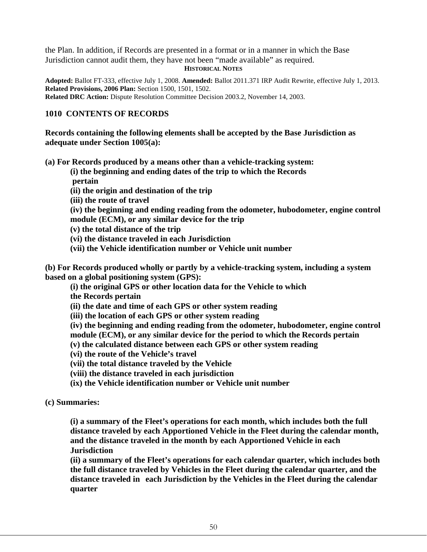the Plan. In addition, if Records are presented in a format or in a manner in which the Base Jurisdiction cannot audit them, they have not been "made available" as required. **HISTORICAL NOTES**

**Adopted:** Ballot FT-333, effective July 1, 2008. **Amended:** Ballot 2011.371 IRP Audit Rewrite, effective July 1, 2013. **Related Provisions, 2006 Plan:** Section 1500, 1501, 1502. **Related DRC Action:** Dispute Resolution Committee Decision 2003.2, November 14, 2003.

## **1010 CONTENTS OF RECORDS**

**Records containing the following elements shall be accepted by the Base Jurisdiction as adequate under Section 1005(a):** 

**(a) For Records produced by a means other than a vehicle-tracking system:** 

**(i) the beginning and ending dates of the trip to which the Records pertain** 

**(ii) the origin and destination of the trip** 

**(iii) the route of travel** 

**(iv) the beginning and ending reading from the odometer, hubodometer, engine control module (ECM), or any similar device for the trip**

**(v) the total distance of the trip** 

**(vi) the distance traveled in each Jurisdiction** 

**(vii) the Vehicle identification number or Vehicle unit number** 

**(b) For Records produced wholly or partly by a vehicle-tracking system, including a system based on a global positioning system (GPS):**

**(i) the original GPS or other location data for the Vehicle to which** 

**the Records pertain** 

**(ii) the date and time of each GPS or other system reading** 

**(iii) the location of each GPS or other system reading**

**(iv) the beginning and ending reading from the odometer, hubodometer, engine control module (ECM), or any similar device for the period to which the Records pertain** 

**(v) the calculated distance between each GPS or other system reading** 

**(vi) the route of the Vehicle's travel** 

**(vii) the total distance traveled by the Vehicle** 

**(viii) the distance traveled in each jurisdiction** 

**(ix) the Vehicle identification number or Vehicle unit number** 

**(c) Summaries:** 

**(i) a summary of the Fleet's operations for each month, which includes both the full distance traveled by each Apportioned Vehicle in the Fleet during the calendar month, and the distance traveled in the month by each Apportioned Vehicle in each Jurisdiction** 

**(ii) a summary of the Fleet's operations for each calendar quarter, which includes both the full distance traveled by Vehicles in the Fleet during the calendar quarter, and the distance traveled in each Jurisdiction by the Vehicles in the Fleet during the calendar quarter**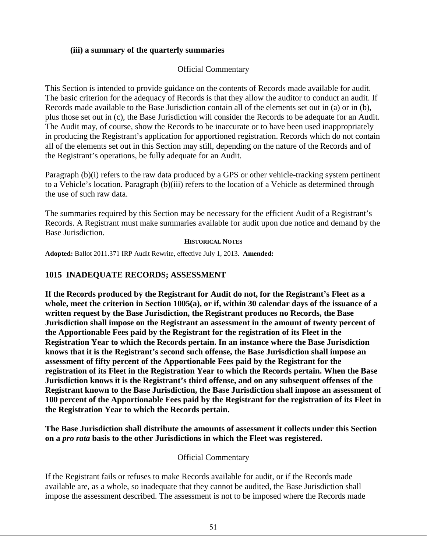## **(iii) a summary of the quarterly summaries**

## Official Commentary

This Section is intended to provide guidance on the contents of Records made available for audit. The basic criterion for the adequacy of Records is that they allow the auditor to conduct an audit. If Records made available to the Base Jurisdiction contain all of the elements set out in (a) or in (b), plus those set out in (c), the Base Jurisdiction will consider the Records to be adequate for an Audit. The Audit may, of course, show the Records to be inaccurate or to have been used inappropriately in producing the Registrant's application for apportioned registration. Records which do not contain all of the elements set out in this Section may still, depending on the nature of the Records and of the Registrant's operations, be fully adequate for an Audit.

Paragraph (b)(i) refers to the raw data produced by a GPS or other vehicle-tracking system pertinent to a Vehicle's location. Paragraph (b)(iii) refers to the location of a Vehicle as determined through the use of such raw data.

The summaries required by this Section may be necessary for the efficient Audit of a Registrant's Records. A Registrant must make summaries available for audit upon due notice and demand by the Base Jurisdiction.

### **HISTORICAL NOTES**

**Adopted:** Ballot 2011.371 IRP Audit Rewrite, effective July 1, 2013. **Amended:**

## **1015 INADEQUATE RECORDS; ASSESSMENT**

**If the Records produced by the Registrant for Audit do not, for the Registrant's Fleet as a whole, meet the criterion in Section 1005(a), or if, within 30 calendar days of the issuance of a written request by the Base Jurisdiction, the Registrant produces no Records, the Base Jurisdiction shall impose on the Registrant an assessment in the amount of twenty percent of the Apportionable Fees paid by the Registrant for the registration of its Fleet in the Registration Year to which the Records pertain. In an instance where the Base Jurisdiction knows that it is the Registrant's second such offense, the Base Jurisdiction shall impose an assessment of fifty percent of the Apportionable Fees paid by the Registrant for the registration of its Fleet in the Registration Year to which the Records pertain. When the Base Jurisdiction knows it is the Registrant's third offense, and on any subsequent offenses of the Registrant known to the Base Jurisdiction, the Base Jurisdiction shall impose an assessment of 100 percent of the Apportionable Fees paid by the Registrant for the registration of its Fleet in the Registration Year to which the Records pertain.** 

**The Base Jurisdiction shall distribute the amounts of assessment it collects under this Section on a** *pro rata* **basis to the other Jurisdictions in which the Fleet was registered.** 

## Official Commentary

If the Registrant fails or refuses to make Records available for audit, or if the Records made available are, as a whole, so inadequate that they cannot be audited, the Base Jurisdiction shall impose the assessment described. The assessment is not to be imposed where the Records made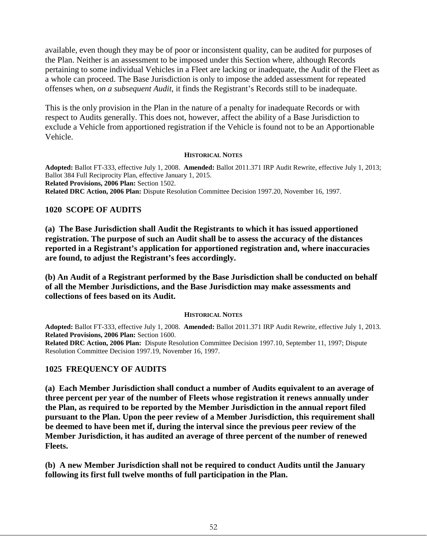available, even though they may be of poor or inconsistent quality, can be audited for purposes of the Plan. Neither is an assessment to be imposed under this Section where, although Records pertaining to some individual Vehicles in a Fleet are lacking or inadequate, the Audit of the Fleet as a whole can proceed. The Base Jurisdiction is only to impose the added assessment for repeated offenses when, *on a subsequent Audit*, it finds the Registrant's Records still to be inadequate.

This is the only provision in the Plan in the nature of a penalty for inadequate Records or with respect to Audits generally. This does not, however, affect the ability of a Base Jurisdiction to exclude a Vehicle from apportioned registration if the Vehicle is found not to be an Apportionable Vehicle.

#### **HISTORICAL NOTES**

**Adopted:** Ballot FT-333, effective July 1, 2008. **Amended:** Ballot 2011.371 IRP Audit Rewrite, effective July 1, 2013; Ballot 384 Full Reciprocity Plan, effective January 1, 2015. **Related Provisions, 2006 Plan:** Section 1502. **Related DRC Action, 2006 Plan:** Dispute Resolution Committee Decision 1997.20, November 16, 1997.

## **1020 SCOPE OF AUDITS**

**(a) The Base Jurisdiction shall Audit the Registrants to which it has issued apportioned registration. The purpose of such an Audit shall be to assess the accuracy of the distances reported in a Registrant's application for apportioned registration and, where inaccuracies are found, to adjust the Registrant's fees accordingly.** 

**(b) An Audit of a Registrant performed by the Base Jurisdiction shall be conducted on behalf of all the Member Jurisdictions, and the Base Jurisdiction may make assessments and collections of fees based on its Audit.**

### **HISTORICAL NOTES**

**Adopted:** Ballot FT-333, effective July 1, 2008. **Amended:** Ballot 2011.371 IRP Audit Rewrite, effective July 1, 2013. **Related Provisions, 2006 Plan:** Section 1600.

**Related DRC Action, 2006 Plan:** Dispute Resolution Committee Decision 1997.10, September 11, 1997; Dispute Resolution Committee Decision 1997.19, November 16, 1997.

## **1025 FREQUENCY OF AUDITS**

**(a) Each Member Jurisdiction shall conduct a number of Audits equivalent to an average of three percent per year of the number of Fleets whose registration it renews annually under the Plan, as required to be reported by the Member Jurisdiction in the annual report filed pursuant to the Plan. Upon the peer review of a Member Jurisdiction, this requirement shall be deemed to have been met if, during the interval since the previous peer review of the Member Jurisdiction, it has audited an average of three percent of the number of renewed Fleets.** 

**(b) A new Member Jurisdiction shall not be required to conduct Audits until the January following its first full twelve months of full participation in the Plan.**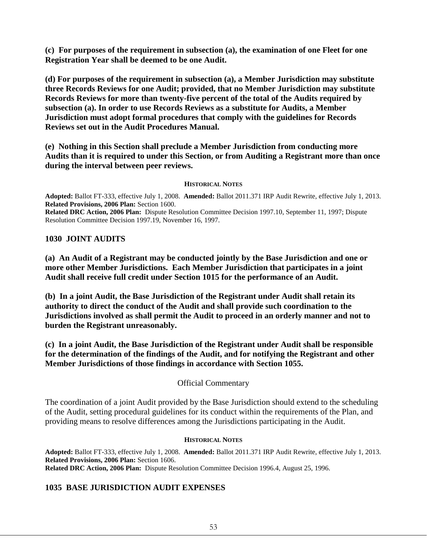**(c) For purposes of the requirement in subsection (a), the examination of one Fleet for one Registration Year shall be deemed to be one Audit.**

**(d) For purposes of the requirement in subsection (a), a Member Jurisdiction may substitute three Records Reviews for one Audit; provided, that no Member Jurisdiction may substitute Records Reviews for more than twenty-five percent of the total of the Audits required by subsection (a). In order to use Records Reviews as a substitute for Audits, a Member Jurisdiction must adopt formal procedures that comply with the guidelines for Records Reviews set out in the Audit Procedures Manual.**

**(e) Nothing in this Section shall preclude a Member Jurisdiction from conducting more Audits than it is required to under this Section, or from Auditing a Registrant more than once during the interval between peer reviews.**

### **HISTORICAL NOTES**

**Adopted:** Ballot FT-333, effective July 1, 2008. **Amended:** Ballot 2011.371 IRP Audit Rewrite, effective July 1, 2013. **Related Provisions, 2006 Plan:** Section 1600.

**Related DRC Action, 2006 Plan:** Dispute Resolution Committee Decision 1997.10, September 11, 1997; Dispute Resolution Committee Decision 1997.19, November 16, 1997.

## **1030 JOINT AUDITS**

**(a) An Audit of a Registrant may be conducted jointly by the Base Jurisdiction and one or more other Member Jurisdictions. Each Member Jurisdiction that participates in a joint Audit shall receive full credit under Section 1015 for the performance of an Audit.** 

**(b) In a joint Audit, the Base Jurisdiction of the Registrant under Audit shall retain its authority to direct the conduct of the Audit and shall provide such coordination to the Jurisdictions involved as shall permit the Audit to proceed in an orderly manner and not to burden the Registrant unreasonably.**

**(c) In a joint Audit, the Base Jurisdiction of the Registrant under Audit shall be responsible for the determination of the findings of the Audit, and for notifying the Registrant and other Member Jurisdictions of those findings in accordance with Section 1055.** 

## Official Commentary

The coordination of a joint Audit provided by the Base Jurisdiction should extend to the scheduling of the Audit, setting procedural guidelines for its conduct within the requirements of the Plan, and providing means to resolve differences among the Jurisdictions participating in the Audit.

## **HISTORICAL NOTES**

**Adopted:** Ballot FT-333, effective July 1, 2008. **Amended:** Ballot 2011.371 IRP Audit Rewrite, effective July 1, 2013. **Related Provisions, 2006 Plan:** Section 1606. **Related DRC Action, 2006 Plan:** Dispute Resolution Committee Decision 1996.4, August 25, 1996.

## **1035 BASE JURISDICTION AUDIT EXPENSES**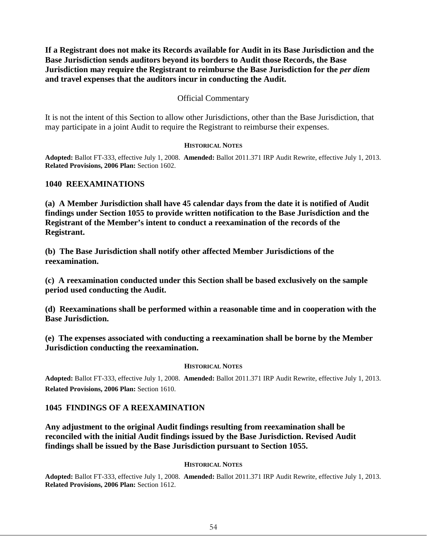**If a Registrant does not make its Records available for Audit in its Base Jurisdiction and the Base Jurisdiction sends auditors beyond its borders to Audit those Records, the Base Jurisdiction may require the Registrant to reimburse the Base Jurisdiction for the** *per diem* **and travel expenses that the auditors incur in conducting the Audit.**

## Official Commentary

It is not the intent of this Section to allow other Jurisdictions, other than the Base Jurisdiction, that may participate in a joint Audit to require the Registrant to reimburse their expenses.

### **HISTORICAL NOTES**

**Adopted:** Ballot FT-333, effective July 1, 2008. **Amended:** Ballot 2011.371 IRP Audit Rewrite, effective July 1, 2013. **Related Provisions, 2006 Plan:** Section 1602.

### **1040 REEXAMINATIONS**

**(a) A Member Jurisdiction shall have 45 calendar days from the date it is notified of Audit findings under Section 1055 to provide written notification to the Base Jurisdiction and the Registrant of the Member's intent to conduct a reexamination of the records of the Registrant.** 

**(b) The Base Jurisdiction shall notify other affected Member Jurisdictions of the reexamination.** 

**(c) A reexamination conducted under this Section shall be based exclusively on the sample period used conducting the Audit.** 

**(d) Reexaminations shall be performed within a reasonable time and in cooperation with the Base Jurisdiction.** 

**(e) The expenses associated with conducting a reexamination shall be borne by the Member Jurisdiction conducting the reexamination.**

### **HISTORICAL NOTES**

**Adopted:** Ballot FT-333, effective July 1, 2008. **Amended:** Ballot 2011.371 IRP Audit Rewrite, effective July 1, 2013. **Related Provisions, 2006 Plan:** Section 1610.

## **1045 FINDINGS OF A REEXAMINATION**

**Any adjustment to the original Audit findings resulting from reexamination shall be reconciled with the initial Audit findings issued by the Base Jurisdiction. Revised Audit findings shall be issued by the Base Jurisdiction pursuant to Section 1055.**

### **HISTORICAL NOTES**

**Adopted:** Ballot FT-333, effective July 1, 2008. **Amended:** Ballot 2011.371 IRP Audit Rewrite, effective July 1, 2013. **Related Provisions, 2006 Plan:** Section 1612.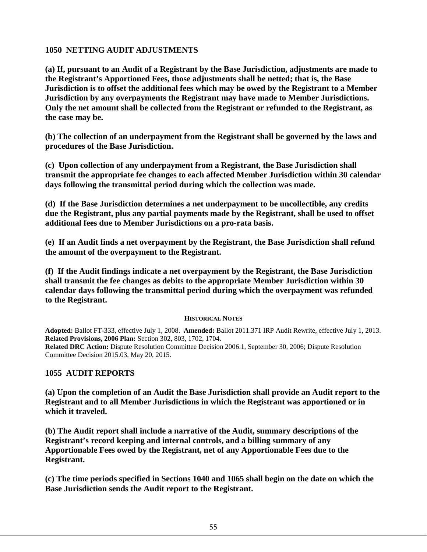## **1050 NETTING AUDIT ADJUSTMENTS**

**(a) If, pursuant to an Audit of a Registrant by the Base Jurisdiction, adjustments are made to the Registrant's Apportioned Fees, those adjustments shall be netted; that is, the Base Jurisdiction is to offset the additional fees which may be owed by the Registrant to a Member Jurisdiction by any overpayments the Registrant may have made to Member Jurisdictions. Only the net amount shall be collected from the Registrant or refunded to the Registrant, as the case may be.**

**(b) The collection of an underpayment from the Registrant shall be governed by the laws and procedures of the Base Jurisdiction.**

**(c) Upon collection of any underpayment from a Registrant, the Base Jurisdiction shall transmit the appropriate fee changes to each affected Member Jurisdiction within 30 calendar days following the transmittal period during which the collection was made.** 

**(d) If the Base Jurisdiction determines a net underpayment to be uncollectible, any credits due the Registrant, plus any partial payments made by the Registrant, shall be used to offset additional fees due to Member Jurisdictions on a pro-rata basis.** 

**(e) If an Audit finds a net overpayment by the Registrant, the Base Jurisdiction shall refund the amount of the overpayment to the Registrant.**

**(f) If the Audit findings indicate a net overpayment by the Registrant, the Base Jurisdiction shall transmit the fee changes as debits to the appropriate Member Jurisdiction within 30 calendar days following the transmittal period during which the overpayment was refunded to the Registrant.**

## **HISTORICAL NOTES**

**Adopted:** Ballot FT-333, effective July 1, 2008. **Amended:** Ballot 2011.371 IRP Audit Rewrite, effective July 1, 2013. **Related Provisions, 2006 Plan:** Section 302, 803, 1702, 1704. **Related DRC Action:** Dispute Resolution Committee Decision 2006.1, September 30, 2006; Dispute Resolution Committee Decision 2015.03, May 20, 2015.

## **1055 AUDIT REPORTS**

**(a) Upon the completion of an Audit the Base Jurisdiction shall provide an Audit report to the Registrant and to all Member Jurisdictions in which the Registrant was apportioned or in which it traveled.** 

**(b) The Audit report shall include a narrative of the Audit, summary descriptions of the Registrant's record keeping and internal controls, and a billing summary of any Apportionable Fees owed by the Registrant, net of any Apportionable Fees due to the Registrant.**

**(c) The time periods specified in Sections 1040 and 1065 shall begin on the date on which the Base Jurisdiction sends the Audit report to the Registrant.**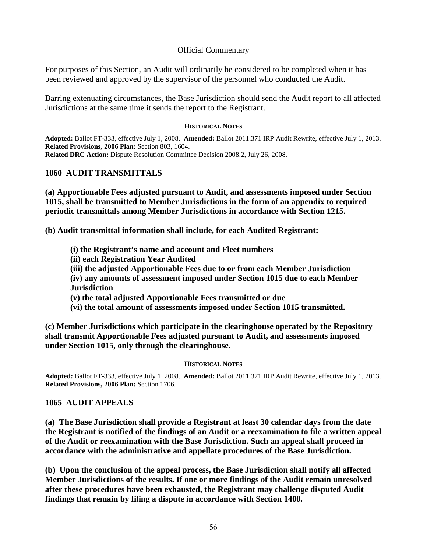## Official Commentary

For purposes of this Section, an Audit will ordinarily be considered to be completed when it has been reviewed and approved by the supervisor of the personnel who conducted the Audit.

Barring extenuating circumstances, the Base Jurisdiction should send the Audit report to all affected Jurisdictions at the same time it sends the report to the Registrant.

### **HISTORICAL NOTES**

**Adopted:** Ballot FT-333, effective July 1, 2008. **Amended:** Ballot 2011.371 IRP Audit Rewrite, effective July 1, 2013. **Related Provisions, 2006 Plan:** Section 803, 1604. **Related DRC Action:** Dispute Resolution Committee Decision 2008.2, July 26, 2008.

## **1060 AUDIT TRANSMITTALS**

**(a) Apportionable Fees adjusted pursuant to Audit, and assessments imposed under Section 1015, shall be transmitted to Member Jurisdictions in the form of an appendix to required periodic transmittals among Member Jurisdictions in accordance with Section 1215.** 

**(b) Audit transmittal information shall include, for each Audited Registrant:**

- **(i) the Registrant's name and account and Fleet numbers**
- **(ii) each Registration Year Audited**
- **(iii) the adjusted Apportionable Fees due to or from each Member Jurisdiction**

**(iv) any amounts of assessment imposed under Section 1015 due to each Member Jurisdiction**

- **(v) the total adjusted Apportionable Fees transmitted or due**
- **(vi) the total amount of assessments imposed under Section 1015 transmitted.**

**(c) Member Jurisdictions which participate in the clearinghouse operated by the Repository shall transmit Apportionable Fees adjusted pursuant to Audit, and assessments imposed under Section 1015, only through the clearinghouse.**

## **HISTORICAL NOTES**

**Adopted:** Ballot FT-333, effective July 1, 2008. **Amended:** Ballot 2011.371 IRP Audit Rewrite, effective July 1, 2013. **Related Provisions, 2006 Plan:** Section 1706.

## **1065 AUDIT APPEALS**

**(a) The Base Jurisdiction shall provide a Registrant at least 30 calendar days from the date the Registrant is notified of the findings of an Audit or a reexamination to file a written appeal of the Audit or reexamination with the Base Jurisdiction. Such an appeal shall proceed in accordance with the administrative and appellate procedures of the Base Jurisdiction.** 

**(b) Upon the conclusion of the appeal process, the Base Jurisdiction shall notify all affected Member Jurisdictions of the results. If one or more findings of the Audit remain unresolved after these procedures have been exhausted, the Registrant may challenge disputed Audit findings that remain by filing a dispute in accordance with Section 1400.**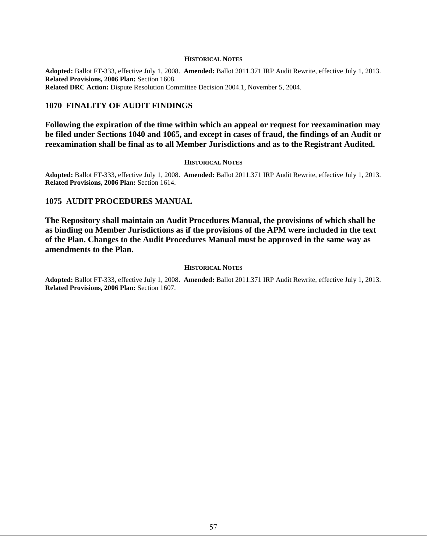#### **HISTORICAL NOTES**

**Adopted:** Ballot FT-333, effective July 1, 2008. **Amended:** Ballot 2011.371 IRP Audit Rewrite, effective July 1, 2013. **Related Provisions, 2006 Plan:** Section 1608. **Related DRC Action:** Dispute Resolution Committee Decision 2004.1, November 5, 2004.

### **1070 FINALITY OF AUDIT FINDINGS**

**Following the expiration of the time within which an appeal or request for reexamination may be filed under Sections 1040 and 1065, and except in cases of fraud, the findings of an Audit or reexamination shall be final as to all Member Jurisdictions and as to the Registrant Audited.**

#### **HISTORICAL NOTES**

**Adopted:** Ballot FT-333, effective July 1, 2008. **Amended:** Ballot 2011.371 IRP Audit Rewrite, effective July 1, 2013. **Related Provisions, 2006 Plan:** Section 1614.

### **1075 AUDIT PROCEDURES MANUAL**

**The Repository shall maintain an Audit Procedures Manual, the provisions of which shall be as binding on Member Jurisdictions as if the provisions of the APM were included in the text of the Plan. Changes to the Audit Procedures Manual must be approved in the same way as amendments to the Plan.**

#### **HISTORICAL NOTES**

**Adopted:** Ballot FT-333, effective July 1, 2008. **Amended:** Ballot 2011.371 IRP Audit Rewrite, effective July 1, 2013. **Related Provisions, 2006 Plan:** Section 1607.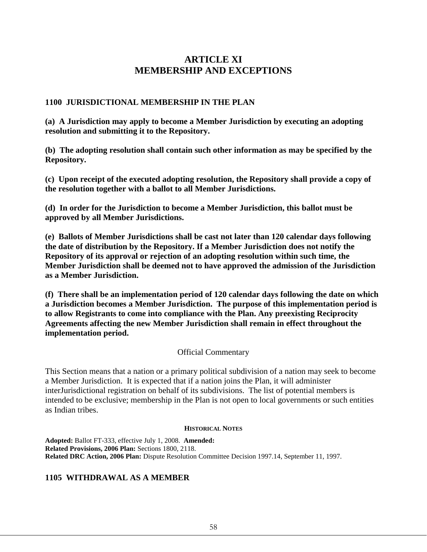# **ARTICLE XI MEMBERSHIP AND EXCEPTIONS**

## **1100 JURISDICTIONAL MEMBERSHIP IN THE PLAN**

**(a) A Jurisdiction may apply to become a Member Jurisdiction by executing an adopting resolution and submitting it to the Repository.**

**(b) The adopting resolution shall contain such other information as may be specified by the Repository.** 

**(c) Upon receipt of the executed adopting resolution, the Repository shall provide a copy of the resolution together with a ballot to all Member Jurisdictions.** 

**(d) In order for the Jurisdiction to become a Member Jurisdiction, this ballot must be approved by all Member Jurisdictions.** 

**(e) Ballots of Member Jurisdictions shall be cast not later than 120 calendar days following the date of distribution by the Repository. If a Member Jurisdiction does not notify the Repository of its approval or rejection of an adopting resolution within such time, the Member Jurisdiction shall be deemed not to have approved the admission of the Jurisdiction as a Member Jurisdiction.** 

**(f) There shall be an implementation period of 120 calendar days following the date on which a Jurisdiction becomes a Member Jurisdiction. The purpose of this implementation period is to allow Registrants to come into compliance with the Plan. Any preexisting Reciprocity Agreements affecting the new Member Jurisdiction shall remain in effect throughout the implementation period.**

## Official Commentary

This Section means that a nation or a primary political subdivision of a nation may seek to become a Member Jurisdiction. It is expected that if a nation joins the Plan, it will administer interJurisdictional registration on behalf of its subdivisions. The list of potential members is intended to be exclusive; membership in the Plan is not open to local governments or such entities as Indian tribes.

### **HISTORICAL NOTES**

**Adopted:** Ballot FT-333, effective July 1, 2008. **Amended: Related Provisions, 2006 Plan:** Sections 1800, 2118. **Related DRC Action, 2006 Plan:** Dispute Resolution Committee Decision 1997.14, September 11, 1997.

## **1105 WITHDRAWAL AS A MEMBER**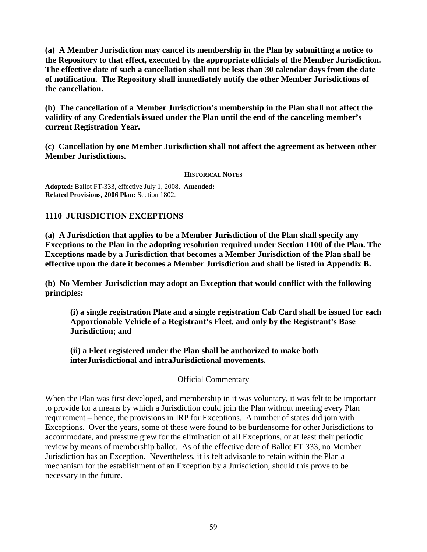**(a) A Member Jurisdiction may cancel its membership in the Plan by submitting a notice to the Repository to that effect, executed by the appropriate officials of the Member Jurisdiction. The effective date of such a cancellation shall not be less than 30 calendar days from the date of notification. The Repository shall immediately notify the other Member Jurisdictions of the cancellation.**

**(b) The cancellation of a Member Jurisdiction's membership in the Plan shall not affect the validity of any Credentials issued under the Plan until the end of the canceling member's current Registration Year.**

**(c) Cancellation by one Member Jurisdiction shall not affect the agreement as between other Member Jurisdictions.**

### **HISTORICAL NOTES**

**Adopted:** Ballot FT-333, effective July 1, 2008. **Amended: Related Provisions, 2006 Plan:** Section 1802.

## **1110 JURISDICTION EXCEPTIONS**

**(a) A Jurisdiction that applies to be a Member Jurisdiction of the Plan shall specify any Exceptions to the Plan in the adopting resolution required under Section 1100 of the Plan. The Exceptions made by a Jurisdiction that becomes a Member Jurisdiction of the Plan shall be effective upon the date it becomes a Member Jurisdiction and shall be listed in Appendix B.**

**(b) No Member Jurisdiction may adopt an Exception that would conflict with the following principles:** 

**(i) a single registration Plate and a single registration Cab Card shall be issued for each Apportionable Vehicle of a Registrant's Fleet, and only by the Registrant's Base Jurisdiction; and** 

**(ii) a Fleet registered under the Plan shall be authorized to make both interJurisdictional and intraJurisdictional movements.**

Official Commentary

When the Plan was first developed, and membership in it was voluntary, it was felt to be important to provide for a means by which a Jurisdiction could join the Plan without meeting every Plan requirement – hence, the provisions in IRP for Exceptions. A number of states did join with Exceptions. Over the years, some of these were found to be burdensome for other Jurisdictions to accommodate, and pressure grew for the elimination of all Exceptions, or at least their periodic review by means of membership ballot. As of the effective date of Ballot FT 333, no Member Jurisdiction has an Exception. Nevertheless, it is felt advisable to retain within the Plan a mechanism for the establishment of an Exception by a Jurisdiction, should this prove to be necessary in the future.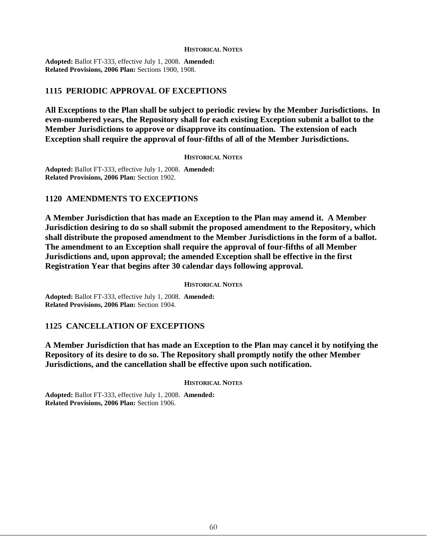#### **HISTORICAL NOTES**

**Adopted:** Ballot FT-333, effective July 1, 2008. **Amended: Related Provisions, 2006 Plan:** Sections 1900, 1908.

## **1115 PERIODIC APPROVAL OF EXCEPTIONS**

**All Exceptions to the Plan shall be subject to periodic review by the Member Jurisdictions. In even-numbered years, the Repository shall for each existing Exception submit a ballot to the Member Jurisdictions to approve or disapprove its continuation. The extension of each Exception shall require the approval of four-fifths of all of the Member Jurisdictions.**

#### **HISTORICAL NOTES**

**Adopted:** Ballot FT-333, effective July 1, 2008. **Amended: Related Provisions, 2006 Plan:** Section 1902.

### **1120 AMENDMENTS TO EXCEPTIONS**

**A Member Jurisdiction that has made an Exception to the Plan may amend it. A Member Jurisdiction desiring to do so shall submit the proposed amendment to the Repository, which shall distribute the proposed amendment to the Member Jurisdictions in the form of a ballot. The amendment to an Exception shall require the approval of four-fifths of all Member Jurisdictions and, upon approval; the amended Exception shall be effective in the first Registration Year that begins after 30 calendar days following approval.** 

#### **HISTORICAL NOTES**

**Adopted:** Ballot FT-333, effective July 1, 2008. **Amended: Related Provisions, 2006 Plan:** Section 1904.

### **1125 CANCELLATION OF EXCEPTIONS**

**A Member Jurisdiction that has made an Exception to the Plan may cancel it by notifying the Repository of its desire to do so. The Repository shall promptly notify the other Member Jurisdictions, and the cancellation shall be effective upon such notification.** 

**HISTORICAL NOTES**

**Adopted:** Ballot FT-333, effective July 1, 2008. **Amended: Related Provisions, 2006 Plan:** Section 1906.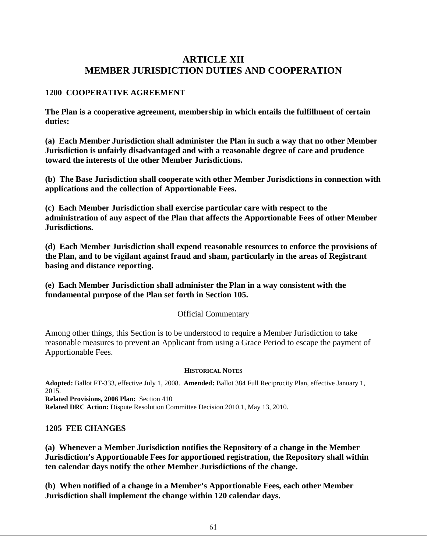# **ARTICLE XII MEMBER JURISDICTION DUTIES AND COOPERATION**

## **1200 COOPERATIVE AGREEMENT**

**The Plan is a cooperative agreement, membership in which entails the fulfillment of certain duties:**

**(a) Each Member Jurisdiction shall administer the Plan in such a way that no other Member Jurisdiction is unfairly disadvantaged and with a reasonable degree of care and prudence toward the interests of the other Member Jurisdictions.**

**(b) The Base Jurisdiction shall cooperate with other Member Jurisdictions in connection with applications and the collection of Apportionable Fees.**

**(c) Each Member Jurisdiction shall exercise particular care with respect to the administration of any aspect of the Plan that affects the Apportionable Fees of other Member Jurisdictions.**

**(d) Each Member Jurisdiction shall expend reasonable resources to enforce the provisions of the Plan, and to be vigilant against fraud and sham, particularly in the areas of Registrant basing and distance reporting.**

**(e) Each Member Jurisdiction shall administer the Plan in a way consistent with the fundamental purpose of the Plan set forth in Section 105.**

## Official Commentary

Among other things, this Section is to be understood to require a Member Jurisdiction to take reasonable measures to prevent an Applicant from using a Grace Period to escape the payment of Apportionable Fees.

## **HISTORICAL NOTES**

**Adopted:** Ballot FT-333, effective July 1, 2008. **Amended:** Ballot 384 Full Reciprocity Plan, effective January 1, 2015. **Related Provisions, 2006 Plan:** Section 410

**Related DRC Action:** Dispute Resolution Committee Decision 2010.1, May 13, 2010.

## **1205 FEE CHANGES**

**(a) Whenever a Member Jurisdiction notifies the Repository of a change in the Member Jurisdiction's Apportionable Fees for apportioned registration, the Repository shall within ten calendar days notify the other Member Jurisdictions of the change.**

**(b) When notified of a change in a Member's Apportionable Fees, each other Member Jurisdiction shall implement the change within 120 calendar days.**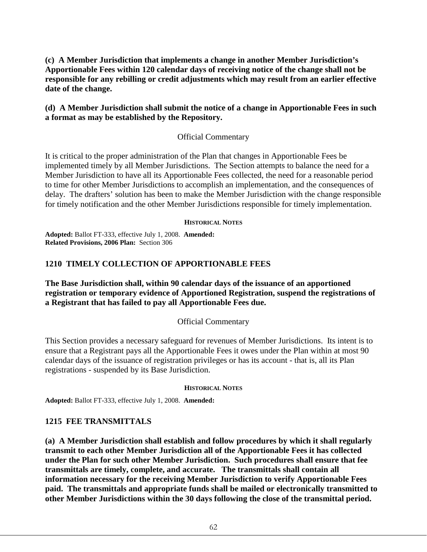**(c) A Member Jurisdiction that implements a change in another Member Jurisdiction's Apportionable Fees within 120 calendar days of receiving notice of the change shall not be responsible for any rebilling or credit adjustments which may result from an earlier effective date of the change.** 

## **(d) A Member Jurisdiction shall submit the notice of a change in Apportionable Fees in such a format as may be established by the Repository.**

## Official Commentary

It is critical to the proper administration of the Plan that changes in Apportionable Fees be implemented timely by all Member Jurisdictions. The Section attempts to balance the need for a Member Jurisdiction to have all its Apportionable Fees collected, the need for a reasonable period to time for other Member Jurisdictions to accomplish an implementation, and the consequences of delay. The drafters' solution has been to make the Member Jurisdiction with the change responsible for timely notification and the other Member Jurisdictions responsible for timely implementation.

### **HISTORICAL NOTES**

**Adopted:** Ballot FT-333, effective July 1, 2008. **Amended: Related Provisions, 2006 Plan:** Section 306

## **1210 TIMELY COLLECTION OF APPORTIONABLE FEES**

**The Base Jurisdiction shall, within 90 calendar days of the issuance of an apportioned registration or temporary evidence of Apportioned Registration, suspend the registrations of a Registrant that has failed to pay all Apportionable Fees due.**

## Official Commentary

This Section provides a necessary safeguard for revenues of Member Jurisdictions. Its intent is to ensure that a Registrant pays all the Apportionable Fees it owes under the Plan within at most 90 calendar days of the issuance of registration privileges or has its account - that is, all its Plan registrations - suspended by its Base Jurisdiction.

### **HISTORICAL NOTES**

**Adopted:** Ballot FT-333, effective July 1, 2008. **Amended:**

## **1215 FEE TRANSMITTALS**

**(a) A Member Jurisdiction shall establish and follow procedures by which it shall regularly transmit to each other Member Jurisdiction all of the Apportionable Fees it has collected under the Plan for such other Member Jurisdiction. Such procedures shall ensure that fee transmittals are timely, complete, and accurate. The transmittals shall contain all information necessary for the receiving Member Jurisdiction to verify Apportionable Fees paid. The transmittals and appropriate funds shall be mailed or electronically transmitted to other Member Jurisdictions within the 30 days following the close of the transmittal period.**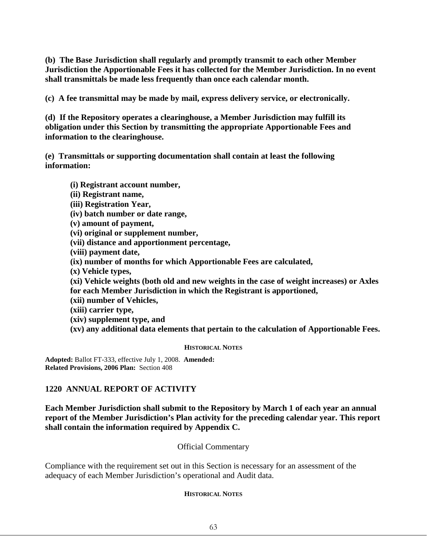**(b) The Base Jurisdiction shall regularly and promptly transmit to each other Member Jurisdiction the Apportionable Fees it has collected for the Member Jurisdiction. In no event shall transmittals be made less frequently than once each calendar month.** 

**(c) A fee transmittal may be made by mail, express delivery service, or electronically.**

**(d) If the Repository operates a clearinghouse, a Member Jurisdiction may fulfill its obligation under this Section by transmitting the appropriate Apportionable Fees and information to the clearinghouse.**

**(e) Transmittals or supporting documentation shall contain at least the following information:** 

**(i) Registrant account number,** 

**(ii) Registrant name,** 

**(iii) Registration Year,** 

**(iv) batch number or date range,** 

**(v) amount of payment,** 

**(vi) original or supplement number,** 

**(vii) distance and apportionment percentage,** 

**(viii) payment date,** 

**(ix) number of months for which Apportionable Fees are calculated,** 

**(x) Vehicle types,** 

**(xi) Vehicle weights (both old and new weights in the case of weight increases) or Axles for each Member Jurisdiction in which the Registrant is apportioned,**

**(xii) number of Vehicles,** 

**(xiii) carrier type,** 

**(xiv) supplement type, and** 

**(xv) any additional data elements that pertain to the calculation of Apportionable Fees.** 

### **HISTORICAL NOTES**

**Adopted:** Ballot FT-333, effective July 1, 2008. **Amended: Related Provisions, 2006 Plan:** Section 408

## **1220 ANNUAL REPORT OF ACTIVITY**

**Each Member Jurisdiction shall submit to the Repository by March 1 of each year an annual report of the Member Jurisdiction's Plan activity for the preceding calendar year. This report shall contain the information required by Appendix C.**

Official Commentary

Compliance with the requirement set out in this Section is necessary for an assessment of the adequacy of each Member Jurisdiction's operational and Audit data.

## **HISTORICAL NOTES**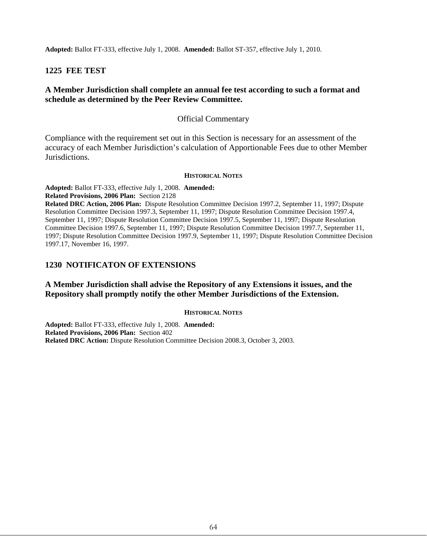**Adopted:** Ballot FT-333, effective July 1, 2008. **Amended:** Ballot ST-357, effective July 1, 2010.

## **1225 FEE TEST**

## **A Member Jurisdiction shall complete an annual fee test according to such a format and schedule as determined by the Peer Review Committee.**

### Official Commentary

Compliance with the requirement set out in this Section is necessary for an assessment of the accuracy of each Member Jurisdiction's calculation of Apportionable Fees due to other Member Jurisdictions.

#### **HISTORICAL NOTES**

**Adopted:** Ballot FT-333, effective July 1, 2008. **Amended:**

**Related Provisions, 2006 Plan:** Section 2128

**Related DRC Action, 2006 Plan:** Dispute Resolution Committee Decision 1997.2, September 11, 1997; Dispute Resolution Committee Decision 1997.3, September 11, 1997; Dispute Resolution Committee Decision 1997.4, September 11, 1997; Dispute Resolution Committee Decision 1997.5, September 11, 1997; Dispute Resolution Committee Decision 1997.6, September 11, 1997; Dispute Resolution Committee Decision 1997.7, September 11, 1997; Dispute Resolution Committee Decision 1997.9, September 11, 1997; Dispute Resolution Committee Decision 1997.17, November 16, 1997.

## **1230 NOTIFICATON OF EXTENSIONS**

## **A Member Jurisdiction shall advise the Repository of any Extensions it issues, and the Repository shall promptly notify the other Member Jurisdictions of the Extension.**

#### **HISTORICAL NOTES**

**Adopted:** Ballot FT-333, effective July 1, 2008. **Amended: Related Provisions, 2006 Plan:** Section 402 **Related DRC Action:** Dispute Resolution Committee Decision 2008.3, October 3, 2003.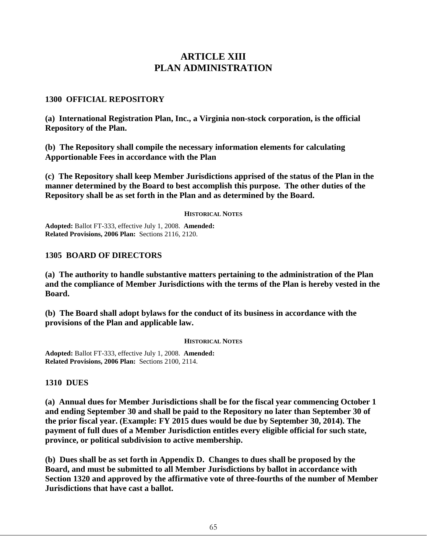# **ARTICLE XIII PLAN ADMINISTRATION**

### **1300 OFFICIAL REPOSITORY**

**(a) International Registration Plan, Inc., a Virginia non-stock corporation, is the official Repository of the Plan.** 

**(b) The Repository shall compile the necessary information elements for calculating Apportionable Fees in accordance with the Plan**

**(c) The Repository shall keep Member Jurisdictions apprised of the status of the Plan in the manner determined by the Board to best accomplish this purpose. The other duties of the Repository shall be as set forth in the Plan and as determined by the Board.**

#### **HISTORICAL NOTES**

**Adopted:** Ballot FT-333, effective July 1, 2008. **Amended: Related Provisions, 2006 Plan:** Sections 2116, 2120.

### **1305 BOARD OF DIRECTORS**

**(a) The authority to handle substantive matters pertaining to the administration of the Plan and the compliance of Member Jurisdictions with the terms of the Plan is hereby vested in the Board.** 

**(b) The Board shall adopt bylaws for the conduct of its business in accordance with the provisions of the Plan and applicable law.**

#### **HISTORICAL NOTES**

**Adopted:** Ballot FT-333, effective July 1, 2008. **Amended: Related Provisions, 2006 Plan:** Sections 2100, 2114.

**1310 DUES**

**(a) Annual dues for Member Jurisdictions shall be for the fiscal year commencing October 1 and ending September 30 and shall be paid to the Repository no later than September 30 of the prior fiscal year. (Example: FY 2015 dues would be due by September 30, 2014). The payment of full dues of a Member Jurisdiction entitles every eligible official for such state, province, or political subdivision to active membership.** 

**(b) Dues shall be as set forth in Appendix D. Changes to dues shall be proposed by the Board, and must be submitted to all Member Jurisdictions by ballot in accordance with Section 1320 and approved by the affirmative vote of three-fourths of the number of Member Jurisdictions that have cast a ballot.**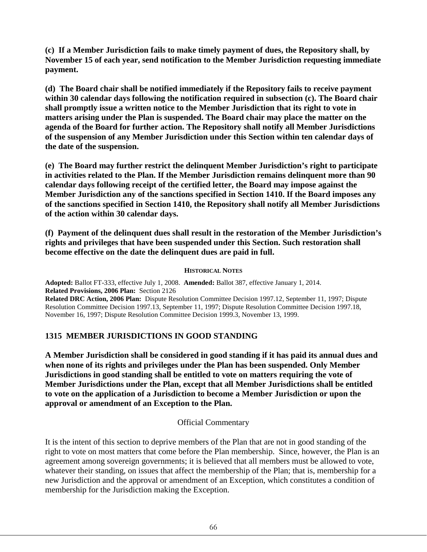**(c) If a Member Jurisdiction fails to make timely payment of dues, the Repository shall, by November 15 of each year, send notification to the Member Jurisdiction requesting immediate payment.** 

**(d) The Board chair shall be notified immediately if the Repository fails to receive payment within 30 calendar days following the notification required in subsection (c). The Board chair shall promptly issue a written notice to the Member Jurisdiction that its right to vote in matters arising under the Plan is suspended. The Board chair may place the matter on the agenda of the Board for further action. The Repository shall notify all Member Jurisdictions of the suspension of any Member Jurisdiction under this Section within ten calendar days of the date of the suspension.** 

**(e) The Board may further restrict the delinquent Member Jurisdiction's right to participate in activities related to the Plan. If the Member Jurisdiction remains delinquent more than 90 calendar days following receipt of the certified letter, the Board may impose against the Member Jurisdiction any of the sanctions specified in Section 1410. If the Board imposes any of the sanctions specified in Section 1410, the Repository shall notify all Member Jurisdictions of the action within 30 calendar days.** 

**(f) Payment of the delinquent dues shall result in the restoration of the Member Jurisdiction's rights and privileges that have been suspended under this Section. Such restoration shall become effective on the date the delinquent dues are paid in full.**

### **HISTORICAL NOTES**

**Adopted:** Ballot FT-333, effective July 1, 2008. **Amended:** Ballot 387, effective January 1, 2014. **Related Provisions, 2006 Plan:** Section 2126 **Related DRC Action, 2006 Plan:** Dispute Resolution Committee Decision 1997.12, September 11, 1997; Dispute Resolution Committee Decision 1997.13, September 11, 1997; Dispute Resolution Committee Decision 1997.18, November 16, 1997; Dispute Resolution Committee Decision 1999.3, November 13, 1999.

## **1315 MEMBER JURISDICTIONS IN GOOD STANDING**

**A Member Jurisdiction shall be considered in good standing if it has paid its annual dues and when none of its rights and privileges under the Plan has been suspended. Only Member Jurisdictions in good standing shall be entitled to vote on matters requiring the vote of Member Jurisdictions under the Plan, except that all Member Jurisdictions shall be entitled to vote on the application of a Jurisdiction to become a Member Jurisdiction or upon the approval or amendment of an Exception to the Plan.**

## Official Commentary

It is the intent of this section to deprive members of the Plan that are not in good standing of the right to vote on most matters that come before the Plan membership. Since, however, the Plan is an agreement among sovereign governments; it is believed that all members must be allowed to vote, whatever their standing, on issues that affect the membership of the Plan; that is, membership for a new Jurisdiction and the approval or amendment of an Exception, which constitutes a condition of membership for the Jurisdiction making the Exception.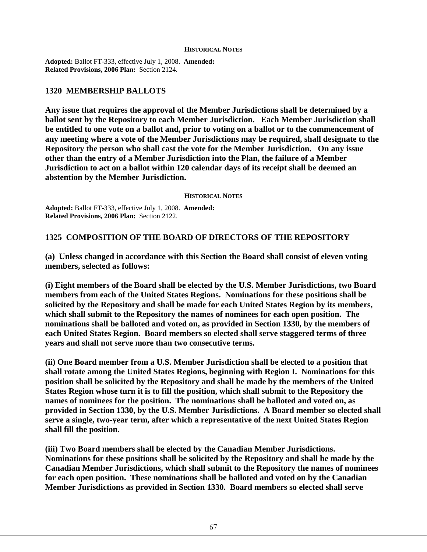#### **HISTORICAL NOTES**

**Adopted:** Ballot FT-333, effective July 1, 2008. **Amended: Related Provisions, 2006 Plan:** Section 2124.

## **1320 MEMBERSHIP BALLOTS**

**Any issue that requires the approval of the Member Jurisdictions shall be determined by a ballot sent by the Repository to each Member Jurisdiction. Each Member Jurisdiction shall be entitled to one vote on a ballot and, prior to voting on a ballot or to the commencement of any meeting where a vote of the Member Jurisdictions may be required, shall designate to the Repository the person who shall cast the vote for the Member Jurisdiction. On any issue other than the entry of a Member Jurisdiction into the Plan, the failure of a Member Jurisdiction to act on a ballot within 120 calendar days of its receipt shall be deemed an abstention by the Member Jurisdiction.** 

**HISTORICAL NOTES**

**Adopted:** Ballot FT-333, effective July 1, 2008. **Amended: Related Provisions, 2006 Plan:** Section 2122.

## **1325 COMPOSITION OF THE BOARD OF DIRECTORS OF THE REPOSITORY**

**(a) Unless changed in accordance with this Section the Board shall consist of eleven voting members, selected as follows:** 

**(i) Eight members of the Board shall be elected by the U.S. Member Jurisdictions, two Board members from each of the United States Regions. Nominations for these positions shall be solicited by the Repository and shall be made for each United States Region by its members, which shall submit to the Repository the names of nominees for each open position. The nominations shall be balloted and voted on, as provided in Section 1330, by the members of each United States Region. Board members so elected shall serve staggered terms of three years and shall not serve more than two consecutive terms.**

**(ii) One Board member from a U.S. Member Jurisdiction shall be elected to a position that shall rotate among the United States Regions, beginning with Region I. Nominations for this position shall be solicited by the Repository and shall be made by the members of the United States Region whose turn it is to fill the position, which shall submit to the Repository the names of nominees for the position. The nominations shall be balloted and voted on, as provided in Section 1330, by the U.S. Member Jurisdictions. A Board member so elected shall serve a single, two-year term, after which a representative of the next United States Region shall fill the position.**

**(iii) Two Board members shall be elected by the Canadian Member Jurisdictions. Nominations for these positions shall be solicited by the Repository and shall be made by the Canadian Member Jurisdictions, which shall submit to the Repository the names of nominees for each open position. These nominations shall be balloted and voted on by the Canadian Member Jurisdictions as provided in Section 1330. Board members so elected shall serve**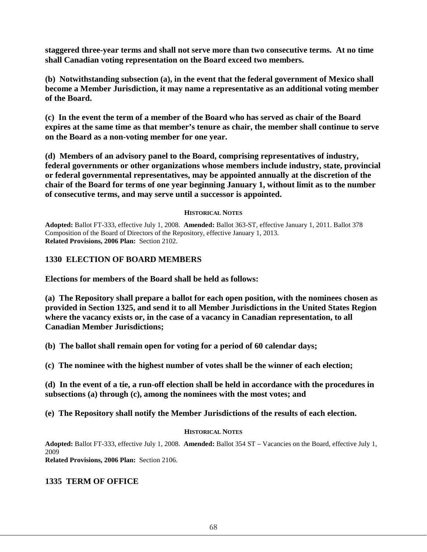**staggered three-year terms and shall not serve more than two consecutive terms. At no time shall Canadian voting representation on the Board exceed two members.**

**(b) Notwithstanding subsection (a), in the event that the federal government of Mexico shall become a Member Jurisdiction, it may name a representative as an additional voting member of the Board.**

**(c) In the event the term of a member of the Board who has served as chair of the Board expires at the same time as that member's tenure as chair, the member shall continue to serve on the Board as a non-voting member for one year.**

**(d) Members of an advisory panel to the Board, comprising representatives of industry, federal governments or other organizations whose members include industry, state, provincial or federal governmental representatives, may be appointed annually at the discretion of the chair of the Board for terms of one year beginning January 1, without limit as to the number of consecutive terms, and may serve until a successor is appointed.**

### **HISTORICAL NOTES**

**Adopted:** Ballot FT-333, effective July 1, 2008. **Amended:** Ballot 363-ST, effective January 1, 2011. Ballot 378 Composition of the Board of Directors of the Repository, effective January 1, 2013. **Related Provisions, 2006 Plan:** Section 2102.

## **1330 ELECTION OF BOARD MEMBERS**

**Elections for members of the Board shall be held as follows:**

**(a) The Repository shall prepare a ballot for each open position, with the nominees chosen as provided in Section 1325, and send it to all Member Jurisdictions in the United States Region where the vacancy exists or, in the case of a vacancy in Canadian representation, to all Canadian Member Jurisdictions;**

**(b) The ballot shall remain open for voting for a period of 60 calendar days;**

**(c) The nominee with the highest number of votes shall be the winner of each election;**

**(d) In the event of a tie, a run-off election shall be held in accordance with the procedures in subsections (a) through (c), among the nominees with the most votes; and**

**(e) The Repository shall notify the Member Jurisdictions of the results of each election.**

## **HISTORICAL NOTES**

**Adopted:** Ballot FT-333, effective July 1, 2008. **Amended:** Ballot 354 ST – Vacancies on the Board, effective July 1, 2009

**Related Provisions, 2006 Plan:** Section 2106.

## **1335 TERM OF OFFICE**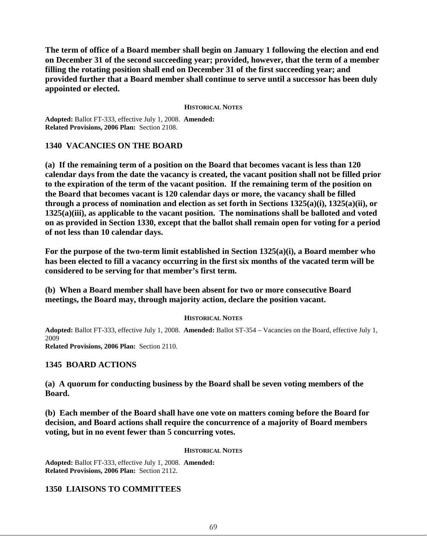**The term of office of a Board member shall begin on January 1 following the election and end on December 31 of the second succeeding year; provided, however, that the term of a member filling the rotating position shall end on December 31 of the first succeeding year; and provided further that a Board member shall continue to serve until a successor has been duly appointed or elected.** 

#### **HISTORICAL NOTES**

**Adopted:** Ballot FT-333, effective July 1, 2008. **Amended: Related Provisions, 2006 Plan:** Section 2108.

## **1340 VACANCIES ON THE BOARD**

**(a) If the remaining term of a position on the Board that becomes vacant is less than 120 calendar days from the date the vacancy is created, the vacant position shall not be filled prior to the expiration of the term of the vacant position. If the remaining term of the position on the Board that becomes vacant is 120 calendar days or more, the vacancy shall be filled through a process of nomination and election as set forth in Sections 1325(a)(i), 1325(a)(ii), or 1325(a)(iii), as applicable to the vacant position. The nominations shall be balloted and voted on as provided in Section 1330, except that the ballot shall remain open for voting for a period of not less than 10 calendar days.**

**For the purpose of the two-term limit established in Section 1325(a)(i), a Board member who has been elected to fill a vacancy occurring in the first six months of the vacated term will be considered to be serving for that member's first term.**

**(b) When a Board member shall have been absent for two or more consecutive Board meetings, the Board may, through majority action, declare the position vacant.**

### **HISTORICAL NOTES**

**Adopted:** Ballot FT-333, effective July 1, 2008. **Amended:** Ballot ST-354 – Vacancies on the Board, effective July 1, 2009 **Related Provisions, 2006 Plan:** Section 2110.

## **1345 BOARD ACTIONS**

**(a) A quorum for conducting business by the Board shall be seven voting members of the Board.**

**(b) Each member of the Board shall have one vote on matters coming before the Board for decision, and Board actions shall require the concurrence of a majority of Board members voting, but in no event fewer than 5 concurring votes.**

### **HISTORICAL NOTES**

**Adopted:** Ballot FT-333, effective July 1, 2008. **Amended: Related Provisions, 2006 Plan:** Section 2112.

## **1350 LIAISONS TO COMMITTEES**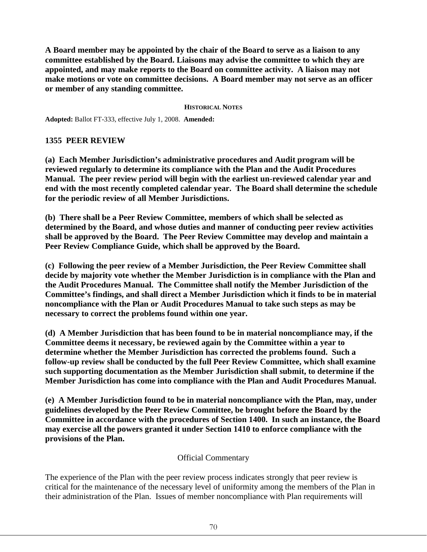**A Board member may be appointed by the chair of the Board to serve as a liaison to any committee established by the Board. Liaisons may advise the committee to which they are appointed, and may make reports to the Board on committee activity. A liaison may not make motions or vote on committee decisions. A Board member may not serve as an officer or member of any standing committee.** 

### **HISTORICAL NOTES**

**Adopted:** Ballot FT-333, effective July 1, 2008. **Amended:**

## **1355 PEER REVIEW**

**(a) Each Member Jurisdiction's administrative procedures and Audit program will be reviewed regularly to determine its compliance with the Plan and the Audit Procedures Manual. The peer review period will begin with the earliest un-reviewed calendar year and end with the most recently completed calendar year. The Board shall determine the schedule for the periodic review of all Member Jurisdictions.** 

**(b) There shall be a Peer Review Committee, members of which shall be selected as determined by the Board, and whose duties and manner of conducting peer review activities shall be approved by the Board. The Peer Review Committee may develop and maintain a Peer Review Compliance Guide, which shall be approved by the Board.**

**(c) Following the peer review of a Member Jurisdiction, the Peer Review Committee shall decide by majority vote whether the Member Jurisdiction is in compliance with the Plan and the Audit Procedures Manual. The Committee shall notify the Member Jurisdiction of the Committee's findings, and shall direct a Member Jurisdiction which it finds to be in material noncompliance with the Plan or Audit Procedures Manual to take such steps as may be necessary to correct the problems found within one year.**

**(d) A Member Jurisdiction that has been found to be in material noncompliance may, if the Committee deems it necessary, be reviewed again by the Committee within a year to determine whether the Member Jurisdiction has corrected the problems found. Such a follow-up review shall be conducted by the full Peer Review Committee, which shall examine such supporting documentation as the Member Jurisdiction shall submit, to determine if the Member Jurisdiction has come into compliance with the Plan and Audit Procedures Manual.** 

**(e) A Member Jurisdiction found to be in material noncompliance with the Plan, may, under guidelines developed by the Peer Review Committee, be brought before the Board by the Committee in accordance with the procedures of Section 1400. In such an instance, the Board may exercise all the powers granted it under Section 1410 to enforce compliance with the provisions of the Plan.**

## Official Commentary

The experience of the Plan with the peer review process indicates strongly that peer review is critical for the maintenance of the necessary level of uniformity among the members of the Plan in their administration of the Plan. Issues of member noncompliance with Plan requirements will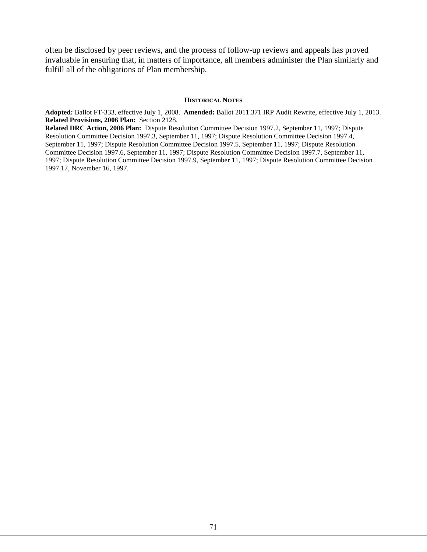often be disclosed by peer reviews, and the process of follow-up reviews and appeals has proved invaluable in ensuring that, in matters of importance, all members administer the Plan similarly and fulfill all of the obligations of Plan membership.

#### **HISTORICAL NOTES**

**Adopted:** Ballot FT-333, effective July 1, 2008. **Amended:** Ballot 2011.371 IRP Audit Rewrite, effective July 1, 2013. **Related Provisions, 2006 Plan:** Section 2128.

**Related DRC Action, 2006 Plan:** Dispute Resolution Committee Decision 1997.2, September 11, 1997; Dispute Resolution Committee Decision 1997.3, September 11, 1997; Dispute Resolution Committee Decision 1997.4, September 11, 1997; Dispute Resolution Committee Decision 1997.5, September 11, 1997; Dispute Resolution Committee Decision 1997.6, September 11, 1997; Dispute Resolution Committee Decision 1997.7, September 11, 1997; Dispute Resolution Committee Decision 1997.9, September 11, 1997; Dispute Resolution Committee Decision 1997.17, November 16, 1997.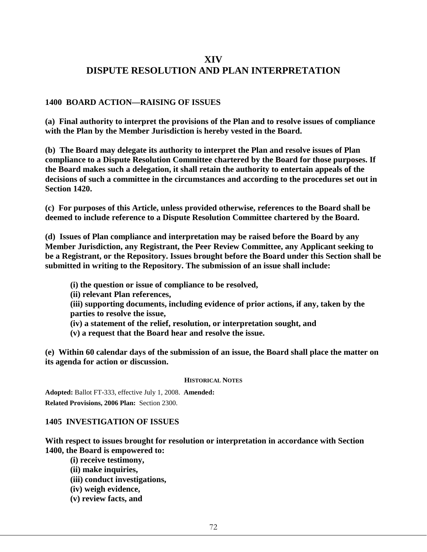## **XIV DISPUTE RESOLUTION AND PLAN INTERPRETATION**

## **1400 BOARD ACTION—RAISING OF ISSUES**

**(a) Final authority to interpret the provisions of the Plan and to resolve issues of compliance with the Plan by the Member Jurisdiction is hereby vested in the Board.** 

**(b) The Board may delegate its authority to interpret the Plan and resolve issues of Plan compliance to a Dispute Resolution Committee chartered by the Board for those purposes. If the Board makes such a delegation, it shall retain the authority to entertain appeals of the decisions of such a committee in the circumstances and according to the procedures set out in Section 1420.** 

**(c) For purposes of this Article, unless provided otherwise, references to the Board shall be deemed to include reference to a Dispute Resolution Committee chartered by the Board.**

**(d) Issues of Plan compliance and interpretation may be raised before the Board by any Member Jurisdiction, any Registrant, the Peer Review Committee, any Applicant seeking to be a Registrant, or the Repository. Issues brought before the Board under this Section shall be submitted in writing to the Repository. The submission of an issue shall include:**

- **(i) the question or issue of compliance to be resolved,**
- **(ii) relevant Plan references,**

**(iii) supporting documents, including evidence of prior actions, if any, taken by the parties to resolve the issue,** 

- **(iv) a statement of the relief, resolution, or interpretation sought, and**
- **(v) a request that the Board hear and resolve the issue.**

**(e) Within 60 calendar days of the submission of an issue, the Board shall place the matter on its agenda for action or discussion.**

#### **HISTORICAL NOTES**

**Adopted:** Ballot FT-333, effective July 1, 2008. **Amended: Related Provisions, 2006 Plan:** Section 2300.

### **1405 INVESTIGATION OF ISSUES**

**With respect to issues brought for resolution or interpretation in accordance with Section 1400, the Board is empowered to:**

- **(i) receive testimony,**
- **(ii) make inquiries,**
- **(iii) conduct investigations,**
- **(iv) weigh evidence,**
- **(v) review facts, and**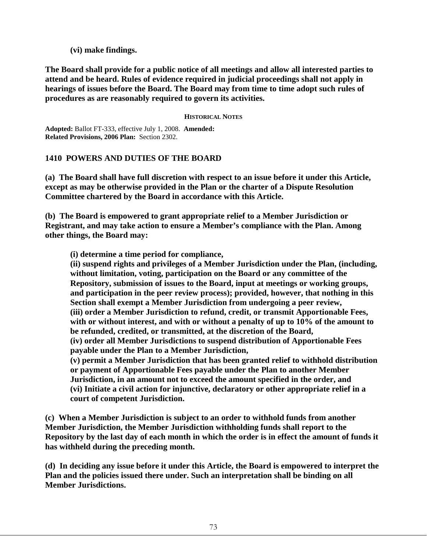**(vi) make findings.** 

**The Board shall provide for a public notice of all meetings and allow all interested parties to attend and be heard. Rules of evidence required in judicial proceedings shall not apply in hearings of issues before the Board. The Board may from time to time adopt such rules of procedures as are reasonably required to govern its activities.**

### **HISTORICAL NOTES**

**Adopted:** Ballot FT-333, effective July 1, 2008. **Amended: Related Provisions, 2006 Plan:** Section 2302.

## **1410 POWERS AND DUTIES OF THE BOARD**

**(a) The Board shall have full discretion with respect to an issue before it under this Article, except as may be otherwise provided in the Plan or the charter of a Dispute Resolution Committee chartered by the Board in accordance with this Article.** 

**(b) The Board is empowered to grant appropriate relief to a Member Jurisdiction or Registrant, and may take action to ensure a Member's compliance with the Plan. Among other things, the Board may:** 

**(i) determine a time period for compliance,** 

**(ii) suspend rights and privileges of a Member Jurisdiction under the Plan, (including, without limitation, voting, participation on the Board or any committee of the Repository, submission of issues to the Board, input at meetings or working groups, and participation in the peer review process); provided, however, that nothing in this Section shall exempt a Member Jurisdiction from undergoing a peer review, (iii) order a Member Jurisdiction to refund, credit, or transmit Apportionable Fees, with or without interest, and with or without a penalty of up to 10% of the amount to be refunded, credited, or transmitted, at the discretion of the Board, (iv) order all Member Jurisdictions to suspend distribution of Apportionable Fees** 

**payable under the Plan to a Member Jurisdiction,** 

**(v) permit a Member Jurisdiction that has been granted relief to withhold distribution or payment of Apportionable Fees payable under the Plan to another Member Jurisdiction, in an amount not to exceed the amount specified in the order, and (vi) Initiate a civil action for injunctive, declaratory or other appropriate relief in a court of competent Jurisdiction.** 

**(c) When a Member Jurisdiction is subject to an order to withhold funds from another Member Jurisdiction, the Member Jurisdiction withholding funds shall report to the Repository by the last day of each month in which the order is in effect the amount of funds it has withheld during the preceding month.** 

**(d) In deciding any issue before it under this Article, the Board is empowered to interpret the Plan and the policies issued there under. Such an interpretation shall be binding on all Member Jurisdictions.**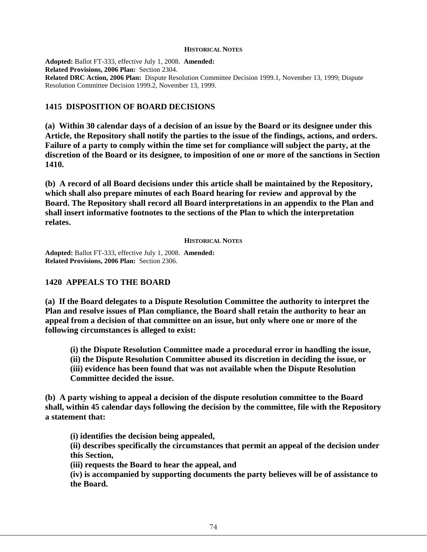#### **HISTORICAL NOTES**

**Adopted:** Ballot FT-333, effective July 1, 2008. **Amended: Related Provisions, 2006 Plan:** Section 2304. **Related DRC Action, 2006 Plan:** Dispute Resolution Committee Decision 1999.1, November 13, 1999; Dispute Resolution Committee Decision 1999.2, November 13, 1999.

## **1415 DISPOSITION OF BOARD DECISIONS**

**(a) Within 30 calendar days of a decision of an issue by the Board or its designee under this Article, the Repository shall notify the parties to the issue of the findings, actions, and orders. Failure of a party to comply within the time set for compliance will subject the party, at the discretion of the Board or its designee, to imposition of one or more of the sanctions in Section 1410.** 

**(b) A record of all Board decisions under this article shall be maintained by the Repository, which shall also prepare minutes of each Board hearing for review and approval by the Board. The Repository shall record all Board interpretations in an appendix to the Plan and shall insert informative footnotes to the sections of the Plan to which the interpretation relates.**

#### **HISTORICAL NOTES**

**Adopted:** Ballot FT-333, effective July 1, 2008. **Amended: Related Provisions, 2006 Plan:** Section 2306.

## **1420 APPEALS TO THE BOARD**

**(a) If the Board delegates to a Dispute Resolution Committee the authority to interpret the Plan and resolve issues of Plan compliance, the Board shall retain the authority to hear an appeal from a decision of that committee on an issue, but only where one or more of the following circumstances is alleged to exist:** 

**(i) the Dispute Resolution Committee made a procedural error in handling the issue, (ii) the Dispute Resolution Committee abused its discretion in deciding the issue, or (iii) evidence has been found that was not available when the Dispute Resolution Committee decided the issue.**

**(b) A party wishing to appeal a decision of the dispute resolution committee to the Board shall, within 45 calendar days following the decision by the committee, file with the Repository a statement that:** 

**(i) identifies the decision being appealed,** 

**(ii) describes specifically the circumstances that permit an appeal of the decision under this Section,** 

**(iii) requests the Board to hear the appeal, and** 

**(iv) is accompanied by supporting documents the party believes will be of assistance to the Board.**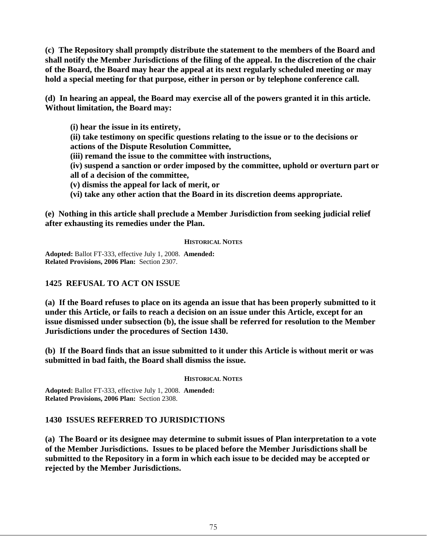**(c) The Repository shall promptly distribute the statement to the members of the Board and shall notify the Member Jurisdictions of the filing of the appeal. In the discretion of the chair of the Board, the Board may hear the appeal at its next regularly scheduled meeting or may hold a special meeting for that purpose, either in person or by telephone conference call.** 

**(d) In hearing an appeal, the Board may exercise all of the powers granted it in this article. Without limitation, the Board may:** 

**(i) hear the issue in its entirety, (ii) take testimony on specific questions relating to the issue or to the decisions or actions of the Dispute Resolution Committee, (iii) remand the issue to the committee with instructions, (iv) suspend a sanction or order imposed by the committee, uphold or overturn part or all of a decision of the committee, (v) dismiss the appeal for lack of merit, or (vi) take any other action that the Board in its discretion deems appropriate.**

**(e) Nothing in this article shall preclude a Member Jurisdiction from seeking judicial relief after exhausting its remedies under the Plan.**

### **HISTORICAL NOTES**

**Adopted:** Ballot FT-333, effective July 1, 2008. **Amended: Related Provisions, 2006 Plan:** Section 2307.

## **1425 REFUSAL TO ACT ON ISSUE**

**(a) If the Board refuses to place on its agenda an issue that has been properly submitted to it under this Article, or fails to reach a decision on an issue under this Article, except for an issue dismissed under subsection (b), the issue shall be referred for resolution to the Member Jurisdictions under the procedures of Section 1430.**

**(b) If the Board finds that an issue submitted to it under this Article is without merit or was submitted in bad faith, the Board shall dismiss the issue.**

**HISTORICAL NOTES**

**Adopted:** Ballot FT-333, effective July 1, 2008. **Amended: Related Provisions, 2006 Plan:** Section 2308.

## **1430 ISSUES REFERRED TO JURISDICTIONS**

**(a) The Board or its designee may determine to submit issues of Plan interpretation to a vote of the Member Jurisdictions. Issues to be placed before the Member Jurisdictions shall be submitted to the Repository in a form in which each issue to be decided may be accepted or rejected by the Member Jurisdictions.**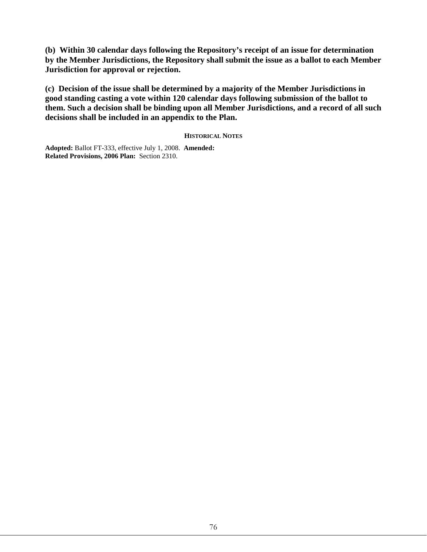**(b) Within 30 calendar days following the Repository's receipt of an issue for determination by the Member Jurisdictions, the Repository shall submit the issue as a ballot to each Member Jurisdiction for approval or rejection.** 

**(c) Decision of the issue shall be determined by a majority of the Member Jurisdictions in good standing casting a vote within 120 calendar days following submission of the ballot to them. Such a decision shall be binding upon all Member Jurisdictions, and a record of all such decisions shall be included in an appendix to the Plan.**

### **HISTORICAL NOTES**

**Adopted:** Ballot FT-333, effective July 1, 2008. **Amended: Related Provisions, 2006 Plan:** Section 2310.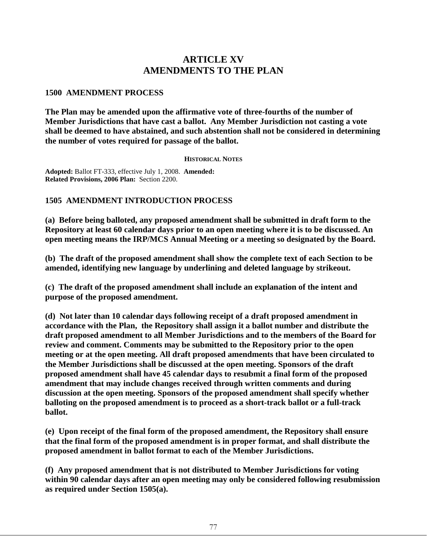# **ARTICLE XV AMENDMENTS TO THE PLAN**

### **1500 AMENDMENT PROCESS**

**The Plan may be amended upon the affirmative vote of three-fourths of the number of Member Jurisdictions that have cast a ballot. Any Member Jurisdiction not casting a vote shall be deemed to have abstained, and such abstention shall not be considered in determining the number of votes required for passage of the ballot.**

### **HISTORICAL NOTES**

**Adopted:** Ballot FT-333, effective July 1, 2008. **Amended: Related Provisions, 2006 Plan:** Section 2200.

## **1505 AMENDMENT INTRODUCTION PROCESS**

**(a) Before being balloted, any proposed amendment shall be submitted in draft form to the Repository at least 60 calendar days prior to an open meeting where it is to be discussed. An open meeting means the IRP/MCS Annual Meeting or a meeting so designated by the Board.** 

**(b) The draft of the proposed amendment shall show the complete text of each Section to be amended, identifying new language by underlining and deleted language by strikeout.** 

**(c) The draft of the proposed amendment shall include an explanation of the intent and purpose of the proposed amendment.**

**(d) Not later than 10 calendar days following receipt of a draft proposed amendment in accordance with the Plan, the Repository shall assign it a ballot number and distribute the draft proposed amendment to all Member Jurisdictions and to the members of the Board for review and comment. Comments may be submitted to the Repository prior to the open meeting or at the open meeting. All draft proposed amendments that have been circulated to the Member Jurisdictions shall be discussed at the open meeting. Sponsors of the draft proposed amendment shall have 45 calendar days to resubmit a final form of the proposed amendment that may include changes received through written comments and during discussion at the open meeting. Sponsors of the proposed amendment shall specify whether balloting on the proposed amendment is to proceed as a short-track ballot or a full-track ballot.**

**(e) Upon receipt of the final form of the proposed amendment, the Repository shall ensure that the final form of the proposed amendment is in proper format, and shall distribute the proposed amendment in ballot format to each of the Member Jurisdictions.**

**(f) Any proposed amendment that is not distributed to Member Jurisdictions for voting within 90 calendar days after an open meeting may only be considered following resubmission as required under Section 1505(a).**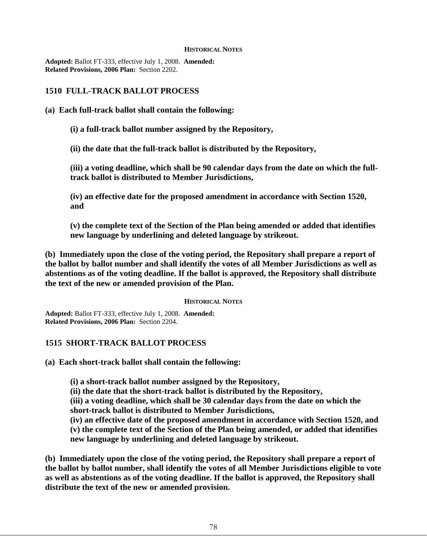#### **HISTORICAL NOTES**

**Adopted:** Ballot FT-333, effective July 1, 2008. **Amended: Related Provisions, 2006 Plan:** Section 2202.

## **1510 FULL-TRACK BALLOT PROCESS**

## **(a) Each full-track ballot shall contain the following:**

**(i) a full-track ballot number assigned by the Repository,** 

**(ii) the date that the full-track ballot is distributed by the Repository,** 

**(iii) a voting deadline, which shall be 90 calendar days from the date on which the fulltrack ballot is distributed to Member Jurisdictions,** 

**(iv) an effective date for the proposed amendment in accordance with Section 1520, and** 

**(v) the complete text of the Section of the Plan being amended or added that identifies new language by underlining and deleted language by strikeout.**

**(b) Immediately upon the close of the voting period, the Repository shall prepare a report of the ballot by ballot number and shall identify the votes of all Member Jurisdictions as well as abstentions as of the voting deadline. If the ballot is approved, the Repository shall distribute the text of the new or amended provision of the Plan.**

### **HISTORICAL NOTES**

**Adopted:** Ballot FT-333, effective July 1, 2008. **Amended: Related Provisions, 2006 Plan:** Section 2204.

## **1515 SHORT-TRACK BALLOT PROCESS**

**(a) Each short-track ballot shall contain the following:**

**(i) a short-track ballot number assigned by the Repository,**

**(ii) the date that the short-track ballot is distributed by the Repository,** 

**(iii) a voting deadline, which shall be 30 calendar days from the date on which the short-track ballot is distributed to Member Jurisdictions,** 

**(iv) an effective date of the proposed amendment in accordance with Section 1520, and (v) the complete text of the Section of the Plan being amended, or added that identifies new language by underlining and deleted language by strikeout.**

**(b) Immediately upon the close of the voting period, the Repository shall prepare a report of the ballot by ballot number, shall identify the votes of all Member Jurisdictions eligible to vote as well as abstentions as of the voting deadline. If the ballot is approved, the Repository shall distribute the text of the new or amended provision.**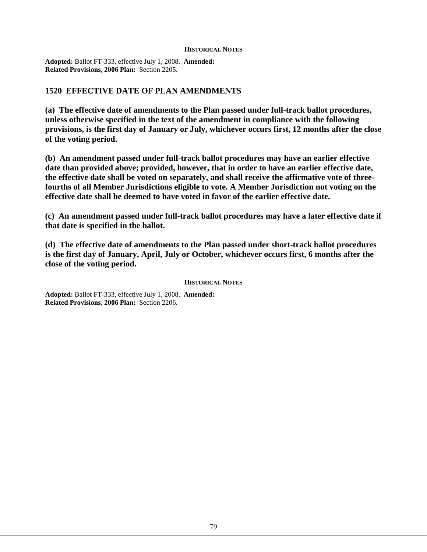#### **HISTORICAL NOTES**

**Adopted:** Ballot FT-333, effective July 1, 2008. **Amended: Related Provisions, 2006 Plan:** Section 2205.

## **1520 EFFECTIVE DATE OF PLAN AMENDMENTS**

**(a) The effective date of amendments to the Plan passed under full-track ballot procedures, unless otherwise specified in the text of the amendment in compliance with the following provisions, is the first day of January or July, whichever occurs first, 12 months after the close of the voting period.**

**(b) An amendment passed under full-track ballot procedures may have an earlier effective date than provided above; provided, however, that in order to have an earlier effective date, the effective date shall be voted on separately, and shall receive the affirmative vote of threefourths of all Member Jurisdictions eligible to vote. A Member Jurisdiction not voting on the effective date shall be deemed to have voted in favor of the earlier effective date.**

**(c) An amendment passed under full-track ballot procedures may have a later effective date if that date is specified in the ballot.**

**(d) The effective date of amendments to the Plan passed under short-track ballot procedures is the first day of January, April, July or October, whichever occurs first, 6 months after the close of the voting period.**

#### **HISTORICAL NOTES**

**Adopted:** Ballot FT-333, effective July 1, 2008. **Amended: Related Provisions, 2006 Plan:** Section 2206.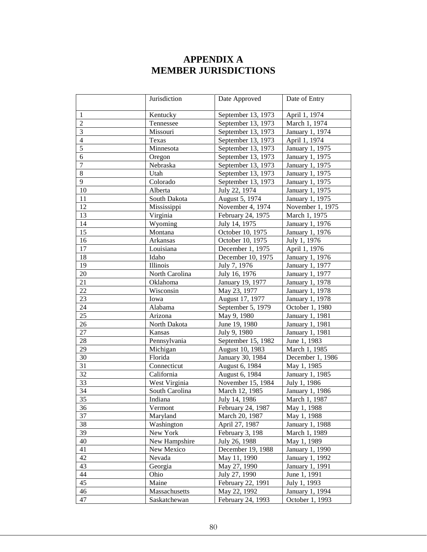# **APPENDIX A MEMBER JURISDICTIONS**

|                | Jurisdiction   | Date Approved      | Date of Entry    |
|----------------|----------------|--------------------|------------------|
|                |                |                    |                  |
| $\mathbf{1}$   | Kentucky       | September 13, 1973 | April 1, 1974    |
| $\overline{2}$ | Tennessee      | September 13, 1973 | March 1, 1974    |
| 3              | Missouri       | September 13, 1973 | January 1, 1974  |
| $\overline{4}$ | Texas          | September 13, 1973 | April 1, 1974    |
| $\overline{5}$ | Minnesota      | September 13, 1973 | January 1, 1975  |
| 6              | Oregon         | September 13, 1973 | January 1, 1975  |
| $\overline{7}$ | Nebraska       | September 13, 1973 | January 1, 1975  |
| $8\,$          | Utah           | September 13, 1973 | January 1, 1975  |
| 9              | Colorado       | September 13, 1973 | January 1, 1975  |
| 10             | Alberta        | July 22, 1974      | January 1, 1975  |
| 11             | South Dakota   | August 5, 1974     | January 1, 1975  |
| 12             | Mississippi    | November 4, 1974   | November 1, 1975 |
| 13             | Virginia       | February 24, 1975  | March 1, 1975    |
| 14             | Wyoming        | July 14, 1975      | January 1, 1976  |
| 15             | Montana        | October 10, 1975   | January 1, 1976  |
| 16             | Arkansas       | October 10, 1975   | July 1, 1976     |
| 17             | Louisiana      | December 1, 1975   | April 1, 1976    |
| 18             | Idaho          | December 10, 1975  | January 1, 1976  |
| 19             | Illinois       | July 7, 1976       | January 1, 1977  |
| 20             | North Carolina | July 16, 1976      | January 1, 1977  |
| 21             | Oklahoma       | January 19, 1977   | January 1, 1978  |
| 22             | Wisconsin      | May 23, 1977       | January 1, 1978  |
| 23             | Iowa           | August 17, 1977    | January 1, 1978  |
| 24             | Alabama        | September 5, 1979  | October 1, 1980  |
| 25             | Arizona        | May 9, 1980        | January 1, 1981  |
| 26             | North Dakota   | June 19, 1980      | January 1, 1981  |
| 27             | Kansas         | July 9, 1980       | January 1, 1981  |
| 28             | Pennsylvania   | September 15, 1982 | June 1, 1983     |
| 29             | Michigan       | August 10, 1983    | March 1, 1985    |
| 30             | Florida        | January 30, 1984   | December 1, 1986 |
| 31             | Connecticut    | August 6, 1984     | May 1, 1985      |
| 32             | California     | August 6, 1984     | January 1, 1985  |
| 33             | West Virginia  | November 15, 1984  | July 1, 1986     |
| 34             | South Carolina | March 12, 1985     | January 1, 1986  |
| 35             | Indiana        | July 14, 1986      | March 1, 1987    |
| 36             | Vermont        | February 24, 1987  | May 1, 1988      |
| 37             | Maryland       | March 20, 1987     | May 1, 1988      |
| 38             | Washington     | April 27, 1987     | January 1, 1988  |
| 39             | New York       | February 3, 198    | March 1, 1989    |
| 40             | New Hampshire  | July 26, 1988      | May 1, 1989      |
| 41             | New Mexico     | December 19, 1988  | January 1, 1990  |
| 42             | Nevada         | May 11, 1990       | January 1, 1992  |
| 43             | Georgia        | May 27, 1990       | January 1, 1991  |
| 44             | Ohio           | July 27, 1990      | June 1, 1991     |
| 45             | Maine          | February 22, 1991  | July 1, 1993     |
| 46             | Massachusetts  | May 22, 1992       | January 1, 1994  |
| 47             | Saskatchewan   | February 24, 1993  | October 1, 1993  |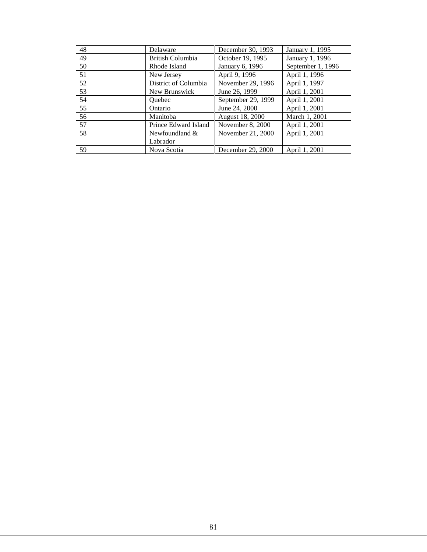| 48 | Delaware             | December 30, 1993  | January 1, 1995   |
|----|----------------------|--------------------|-------------------|
| 49 | British Columbia     | October 19, 1995   | January 1, 1996   |
| 50 | Rhode Island         | January 6, 1996    | September 1, 1996 |
| 51 | New Jersey           | April 9, 1996      | April 1, 1996     |
| 52 | District of Columbia | November 29, 1996  | April 1, 1997     |
| 53 | New Brunswick        | June 26, 1999      | April 1, 2001     |
| 54 | <b>Ouebec</b>        | September 29, 1999 | April 1, 2001     |
| 55 | Ontario              | June 24, 2000      | April 1, 2001     |
| 56 | Manitoba             | August 18, 2000    | March 1, 2001     |
| 57 | Prince Edward Island | November 8, 2000   | April 1, 2001     |
| 58 | Newfoundland $\&$    | November 21, 2000  | April 1, 2001     |
|    | Labrador             |                    |                   |
| 59 | Nova Scotia          | December 29, 2000  | April 1, 2001     |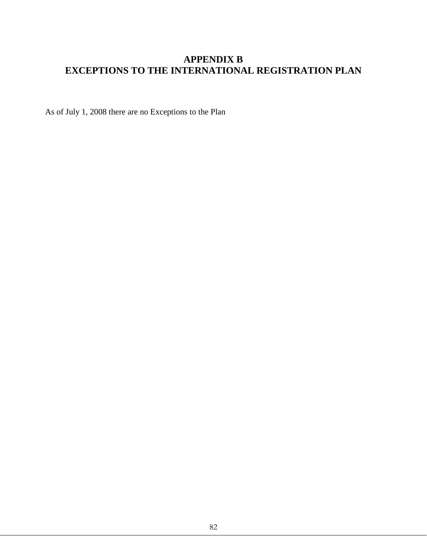# **APPENDIX B EXCEPTIONS TO THE INTERNATIONAL REGISTRATION PLAN**

As of July 1, 2008 there are no Exceptions to the Plan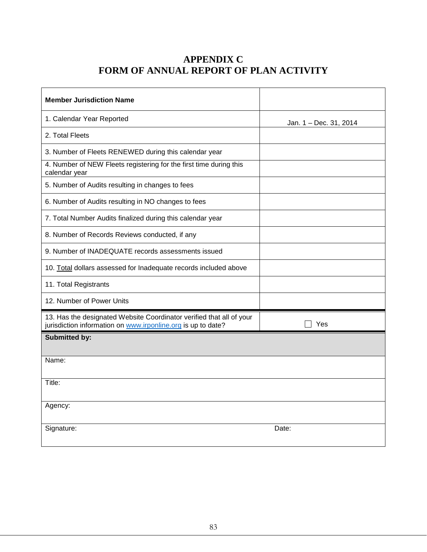# **APPENDIX C FORM OF ANNUAL REPORT OF PLAN ACTIVITY**

| <b>Member Jurisdiction Name</b>                                                                                                      |                        |
|--------------------------------------------------------------------------------------------------------------------------------------|------------------------|
| 1. Calendar Year Reported                                                                                                            | Jan. 1 - Dec. 31, 2014 |
| 2. Total Fleets                                                                                                                      |                        |
| 3. Number of Fleets RENEWED during this calendar year                                                                                |                        |
| 4. Number of NEW Fleets registering for the first time during this<br>calendar year                                                  |                        |
| 5. Number of Audits resulting in changes to fees                                                                                     |                        |
| 6. Number of Audits resulting in NO changes to fees                                                                                  |                        |
| 7. Total Number Audits finalized during this calendar year                                                                           |                        |
| 8. Number of Records Reviews conducted, if any                                                                                       |                        |
| 9. Number of INADEQUATE records assessments issued                                                                                   |                        |
| 10. Total dollars assessed for Inadequate records included above                                                                     |                        |
| 11. Total Registrants                                                                                                                |                        |
| 12. Number of Power Units                                                                                                            |                        |
| 13. Has the designated Website Coordinator verified that all of your<br>jurisdiction information on www.irponline.org is up to date? | Yes                    |
| <b>Submitted by:</b>                                                                                                                 |                        |
| Name:                                                                                                                                |                        |
| Title:                                                                                                                               |                        |
| Agency:                                                                                                                              |                        |
| Signature:                                                                                                                           | Date:                  |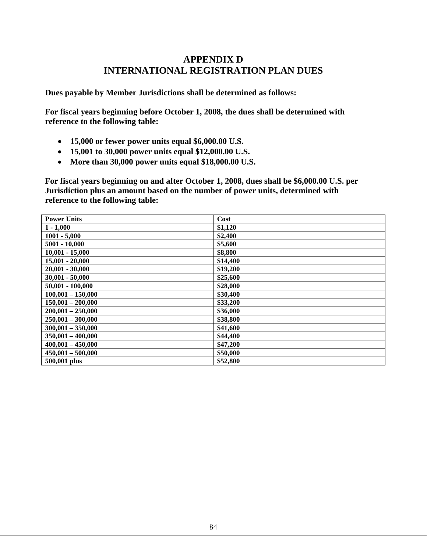# **APPENDIX D INTERNATIONAL REGISTRATION PLAN DUES**

**Dues payable by Member Jurisdictions shall be determined as follows:**

**For fiscal years beginning before October 1, 2008, the dues shall be determined with reference to the following table:**

- **15,000 or fewer power units equal \$6,000.00 U.S.**
- **15,001 to 30,000 power units equal \$12,000.00 U.S.**
- **More than 30,000 power units equal \$18,000.00 U.S.**

**For fiscal years beginning on and after October 1, 2008, dues shall be \$6,000.00 U.S. per Jurisdiction plus an amount based on the number of power units, determined with reference to the following table:**

| <b>Power Units</b>  | Cost     |
|---------------------|----------|
| $1 - 1,000$         | \$1,120  |
| $1001 - 5,000$      | \$2,400  |
| $5001 - 10,000$     | \$5,600  |
| $10,001 - 15,000$   | \$8,800  |
| $15,001 - 20,000$   | \$14,400 |
| $20,001 - 30,000$   | \$19,200 |
| $30,001 - 50,000$   | \$25,600 |
| $50,001 - 100,000$  | \$28,000 |
| $100,001 - 150,000$ | \$30,400 |
| $150,001 - 200,000$ | \$33,200 |
| $200,001 - 250,000$ | \$36,000 |
| $250,001 - 300,000$ | \$38,800 |
| $300,001 - 350,000$ | \$41,600 |
| $350,001 - 400,000$ | \$44,400 |
| $400,001 - 450,000$ | \$47,200 |
| $450,001 - 500,000$ | \$50,000 |
| 500,001 plus        | \$52,800 |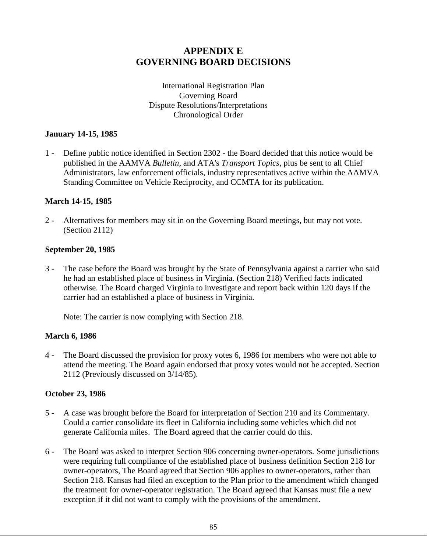# **APPENDIX E GOVERNING BOARD DECISIONS**

International Registration Plan Governing Board Dispute Resolutions/Interpretations Chronological Order

## **January 14-15, 1985**

1 - Define public notice identified in Section 2302 - the Board decided that this notice would be published in the AAMVA *Bulletin*, and ATA's *Transport Topics*, plus be sent to all Chief Administrators, law enforcement officials, industry representatives active within the AAMVA Standing Committee on Vehicle Reciprocity, and CCMTA for its publication.

## **March 14-15, 1985**

2 - Alternatives for members may sit in on the Governing Board meetings, but may not vote. (Section 2112)

## **September 20, 1985**

3 - The case before the Board was brought by the State of Pennsylvania against a carrier who said he had an established place of business in Virginia. (Section 218) Verified facts indicated otherwise. The Board charged Virginia to investigate and report back within 120 days if the carrier had an established a place of business in Virginia.

Note: The carrier is now complying with Section 218.

## **March 6, 1986**

4 - The Board discussed the provision for proxy votes 6, 1986 for members who were not able to attend the meeting. The Board again endorsed that proxy votes would not be accepted. Section 2112 (Previously discussed on 3/14/85).

## **October 23, 1986**

- 5 A case was brought before the Board for interpretation of Section 210 and its Commentary. Could a carrier consolidate its fleet in California including some vehicles which did not generate California miles. The Board agreed that the carrier could do this.
- 6 The Board was asked to interpret Section 906 concerning owner-operators. Some jurisdictions were requiring full compliance of the established place of business definition Section 218 for owner-operators, The Board agreed that Section 906 applies to owner-operators, rather than Section 218. Kansas had filed an exception to the Plan prior to the amendment which changed the treatment for owner-operator registration. The Board agreed that Kansas must file a new exception if it did not want to comply with the provisions of the amendment.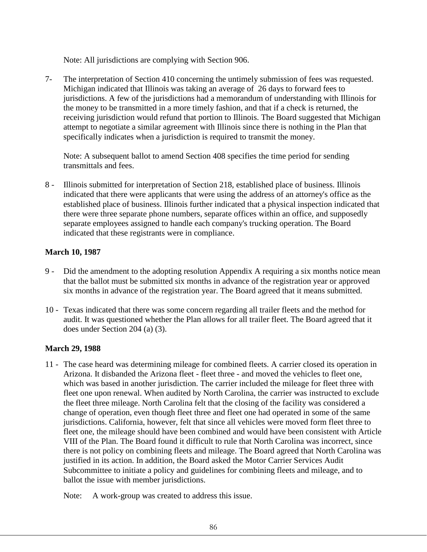Note: All jurisdictions are complying with Section 906.

7- The interpretation of Section 410 concerning the untimely submission of fees was requested. Michigan indicated that Illinois was taking an average of 26 days to forward fees to jurisdictions. A few of the jurisdictions had a memorandum of understanding with Illinois for the money to be transmitted in a more timely fashion, and that if a check is returned, the receiving jurisdiction would refund that portion to Illinois. The Board suggested that Michigan attempt to negotiate a similar agreement with Illinois since there is nothing in the Plan that specifically indicates when a jurisdiction is required to transmit the money.

Note: A subsequent ballot to amend Section 408 specifies the time period for sending transmittals and fees.

8 - Illinois submitted for interpretation of Section 218, established place of business. Illinois indicated that there were applicants that were using the address of an attorney's office as the established place of business. Illinois further indicated that a physical inspection indicated that there were three separate phone numbers, separate offices within an office, and supposedly separate employees assigned to handle each company's trucking operation. The Board indicated that these registrants were in compliance.

## **March 10, 1987**

- 9 Did the amendment to the adopting resolution Appendix A requiring a six months notice mean that the ballot must be submitted six months in advance of the registration year or approved six months in advance of the registration year. The Board agreed that it means submitted.
- 10 Texas indicated that there was some concern regarding all trailer fleets and the method for audit. It was questioned whether the Plan allows for all trailer fleet. The Board agreed that it does under Section 204 (a) (3).

## **March 29, 1988**

11 - The case heard was determining mileage for combined fleets. A carrier closed its operation in Arizona. It disbanded the Arizona fleet - fleet three - and moved the vehicles to fleet one, which was based in another jurisdiction. The carrier included the mileage for fleet three with fleet one upon renewal. When audited by North Carolina, the carrier was instructed to exclude the fleet three mileage. North Carolina felt that the closing of the facility was considered a change of operation, even though fleet three and fleet one had operated in some of the same jurisdictions. California, however, felt that since all vehicles were moved form fleet three to fleet one, the mileage should have been combined and would have been consistent with Article VIII of the Plan. The Board found it difficult to rule that North Carolina was incorrect, since there is not policy on combining fleets and mileage. The Board agreed that North Carolina was justified in its action. In addition, the Board asked the Motor Carrier Services Audit Subcommittee to initiate a policy and guidelines for combining fleets and mileage, and to ballot the issue with member jurisdictions.

Note: A work-group was created to address this issue.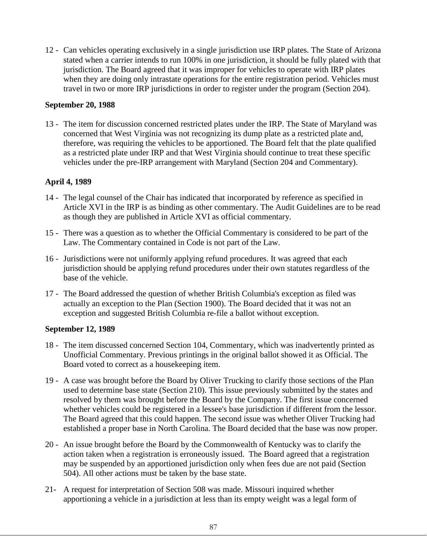12 - Can vehicles operating exclusively in a single jurisdiction use IRP plates. The State of Arizona stated when a carrier intends to run 100% in one jurisdiction, it should be fully plated with that jurisdiction. The Board agreed that it was improper for vehicles to operate with IRP plates when they are doing only intrastate operations for the entire registration period. Vehicles must travel in two or more IRP jurisdictions in order to register under the program (Section 204).

## **September 20, 1988**

13 - The item for discussion concerned restricted plates under the IRP. The State of Maryland was concerned that West Virginia was not recognizing its dump plate as a restricted plate and, therefore, was requiring the vehicles to be apportioned. The Board felt that the plate qualified as a restricted plate under IRP and that West Virginia should continue to treat these specific vehicles under the pre-IRP arrangement with Maryland (Section 204 and Commentary).

## **April 4, 1989**

- 14 The legal counsel of the Chair has indicated that incorporated by reference as specified in Article XVI in the IRP is as binding as other commentary. The Audit Guidelines are to be read as though they are published in Article XVI as official commentary.
- 15 There was a question as to whether the Official Commentary is considered to be part of the Law. The Commentary contained in Code is not part of the Law.
- 16 Jurisdictions were not uniformly applying refund procedures. It was agreed that each jurisdiction should be applying refund procedures under their own statutes regardless of the base of the vehicle.
- 17 The Board addressed the question of whether British Columbia's exception as filed was actually an exception to the Plan (Section 1900). The Board decided that it was not an exception and suggested British Columbia re-file a ballot without exception.

## **September 12, 1989**

- 18 The item discussed concerned Section 104, Commentary, which was inadvertently printed as Unofficial Commentary. Previous printings in the original ballot showed it as Official. The Board voted to correct as a housekeeping item.
- 19 A case was brought before the Board by Oliver Trucking to clarify those sections of the Plan used to determine base state (Section 210). This issue previously submitted by the states and resolved by them was brought before the Board by the Company. The first issue concerned whether vehicles could be registered in a lessee's base jurisdiction if different from the lessor. The Board agreed that this could happen. The second issue was whether Oliver Trucking had established a proper base in North Carolina. The Board decided that the base was now proper.
- 20 An issue brought before the Board by the Commonwealth of Kentucky was to clarify the action taken when a registration is erroneously issued. The Board agreed that a registration may be suspended by an apportioned jurisdiction only when fees due are not paid (Section 504). All other actions must be taken by the base state.
- 21- A request for interpretation of Section 508 was made. Missouri inquired whether apportioning a vehicle in a jurisdiction at less than its empty weight was a legal form of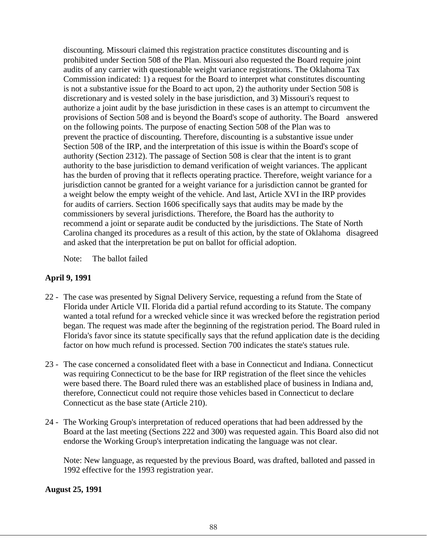discounting. Missouri claimed this registration practice constitutes discounting and is prohibited under Section 508 of the Plan. Missouri also requested the Board require joint audits of any carrier with questionable weight variance registrations. The Oklahoma Tax Commission indicated: 1) a request for the Board to interpret what constitutes discounting is not a substantive issue for the Board to act upon, 2) the authority under Section 508 is discretionary and is vested solely in the base jurisdiction, and 3) Missouri's request to authorize a joint audit by the base jurisdiction in these cases is an attempt to circumvent the provisions of Section 508 and is beyond the Board's scope of authority. The Board answered on the following points. The purpose of enacting Section 508 of the Plan was to prevent the practice of discounting. Therefore, discounting is a substantive issue under Section 508 of the IRP, and the interpretation of this issue is within the Board's scope of authority (Section 2312). The passage of Section 508 is clear that the intent is to grant authority to the base jurisdiction to demand verification of weight variances. The applicant has the burden of proving that it reflects operating practice. Therefore, weight variance for a jurisdiction cannot be granted for a weight variance for a jurisdiction cannot be granted for a weight below the empty weight of the vehicle. And last, Article XVI in the IRP provides for audits of carriers. Section 1606 specifically says that audits may be made by the commissioners by several jurisdictions. Therefore, the Board has the authority to recommend a joint or separate audit be conducted by the jurisdictions. The State of North Carolina changed its procedures as a result of this action, by the state of Oklahoma disagreed and asked that the interpretation be put on ballot for official adoption.

Note: The ballot failed

## **April 9, 1991**

- 22 The case was presented by Signal Delivery Service, requesting a refund from the State of Florida under Article VII. Florida did a partial refund according to its Statute. The company wanted a total refund for a wrecked vehicle since it was wrecked before the registration period began. The request was made after the beginning of the registration period. The Board ruled in Florida's favor since its statute specifically says that the refund application date is the deciding factor on how much refund is processed. Section 700 indicates the state's statues rule.
- 23 The case concerned a consolidated fleet with a base in Connecticut and Indiana. Connecticut was requiring Connecticut to be the base for IRP registration of the fleet since the vehicles were based there. The Board ruled there was an established place of business in Indiana and, therefore, Connecticut could not require those vehicles based in Connecticut to declare Connecticut as the base state (Article 210).
- 24 The Working Group's interpretation of reduced operations that had been addressed by the Board at the last meeting (Sections 222 and 300) was requested again. This Board also did not endorse the Working Group's interpretation indicating the language was not clear.

Note: New language, as requested by the previous Board, was drafted, balloted and passed in 1992 effective for the 1993 registration year.

**August 25, 1991**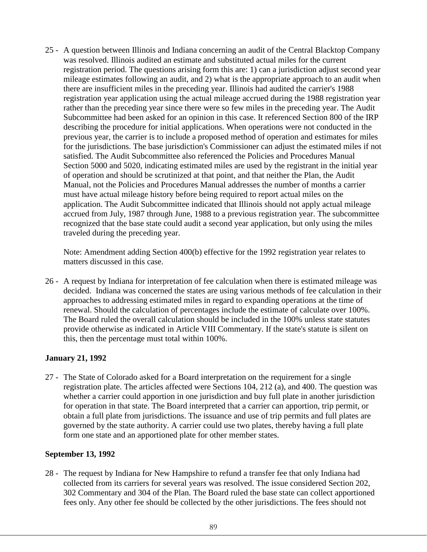25 - A question between Illinois and Indiana concerning an audit of the Central Blacktop Company was resolved. Illinois audited an estimate and substituted actual miles for the current registration period. The questions arising form this are: 1) can a jurisdiction adjust second year mileage estimates following an audit, and 2) what is the appropriate approach to an audit when there are insufficient miles in the preceding year. Illinois had audited the carrier's 1988 registration year application using the actual mileage accrued during the 1988 registration year rather than the preceding year since there were so few miles in the preceding year. The Audit Subcommittee had been asked for an opinion in this case. It referenced Section 800 of the IRP describing the procedure for initial applications. When operations were not conducted in the previous year, the carrier is to include a proposed method of operation and estimates for miles for the jurisdictions. The base jurisdiction's Commissioner can adjust the estimated miles if not satisfied. The Audit Subcommittee also referenced the Policies and Procedures Manual Section 5000 and 5020, indicating estimated miles are used by the registrant in the initial year of operation and should be scrutinized at that point, and that neither the Plan, the Audit Manual, not the Policies and Procedures Manual addresses the number of months a carrier must have actual mileage history before being required to report actual miles on the application. The Audit Subcommittee indicated that Illinois should not apply actual mileage accrued from July, 1987 through June, 1988 to a previous registration year. The subcommittee recognized that the base state could audit a second year application, but only using the miles traveled during the preceding year.

Note: Amendment adding Section 400(b) effective for the 1992 registration year relates to matters discussed in this case.

26 - A request by Indiana for interpretation of fee calculation when there is estimated mileage was decided. Indiana was concerned the states are using various methods of fee calculation in their approaches to addressing estimated miles in regard to expanding operations at the time of renewal. Should the calculation of percentages include the estimate of calculate over 100%. The Board ruled the overall calculation should be included in the 100% unless state statutes provide otherwise as indicated in Article VIII Commentary. If the state's statute is silent on this, then the percentage must total within 100%.

## **January 21, 1992**

27 - The State of Colorado asked for a Board interpretation on the requirement for a single registration plate. The articles affected were Sections 104, 212 (a), and 400. The question was whether a carrier could apportion in one jurisdiction and buy full plate in another jurisdiction for operation in that state. The Board interpreted that a carrier can apportion, trip permit, or obtain a full plate from jurisdictions. The issuance and use of trip permits and full plates are governed by the state authority. A carrier could use two plates, thereby having a full plate form one state and an apportioned plate for other member states.

## **September 13, 1992**

28 - The request by Indiana for New Hampshire to refund a transfer fee that only Indiana had collected from its carriers for several years was resolved. The issue considered Section 202, 302 Commentary and 304 of the Plan. The Board ruled the base state can collect apportioned fees only. Any other fee should be collected by the other jurisdictions. The fees should not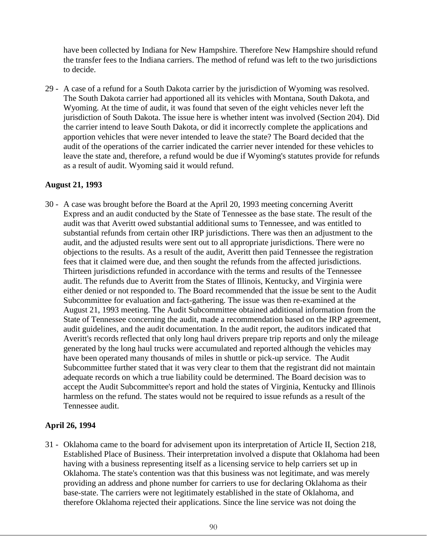have been collected by Indiana for New Hampshire. Therefore New Hampshire should refund the transfer fees to the Indiana carriers. The method of refund was left to the two jurisdictions to decide.

29 - A case of a refund for a South Dakota carrier by the jurisdiction of Wyoming was resolved. The South Dakota carrier had apportioned all its vehicles with Montana, South Dakota, and Wyoming. At the time of audit, it was found that seven of the eight vehicles never left the jurisdiction of South Dakota. The issue here is whether intent was involved (Section 204). Did the carrier intend to leave South Dakota, or did it incorrectly complete the applications and apportion vehicles that were never intended to leave the state? The Board decided that the audit of the operations of the carrier indicated the carrier never intended for these vehicles to leave the state and, therefore, a refund would be due if Wyoming's statutes provide for refunds as a result of audit. Wyoming said it would refund.

## **August 21, 1993**

30 - A case was brought before the Board at the April 20, 1993 meeting concerning Averitt Express and an audit conducted by the State of Tennessee as the base state. The result of the audit was that Averitt owed substantial additional sums to Tennessee, and was entitled to substantial refunds from certain other IRP jurisdictions. There was then an adjustment to the audit, and the adjusted results were sent out to all appropriate jurisdictions. There were no objections to the results. As a result of the audit, Averitt then paid Tennessee the registration fees that it claimed were due, and then sought the refunds from the affected jurisdictions. Thirteen jurisdictions refunded in accordance with the terms and results of the Tennessee audit. The refunds due to Averitt from the States of Illinois, Kentucky, and Virginia were either denied or not responded to. The Board recommended that the issue be sent to the Audit Subcommittee for evaluation and fact-gathering. The issue was then re-examined at the August 21, 1993 meeting. The Audit Subcommittee obtained additional information from the State of Tennessee concerning the audit, made a recommendation based on the IRP agreement, audit guidelines, and the audit documentation. In the audit report, the auditors indicated that Averitt's records reflected that only long haul drivers prepare trip reports and only the mileage generated by the long haul trucks were accumulated and reported although the vehicles may have been operated many thousands of miles in shuttle or pick-up service. The Audit Subcommittee further stated that it was very clear to them that the registrant did not maintain adequate records on which a true liability could be determined. The Board decision was to accept the Audit Subcommittee's report and hold the states of Virginia, Kentucky and Illinois harmless on the refund. The states would not be required to issue refunds as a result of the Tennessee audit.

## **April 26, 1994**

31 - Oklahoma came to the board for advisement upon its interpretation of Article II, Section 218, Established Place of Business. Their interpretation involved a dispute that Oklahoma had been having with a business representing itself as a licensing service to help carriers set up in Oklahoma. The state's contention was that this business was not legitimate, and was merely providing an address and phone number for carriers to use for declaring Oklahoma as their base-state. The carriers were not legitimately established in the state of Oklahoma, and therefore Oklahoma rejected their applications. Since the line service was not doing the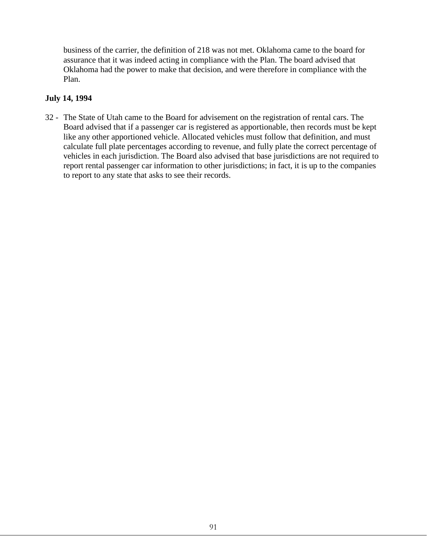business of the carrier, the definition of 218 was not met. Oklahoma came to the board for assurance that it was indeed acting in compliance with the Plan. The board advised that Oklahoma had the power to make that decision, and were therefore in compliance with the Plan.

## **July 14, 1994**

32 - The State of Utah came to the Board for advisement on the registration of rental cars. The Board advised that if a passenger car is registered as apportionable, then records must be kept like any other apportioned vehicle. Allocated vehicles must follow that definition, and must calculate full plate percentages according to revenue, and fully plate the correct percentage of vehicles in each jurisdiction. The Board also advised that base jurisdictions are not required to report rental passenger car information to other jurisdictions; in fact, it is up to the companies to report to any state that asks to see their records.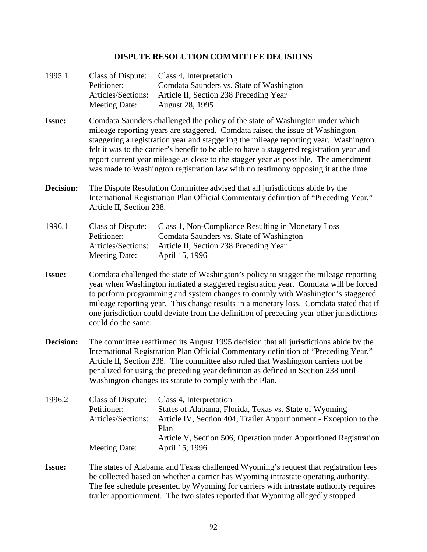## **DISPUTE RESOLUTION COMMITTEE DECISIONS**

| 1995.1        | Class of Dispute:<br>Petitioner:<br>Articles/Sections:<br><b>Meeting Date:</b>                                                                                                                                                                                                                                                                                                                                                                                                                                                   | Class 4, Interpretation<br>Comdata Saunders vs. State of Washington<br>Article II, Section 238 Preceding Year<br>August 28, 1995                                                                                                   |  |
|---------------|----------------------------------------------------------------------------------------------------------------------------------------------------------------------------------------------------------------------------------------------------------------------------------------------------------------------------------------------------------------------------------------------------------------------------------------------------------------------------------------------------------------------------------|------------------------------------------------------------------------------------------------------------------------------------------------------------------------------------------------------------------------------------|--|
| <b>Issue:</b> | Comdata Saunders challenged the policy of the state of Washington under which<br>mileage reporting years are staggered. Comdata raised the issue of Washington<br>staggering a registration year and staggering the mileage reporting year. Washington<br>felt it was to the carrier's benefit to be able to have a staggered registration year and<br>report current year mileage as close to the stagger year as possible. The amendment<br>was made to Washington registration law with no testimony opposing it at the time. |                                                                                                                                                                                                                                    |  |
| Decision:     | The Dispute Resolution Committee advised that all jurisdictions abide by the<br>International Registration Plan Official Commentary definition of "Preceding Year,"<br>Article II, Section 238.                                                                                                                                                                                                                                                                                                                                  |                                                                                                                                                                                                                                    |  |
| 1996.1        | Class of Dispute:<br>Petitioner:<br>Articles/Sections:<br><b>Meeting Date:</b>                                                                                                                                                                                                                                                                                                                                                                                                                                                   | Class 1, Non-Compliance Resulting in Monetary Loss<br>Comdata Saunders vs. State of Washington<br>Article II, Section 238 Preceding Year<br>April 15, 1996                                                                         |  |
| <b>Issue:</b> | Comdata challenged the state of Washington's policy to stagger the mileage reporting<br>year when Washington initiated a staggered registration year. Comdata will be forced<br>to perform programming and system changes to comply with Washington's staggered<br>mileage reporting year. This change results in a monetary loss. Comdata stated that if<br>one jurisdiction could deviate from the definition of preceding year other jurisdictions<br>could do the same.                                                      |                                                                                                                                                                                                                                    |  |
| Decision:     | The committee reaffirmed its August 1995 decision that all jurisdictions abide by the<br>International Registration Plan Official Commentary definition of "Preceding Year,"<br>Article II, Section 238. The committee also ruled that Washington carriers not be<br>penalized for using the preceding year definition as defined in Section 238 until<br>Washington changes its statute to comply with the Plan.                                                                                                                |                                                                                                                                                                                                                                    |  |
| 1996.2        | <b>Class of Dispute:</b><br>Petitioner:<br>Articles/Sections:                                                                                                                                                                                                                                                                                                                                                                                                                                                                    | Class 4, Interpretation<br>States of Alabama, Florida, Texas vs. State of Wyoming<br>Article IV, Section 404, Trailer Apportionment - Exception to the<br>Plan<br>Article V, Section 506, Operation under Apportioned Registration |  |
|               | <b>Meeting Date:</b>                                                                                                                                                                                                                                                                                                                                                                                                                                                                                                             | April 15, 1996                                                                                                                                                                                                                     |  |
| <b>Issue:</b> | The states of Alabama and Texas challenged Wyoming's request that registration fees<br>be collected based on whether a carrier has Wyoming intrastate operating authority.<br>The fee schedule presented by Wyoming for carriers with intrastate authority requires<br>trailer apportionment. The two states reported that Wyoming allegedly stopped                                                                                                                                                                             |                                                                                                                                                                                                                                    |  |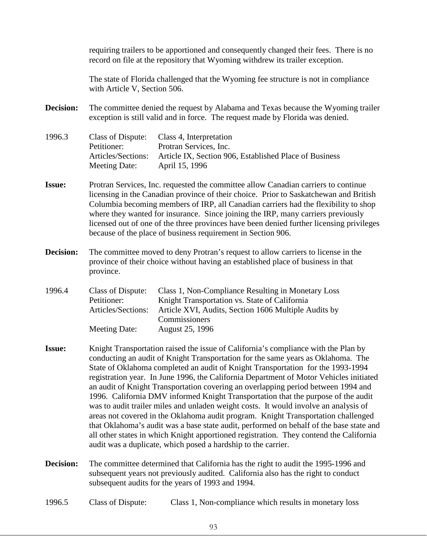requiring trailers to be apportioned and consequently changed their fees. There is no record on file at the repository that Wyoming withdrew its trailer exception.

The state of Florida challenged that the Wyoming fee structure is not in compliance with Article V, Section 506.

**Decision:** The committee denied the request by Alabama and Texas because the Wyoming trailer exception is still valid and in force. The request made by Florida was denied.

1996.3 Class of Dispute: Class 4, Interpretation Petitioner: Protran Services, Inc. Articles/Sections: Article IX, Section 906, Established Place of Business Meeting Date: April 15, 1996

- **Issue:** Protran Services, Inc. requested the committee allow Canadian carriers to continue licensing in the Canadian province of their choice. Prior to Saskatchewan and British Columbia becoming members of IRP, all Canadian carriers had the flexibility to shop where they wanted for insurance. Since joining the IRP, many carriers previously licensed out of one of the three provinces have been denied further licensing privileges because of the place of business requirement in Section 906.
- **Decision:** The committee moved to deny Protran's request to allow carriers to license in the province of their choice without having an established place of business in that province.

1996.4 Class of Dispute: Class 1, Non-Compliance Resulting in Monetary Loss Petitioner: Knight Transportation vs. State of California Articles/Sections: Article XVI, Audits, Section 1606 Multiple Audits by **Commissioners** Meeting Date: August 25, 1996

- **Issue:** Knight Transportation raised the issue of California's compliance with the Plan by conducting an audit of Knight Transportation for the same years as Oklahoma. The State of Oklahoma completed an audit of Knight Transportation for the 1993-1994 registration year. In June 1996, the California Department of Motor Vehicles initiated an audit of Knight Transportation covering an overlapping period between 1994 and 1996. California DMV informed Knight Transportation that the purpose of the audit was to audit trailer miles and unladen weight costs. It would involve an analysis of areas not covered in the Oklahoma audit program. Knight Transportation challenged that Oklahoma's audit was a base state audit, performed on behalf of the base state and all other states in which Knight apportioned registration. They contend the California audit was a duplicate, which posed a hardship to the carrier.
- **Decision:** The committee determined that California has the right to audit the 1995-1996 and subsequent years not previously audited. California also has the right to conduct subsequent audits for the years of 1993 and 1994.

1996.5 Class of Dispute: Class 1, Non-compliance which results in monetary loss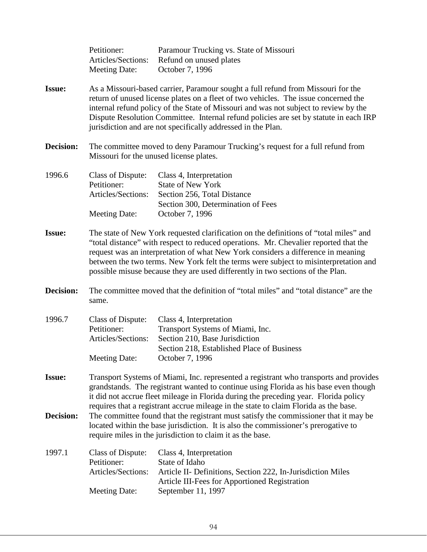|               | Petitioner:<br>Articles/Sections:<br><b>Meeting Date:</b>                                                                                                                                                                                                                                                                                                                                                                                   | Paramour Trucking vs. State of Missouri<br>Refund on unused plates<br>October 7, 1996                                                                          |
|---------------|---------------------------------------------------------------------------------------------------------------------------------------------------------------------------------------------------------------------------------------------------------------------------------------------------------------------------------------------------------------------------------------------------------------------------------------------|----------------------------------------------------------------------------------------------------------------------------------------------------------------|
| <b>Issue:</b> | As a Missouri-based carrier, Paramour sought a full refund from Missouri for the<br>return of unused license plates on a fleet of two vehicles. The issue concerned the<br>internal refund policy of the State of Missouri and was not subject to review by the<br>Dispute Resolution Committee. Internal refund policies are set by statute in each IRP<br>jurisdiction and are not specifically addressed in the Plan.                    |                                                                                                                                                                |
| Decision:     | The committee moved to deny Paramour Trucking's request for a full refund from<br>Missouri for the unused license plates.                                                                                                                                                                                                                                                                                                                   |                                                                                                                                                                |
| 1996.6        | Class of Dispute:<br>Petitioner:<br>Articles/Sections:<br><b>Meeting Date:</b>                                                                                                                                                                                                                                                                                                                                                              | Class 4, Interpretation<br><b>State of New York</b><br>Section 256, Total Distance<br>Section 300, Determination of Fees<br>October 7, 1996                    |
| <b>Issue:</b> | The state of New York requested clarification on the definitions of "total miles" and<br>"total distance" with respect to reduced operations. Mr. Chevalier reported that the<br>request was an interpretation of what New York considers a difference in meaning<br>between the two terms. New York felt the terms were subject to misinterpretation and<br>possible misuse because they are used differently in two sections of the Plan. |                                                                                                                                                                |
| Decision:     | The committee moved that the definition of "total miles" and "total distance" are the<br>same.                                                                                                                                                                                                                                                                                                                                              |                                                                                                                                                                |
| 1996.7        | <b>Class of Dispute:</b><br>Petitioner:<br>Articles/Sections:<br>Meeting Date:                                                                                                                                                                                                                                                                                                                                                              | Class 4, Interpretation<br>Transport Systems of Miami, Inc.<br>Section 210, Base Jurisdiction<br>Section 218, Established Place of Business<br>October 7, 1996 |
| <b>Issue:</b> | Transport Systems of Miami, Inc. represented a registrant who transports and provides<br>grandstands. The registrant wanted to continue using Florida as his base even though<br>it did not accrue fleet mileage in Florida during the preceding year. Florida policy<br>requires that a registrant accrue mileage in the state to claim Florida as the base.                                                                               |                                                                                                                                                                |
| Decision:     | The committee found that the registrant must satisfy the commissioner that it may be<br>located within the base jurisdiction. It is also the commissioner's prerogative to<br>require miles in the jurisdiction to claim it as the base.                                                                                                                                                                                                    |                                                                                                                                                                |
| 1997.1        | Class of Dispute:<br>Petitioner:<br>Articles/Sections:                                                                                                                                                                                                                                                                                                                                                                                      | Class 4, Interpretation<br>State of Idaho<br>Article II- Definitions, Section 222, In-Jurisdiction Miles<br>Article III-Fees for Apportioned Registration      |
|               | <b>Meeting Date:</b>                                                                                                                                                                                                                                                                                                                                                                                                                        | September 11, 1997                                                                                                                                             |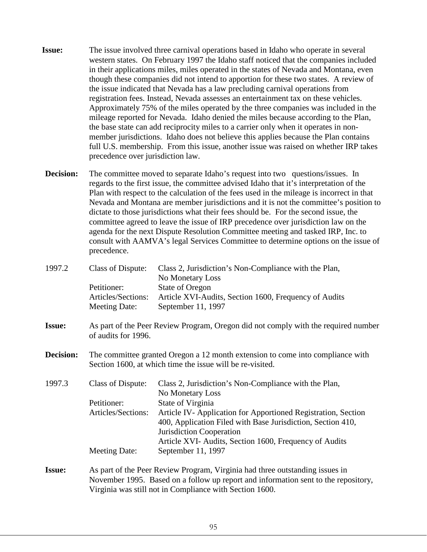- **Issue:** The issue involved three carnival operations based in Idaho who operate in several western states. On February 1997 the Idaho staff noticed that the companies included in their applications miles, miles operated in the states of Nevada and Montana, even though these companies did not intend to apportion for these two states. A review of the issue indicated that Nevada has a law precluding carnival operations from registration fees. Instead, Nevada assesses an entertainment tax on these vehicles. Approximately 75% of the miles operated by the three companies was included in the mileage reported for Nevada. Idaho denied the miles because according to the Plan, the base state can add reciprocity miles to a carrier only when it operates in nonmember jurisdictions. Idaho does not believe this applies because the Plan contains full U.S. membership. From this issue, another issue was raised on whether IRP takes precedence over jurisdiction law.
- **Decision:** The committee moved to separate Idaho's request into two questions/issues. In regards to the first issue, the committee advised Idaho that it's interpretation of the Plan with respect to the calculation of the fees used in the mileage is incorrect in that Nevada and Montana are member jurisdictions and it is not the committee's position to dictate to those jurisdictions what their fees should be. For the second issue, the committee agreed to leave the issue of IRP precedence over jurisdiction law on the agenda for the next Dispute Resolution Committee meeting and tasked IRP, Inc. to consult with AAMVA's legal Services Committee to determine options on the issue of precedence.

| 1997.2        | <b>Class of Dispute:</b>                                                                                                                    | Class 2, Jurisdiction's Non-Compliance with the Plan,<br>No Monetary Loss                                                                               |  |
|---------------|---------------------------------------------------------------------------------------------------------------------------------------------|---------------------------------------------------------------------------------------------------------------------------------------------------------|--|
|               | Petitioner:                                                                                                                                 | <b>State of Oregon</b>                                                                                                                                  |  |
|               | Articles/Sections:                                                                                                                          | Article XVI-Audits, Section 1600, Frequency of Audits                                                                                                   |  |
|               | <b>Meeting Date:</b>                                                                                                                        | September 11, 1997                                                                                                                                      |  |
| <b>Issue:</b> | of audits for 1996.                                                                                                                         | As part of the Peer Review Program, Oregon did not comply with the required number                                                                      |  |
| Decision:     | The committee granted Oregon a 12 month extension to come into compliance with<br>Section 1600, at which time the issue will be re-visited. |                                                                                                                                                         |  |
| 1997.3        | <b>Class of Dispute:</b>                                                                                                                    | Class 2, Jurisdiction's Non-Compliance with the Plan,<br>No Monetary Loss                                                                               |  |
|               | Petitioner:                                                                                                                                 | State of Virginia                                                                                                                                       |  |
|               | Articles/Sections:                                                                                                                          | Article IV-Application for Apportioned Registration, Section<br>400, Application Filed with Base Jurisdiction, Section 410,<br>Jurisdiction Cooperation |  |
|               |                                                                                                                                             | Article XVI- Audits, Section 1600, Frequency of Audits                                                                                                  |  |
|               | <b>Meeting Date:</b>                                                                                                                        | September 11, 1997                                                                                                                                      |  |
| <b>Issue:</b> | As part of the Peer Review Program, Virginia had three outstanding issues in                                                                |                                                                                                                                                         |  |
|               | November 1995. Based on a follow up report and information sent to the repository,                                                          |                                                                                                                                                         |  |
|               | Virginia was still not in Compliance with Section 1600.                                                                                     |                                                                                                                                                         |  |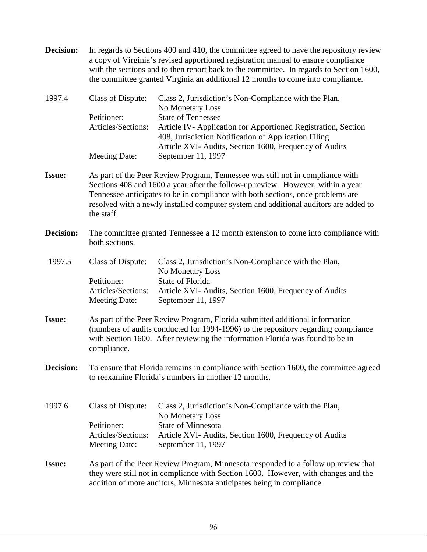| <b>Decision:</b> |                                                                                                                                                                                                                                                                                                                                                            | In regards to Sections 400 and 410, the committee agreed to have the repository review<br>a copy of Virginia's revised apportioned registration manual to ensure compliance<br>with the sections and to then report back to the committee. In regards to Section 1600,<br>the committee granted Virginia an additional 12 months to come into compliance. |  |
|------------------|------------------------------------------------------------------------------------------------------------------------------------------------------------------------------------------------------------------------------------------------------------------------------------------------------------------------------------------------------------|-----------------------------------------------------------------------------------------------------------------------------------------------------------------------------------------------------------------------------------------------------------------------------------------------------------------------------------------------------------|--|
| 1997.4           | Class of Dispute:                                                                                                                                                                                                                                                                                                                                          | Class 2, Jurisdiction's Non-Compliance with the Plan,<br>No Monetary Loss                                                                                                                                                                                                                                                                                 |  |
|                  | Petitioner:                                                                                                                                                                                                                                                                                                                                                | <b>State of Tennessee</b>                                                                                                                                                                                                                                                                                                                                 |  |
|                  | Articles/Sections:                                                                                                                                                                                                                                                                                                                                         | Article IV-Application for Apportioned Registration, Section<br>408, Jurisdiction Notification of Application Filing<br>Article XVI- Audits, Section 1600, Frequency of Audits                                                                                                                                                                            |  |
|                  | <b>Meeting Date:</b>                                                                                                                                                                                                                                                                                                                                       | September 11, 1997                                                                                                                                                                                                                                                                                                                                        |  |
| <b>Issue:</b>    | As part of the Peer Review Program, Tennessee was still not in compliance with<br>Sections 408 and 1600 a year after the follow-up review. However, within a year<br>Tennessee anticipates to be in compliance with both sections, once problems are<br>resolved with a newly installed computer system and additional auditors are added to<br>the staff. |                                                                                                                                                                                                                                                                                                                                                           |  |
| <b>Decision:</b> | The committee granted Tennessee a 12 month extension to come into compliance with<br>both sections.                                                                                                                                                                                                                                                        |                                                                                                                                                                                                                                                                                                                                                           |  |
| 1997.5           | Class of Dispute:                                                                                                                                                                                                                                                                                                                                          | Class 2, Jurisdiction's Non-Compliance with the Plan,<br>No Monetary Loss                                                                                                                                                                                                                                                                                 |  |
|                  | Petitioner:<br>Articles/Sections:<br><b>Meeting Date:</b>                                                                                                                                                                                                                                                                                                  | State of Florida<br>Article XVI- Audits, Section 1600, Frequency of Audits<br>September 11, 1997                                                                                                                                                                                                                                                          |  |
| <b>Issue:</b>    | As part of the Peer Review Program, Florida submitted additional information<br>(numbers of audits conducted for 1994-1996) to the repository regarding compliance<br>with Section 1600. After reviewing the information Florida was found to be in<br>compliance.                                                                                         |                                                                                                                                                                                                                                                                                                                                                           |  |
| <b>Decision:</b> | To ensure that Florida remains in compliance with Section 1600, the committee agreed<br>to reexamine Florida's numbers in another 12 months.                                                                                                                                                                                                               |                                                                                                                                                                                                                                                                                                                                                           |  |
| 1997.6           | Class of Dispute:                                                                                                                                                                                                                                                                                                                                          | Class 2, Jurisdiction's Non-Compliance with the Plan,<br>No Monetary Loss                                                                                                                                                                                                                                                                                 |  |
|                  | Petitioner:                                                                                                                                                                                                                                                                                                                                                | <b>State of Minnesota</b>                                                                                                                                                                                                                                                                                                                                 |  |
|                  | Articles/Sections:<br><b>Meeting Date:</b>                                                                                                                                                                                                                                                                                                                 | Article XVI- Audits, Section 1600, Frequency of Audits<br>September 11, 1997                                                                                                                                                                                                                                                                              |  |
| <b>Issue:</b>    | As part of the Peer Review Program, Minnesota responded to a follow up review that<br>they were still not in compliance with Section 1600. However, with changes and the<br>addition of more auditors, Minnesota anticipates being in compliance.                                                                                                          |                                                                                                                                                                                                                                                                                                                                                           |  |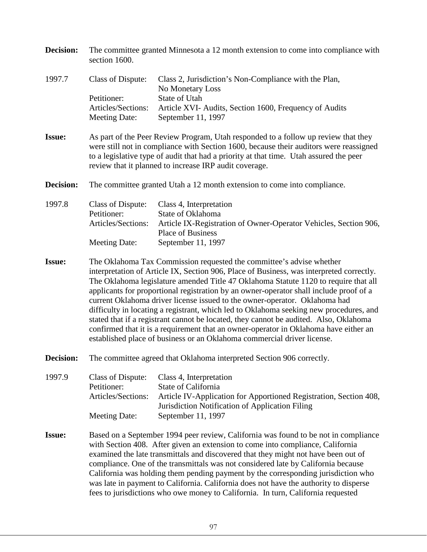| Decision:     | The committee granted Minnesota a 12 month extension to come into compliance with<br>section 1600.                                                                                                                                                                                                                                                                                                                                                                                                                                                                                                                                                                                                                                                                                    |                                                                                                                                                                                                                                                                                                                                  |  |
|---------------|---------------------------------------------------------------------------------------------------------------------------------------------------------------------------------------------------------------------------------------------------------------------------------------------------------------------------------------------------------------------------------------------------------------------------------------------------------------------------------------------------------------------------------------------------------------------------------------------------------------------------------------------------------------------------------------------------------------------------------------------------------------------------------------|----------------------------------------------------------------------------------------------------------------------------------------------------------------------------------------------------------------------------------------------------------------------------------------------------------------------------------|--|
| 1997.7        | Class of Dispute:                                                                                                                                                                                                                                                                                                                                                                                                                                                                                                                                                                                                                                                                                                                                                                     | Class 2, Jurisdiction's Non-Compliance with the Plan,<br>No Monetary Loss                                                                                                                                                                                                                                                        |  |
|               | Petitioner:                                                                                                                                                                                                                                                                                                                                                                                                                                                                                                                                                                                                                                                                                                                                                                           | State of Utah                                                                                                                                                                                                                                                                                                                    |  |
|               | Articles/Sections:<br><b>Meeting Date:</b>                                                                                                                                                                                                                                                                                                                                                                                                                                                                                                                                                                                                                                                                                                                                            | Article XVI- Audits, Section 1600, Frequency of Audits<br>September 11, 1997                                                                                                                                                                                                                                                     |  |
| <b>Issue:</b> |                                                                                                                                                                                                                                                                                                                                                                                                                                                                                                                                                                                                                                                                                                                                                                                       | As part of the Peer Review Program, Utah responded to a follow up review that they<br>were still not in compliance with Section 1600, because their auditors were reassigned<br>to a legislative type of audit that had a priority at that time. Utah assured the peer<br>review that it planned to increase IRP audit coverage. |  |
| Decision:     | The committee granted Utah a 12 month extension to come into compliance.                                                                                                                                                                                                                                                                                                                                                                                                                                                                                                                                                                                                                                                                                                              |                                                                                                                                                                                                                                                                                                                                  |  |
| 1997.8        | Class of Dispute:<br>Petitioner:                                                                                                                                                                                                                                                                                                                                                                                                                                                                                                                                                                                                                                                                                                                                                      | Class 4, Interpretation                                                                                                                                                                                                                                                                                                          |  |
|               | Articles/Sections:                                                                                                                                                                                                                                                                                                                                                                                                                                                                                                                                                                                                                                                                                                                                                                    | State of Oklahoma<br>Article IX-Registration of Owner-Operator Vehicles, Section 906,                                                                                                                                                                                                                                            |  |
|               |                                                                                                                                                                                                                                                                                                                                                                                                                                                                                                                                                                                                                                                                                                                                                                                       | <b>Place of Business</b>                                                                                                                                                                                                                                                                                                         |  |
|               | <b>Meeting Date:</b>                                                                                                                                                                                                                                                                                                                                                                                                                                                                                                                                                                                                                                                                                                                                                                  | September 11, 1997                                                                                                                                                                                                                                                                                                               |  |
| <b>Issue:</b> | The Oklahoma Tax Commission requested the committee's advise whether<br>interpretation of Article IX, Section 906, Place of Business, was interpreted correctly.<br>The Oklahoma legislature amended Title 47 Oklahoma Statute 1120 to require that all<br>applicants for proportional registration by an owner-operator shall include proof of a<br>current Oklahoma driver license issued to the owner-operator. Oklahoma had<br>difficulty in locating a registrant, which led to Oklahoma seeking new procedures, and<br>stated that if a registrant cannot be located, they cannot be audited. Also, Oklahoma<br>confirmed that it is a requirement that an owner-operator in Oklahoma have either an<br>established place of business or an Oklahoma commercial driver license. |                                                                                                                                                                                                                                                                                                                                  |  |
| Decision:     | The committee agreed that Oklahoma interpreted Section 906 correctly.                                                                                                                                                                                                                                                                                                                                                                                                                                                                                                                                                                                                                                                                                                                 |                                                                                                                                                                                                                                                                                                                                  |  |
| 1997.9        | Class of Dispute:<br>Petitioner:<br>Articles/Sections:                                                                                                                                                                                                                                                                                                                                                                                                                                                                                                                                                                                                                                                                                                                                | Class 4, Interpretation<br>State of California<br>Article IV-Application for Apportioned Registration, Section 408,<br>Jurisdiction Notification of Application Filing                                                                                                                                                           |  |
|               | <b>Meeting Date:</b>                                                                                                                                                                                                                                                                                                                                                                                                                                                                                                                                                                                                                                                                                                                                                                  | September 11, 1997                                                                                                                                                                                                                                                                                                               |  |
| <b>Issue:</b> | Based on a September 1994 peer review, California was found to be not in compliance<br>with Section 408. After given an extension to come into compliance, California<br>examined the late transmittals and discovered that they might not have been out of<br>compliance. One of the transmittals was not considered late by California because<br>California was holding them pending payment by the corresponding jurisdiction who<br>was late in payment to California. California does not have the authority to disperse<br>fees to jurisdictions who owe money to California. In turn, California requested                                                                                                                                                                    |                                                                                                                                                                                                                                                                                                                                  |  |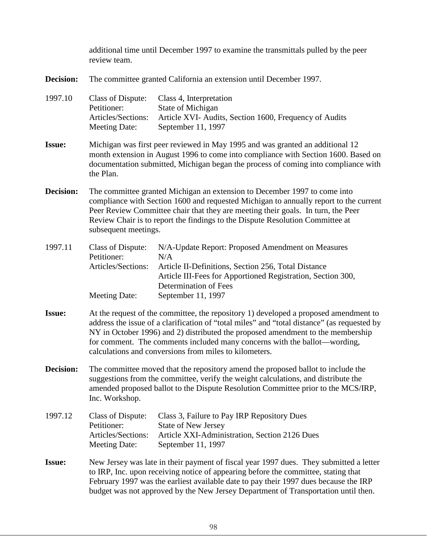additional time until December 1997 to examine the transmittals pulled by the peer review team. **Decision:** The committee granted California an extension until December 1997. 1997.10 Class of Dispute: Class 4, Interpretation Petitioner: State of Michigan Articles/Sections: Article XVI- Audits, Section 1600, Frequency of Audits Meeting Date: September 11, 1997 **Issue:** Michigan was first peer reviewed in May 1995 and was granted an additional 12 month extension in August 1996 to come into compliance with Section 1600. Based on documentation submitted, Michigan began the process of coming into compliance with the Plan. **Decision:** The committee granted Michigan an extension to December 1997 to come into compliance with Section 1600 and requested Michigan to annually report to the current Peer Review Committee chair that they are meeting their goals. In turn, the Peer Review Chair is to report the findings to the Dispute Resolution Committee at subsequent meetings. 1997.11 Class of Dispute: N/A-Update Report: Proposed Amendment on Measures Petitioner: N/A Articles/Sections: Article II-Definitions, Section 256, Total Distance Article III-Fees for Apportioned Registration, Section 300, Determination of Fees Meeting Date: September 11, 1997 **Issue:** At the request of the committee, the repository 1) developed a proposed amendment to address the issue of a clarification of "total miles" and "total distance" (as requested by NY in October 1996) and 2) distributed the proposed amendment to the membership for comment. The comments included many concerns with the ballot—wording, calculations and conversions from miles to kilometers. **Decision:** The committee moved that the repository amend the proposed ballot to include the suggestions from the committee, verify the weight calculations, and distribute the amended proposed ballot to the Dispute Resolution Committee prior to the MCS/IRP, Inc. Workshop. 1997.12 Class of Dispute: Class 3, Failure to Pay IRP Repository Dues Petitioner: State of New Jersey Articles/Sections: Article XXI-Administration, Section 2126 Dues Meeting Date: September 11, 1997 **Issue:** New Jersey was late in their payment of fiscal year 1997 dues. They submitted a letter to IRP, Inc. upon receiving notice of appearing before the committee, stating that February 1997 was the earliest available date to pay their 1997 dues because the IRP budget was not approved by the New Jersey Department of Transportation until then.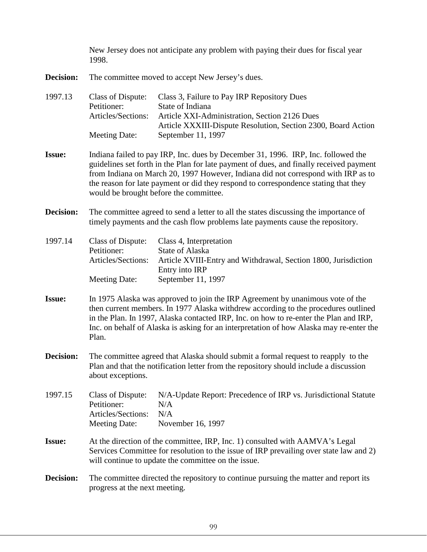New Jersey does not anticipate any problem with paying their dues for fiscal year 1998.

**Decision:** The committee moved to accept New Jersey's dues.

| 1997.13 | Class of Dispute:  | Class 3, Failure to Pay IRP Repository Dues                   |
|---------|--------------------|---------------------------------------------------------------|
|         | Petitioner:        | State of Indiana                                              |
|         | Articles/Sections: | Article XXI-Administration, Section 2126 Dues                 |
|         |                    | Article XXXIII-Dispute Resolution, Section 2300, Board Action |
|         | Meeting Date:      | September 11, 1997                                            |

- **Issue:** Indiana failed to pay IRP, Inc. dues by December 31, 1996. IRP, Inc. followed the guidelines set forth in the Plan for late payment of dues, and finally received payment from Indiana on March 20, 1997 However, Indiana did not correspond with IRP as to the reason for late payment or did they respond to correspondence stating that they would be brought before the committee.
- **Decision:** The committee agreed to send a letter to all the states discussing the importance of timely payments and the cash flow problems late payments cause the repository.
- 1997.14 Class of Dispute: Class 4, Interpretation Petitioner: State of Alaska Articles/Sections: Article XVIII-Entry and Withdrawal, Section 1800, Jurisdiction Entry into IRP Meeting Date: September 11, 1997
- **Issue:** In 1975 Alaska was approved to join the IRP Agreement by unanimous vote of the then current members. In 1977 Alaska withdrew according to the procedures outlined in the Plan. In 1997, Alaska contacted IRP, Inc. on how to re-enter the Plan and IRP, Inc. on behalf of Alaska is asking for an interpretation of how Alaska may re-enter the Plan.
- **Decision:** The committee agreed that Alaska should submit a formal request to reapply to the Plan and that the notification letter from the repository should include a discussion about exceptions.

1997.15 Class of Dispute: N/A-Update Report: Precedence of IRP vs. Jurisdictional Statute Petitioner: N/A Articles/Sections: N/A Meeting Date: November 16, 1997

- **Issue:** At the direction of the committee, IRP, Inc. 1) consulted with AAMVA's Legal Services Committee for resolution to the issue of IRP prevailing over state law and 2) will continue to update the committee on the issue.
- **Decision:** The committee directed the repository to continue pursuing the matter and report its progress at the next meeting.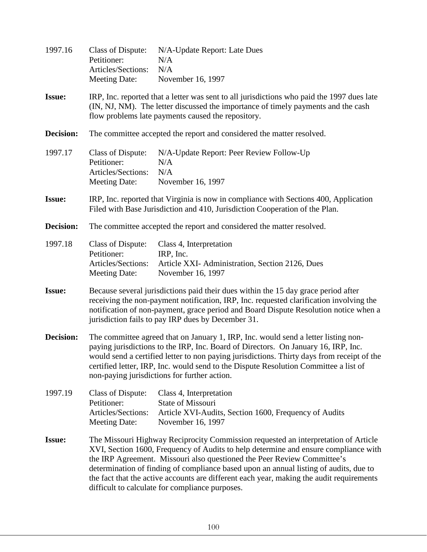| 1997.16       | <b>Class of Dispute:</b><br>Petitioner:<br>Articles/Sections:<br>Meeting Date:                                                                                                                                                                                                                                                                                                                                                                                                               | N/A-Update Report: Late Dues<br>N/A<br>N/A<br>November 16, 1997                                                            |
|---------------|----------------------------------------------------------------------------------------------------------------------------------------------------------------------------------------------------------------------------------------------------------------------------------------------------------------------------------------------------------------------------------------------------------------------------------------------------------------------------------------------|----------------------------------------------------------------------------------------------------------------------------|
| <b>Issue:</b> | IRP, Inc. reported that a letter was sent to all jurisdictions who paid the 1997 dues late<br>(IN, NJ, NM). The letter discussed the importance of timely payments and the cash<br>flow problems late payments caused the repository.                                                                                                                                                                                                                                                        |                                                                                                                            |
| Decision:     |                                                                                                                                                                                                                                                                                                                                                                                                                                                                                              | The committee accepted the report and considered the matter resolved.                                                      |
| 1997.17       | <b>Class of Dispute:</b><br>Petitioner:<br>Articles/Sections:<br><b>Meeting Date:</b>                                                                                                                                                                                                                                                                                                                                                                                                        | N/A-Update Report: Peer Review Follow-Up<br>N/A<br>N/A<br>November 16, 1997                                                |
| <b>Issue:</b> | IRP, Inc. reported that Virginia is now in compliance with Sections 400, Application<br>Filed with Base Jurisdiction and 410, Jurisdiction Cooperation of the Plan.                                                                                                                                                                                                                                                                                                                          |                                                                                                                            |
| Decision:     | The committee accepted the report and considered the matter resolved.                                                                                                                                                                                                                                                                                                                                                                                                                        |                                                                                                                            |
| 1997.18       | <b>Class of Dispute:</b><br>Petitioner:<br>Articles/Sections:<br><b>Meeting Date:</b>                                                                                                                                                                                                                                                                                                                                                                                                        | Class 4, Interpretation<br>IRP, Inc.<br>Article XXI- Administration, Section 2126, Dues<br>November 16, 1997               |
| <b>Issue:</b> | Because several jurisdictions paid their dues within the 15 day grace period after<br>receiving the non-payment notification, IRP, Inc. requested clarification involving the<br>notification of non-payment, grace period and Board Dispute Resolution notice when a<br>jurisdiction fails to pay IRP dues by December 31.                                                                                                                                                                  |                                                                                                                            |
| Decision:     | The committee agreed that on January 1, IRP, Inc. would send a letter listing non-<br>paying jurisdictions to the IRP, Inc. Board of Directors. On January 16, IRP, Inc.<br>would send a certified letter to non paying jurisdictions. Thirty days from receipt of the<br>certified letter, IRP, Inc. would send to the Dispute Resolution Committee a list of<br>non-paying jurisdictions for further action.                                                                               |                                                                                                                            |
| 1997.19       | <b>Class of Dispute:</b><br>Petitioner:<br>Articles/Sections:<br><b>Meeting Date:</b>                                                                                                                                                                                                                                                                                                                                                                                                        | Class 4, Interpretation<br>State of Missouri<br>Article XVI-Audits, Section 1600, Frequency of Audits<br>November 16, 1997 |
| <b>Issue:</b> | The Missouri Highway Reciprocity Commission requested an interpretation of Article<br>XVI, Section 1600, Frequency of Audits to help determine and ensure compliance with<br>the IRP Agreement. Missouri also questioned the Peer Review Committee's<br>determination of finding of compliance based upon an annual listing of audits, due to<br>the fact that the active accounts are different each year, making the audit requirements<br>difficult to calculate for compliance purposes. |                                                                                                                            |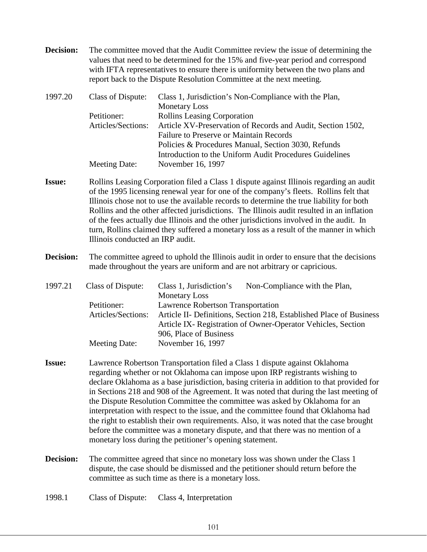**Decision:** The committee moved that the Audit Committee review the issue of determining the values that need to be determined for the 15% and five-year period and correspond with IFTA representatives to ensure there is uniformity between the two plans and report back to the Dispute Resolution Committee at the next meeting.

| 1997.20 | Class of Dispute:  | Class 1, Jurisdiction's Non-Compliance with the Plan,       |
|---------|--------------------|-------------------------------------------------------------|
|         |                    | <b>Monetary Loss</b>                                        |
|         | Petitioner:        | Rollins Leasing Corporation                                 |
|         | Articles/Sections: | Article XV-Preservation of Records and Audit, Section 1502, |
|         |                    | <b>Failure to Preserve or Maintain Records</b>              |
|         |                    | Policies & Procedures Manual, Section 3030, Refunds         |
|         |                    | Introduction to the Uniform Audit Procedures Guidelines     |
|         | Meeting Date:      | November 16, 1997                                           |

- **Issue:** Rollins Leasing Corporation filed a Class 1 dispute against Illinois regarding an audit of the 1995 licensing renewal year for one of the company's fleets. Rollins felt that Illinois chose not to use the available records to determine the true liability for both Rollins and the other affected jurisdictions. The Illinois audit resulted in an inflation of the fees actually due Illinois and the other jurisdictions involved in the audit. In turn, Rollins claimed they suffered a monetary loss as a result of the manner in which Illinois conducted an IRP audit.
- **Decision:** The committee agreed to uphold the Illinois audit in order to ensure that the decisions made throughout the years are uniform and are not arbitrary or capricious.
- 1997.21 Class of Dispute: Class 1, Jurisdiction's Non-Compliance with the Plan, Monetary Loss Petitioner: Lawrence Robertson Transportation Articles/Sections: Article II- Definitions, Section 218, Established Place of Business Article IX- Registration of Owner-Operator Vehicles, Section 906, Place of Business Meeting Date: November 16, 1997
- **Issue:** Lawrence Robertson Transportation filed a Class 1 dispute against Oklahoma regarding whether or not Oklahoma can impose upon IRP registrants wishing to declare Oklahoma as a base jurisdiction, basing criteria in addition to that provided for in Sections 218 and 908 of the Agreement. It was noted that during the last meeting of the Dispute Resolution Committee the committee was asked by Oklahoma for an interpretation with respect to the issue, and the committee found that Oklahoma had the right to establish their own requirements. Also, it was noted that the case brought before the committee was a monetary dispute, and that there was no mention of a monetary loss during the petitioner's opening statement.
- **Decision:** The committee agreed that since no monetary loss was shown under the Class 1 dispute, the case should be dismissed and the petitioner should return before the committee as such time as there is a monetary loss.
- 1998.1 Class of Dispute: Class 4, Interpretation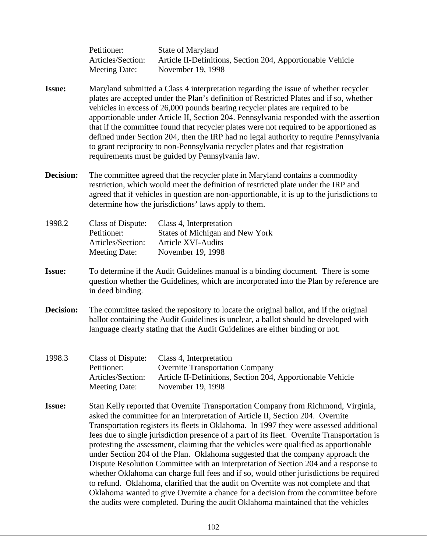Petitioner: State of Maryland Articles/Section: Article II-Definitions, Section 204, Apportionable Vehicle Meeting Date: November 19, 1998

- **Issue:** Maryland submitted a Class 4 interpretation regarding the issue of whether recycler plates are accepted under the Plan's definition of Restricted Plates and if so, whether vehicles in excess of 26,000 pounds bearing recycler plates are required to be apportionable under Article II, Section 204. Pennsylvania responded with the assertion that if the committee found that recycler plates were not required to be apportioned as defined under Section 204, then the IRP had no legal authority to require Pennsylvania to grant reciprocity to non-Pennsylvania recycler plates and that registration requirements must be guided by Pennsylvania law.
- **Decision:** The committee agreed that the recycler plate in Maryland contains a commodity restriction, which would meet the definition of restricted plate under the IRP and agreed that if vehicles in question are non-apportionable, it is up to the jurisdictions to determine how the jurisdictions' laws apply to them.

| 1998.2 | Class of Dispute: | Class 4, Interpretation         |
|--------|-------------------|---------------------------------|
|        | Petitioner:       | States of Michigan and New York |
|        | Articles/Section: | <b>Article XVI-Audits</b>       |
|        | Meeting Date:     | November 19, 1998               |
|        |                   |                                 |

- **Issue:** To determine if the Audit Guidelines manual is a binding document. There is some question whether the Guidelines, which are incorporated into the Plan by reference are in deed binding.
- **Decision:** The committee tasked the repository to locate the original ballot, and if the original ballot containing the Audit Guidelines is unclear, a ballot should be developed with language clearly stating that the Audit Guidelines are either binding or not.
- 1998.3 Class of Dispute: Class 4, Interpretation Petitioner: Overnite Transportation Company Articles/Section: Article II-Definitions, Section 204, Apportionable Vehicle Meeting Date: November 19, 1998
- **Issue:** Stan Kelly reported that Overnite Transportation Company from Richmond, Virginia, asked the committee for an interpretation of Article II, Section 204. Overnite Transportation registers its fleets in Oklahoma. In 1997 they were assessed additional fees due to single jurisdiction presence of a part of its fleet. Overnite Transportation is protesting the assessment, claiming that the vehicles were qualified as apportionable under Section 204 of the Plan. Oklahoma suggested that the company approach the Dispute Resolution Committee with an interpretation of Section 204 and a response to whether Oklahoma can charge full fees and if so, would other jurisdictions be required to refund. Oklahoma, clarified that the audit on Overnite was not complete and that Oklahoma wanted to give Overnite a chance for a decision from the committee before the audits were completed. During the audit Oklahoma maintained that the vehicles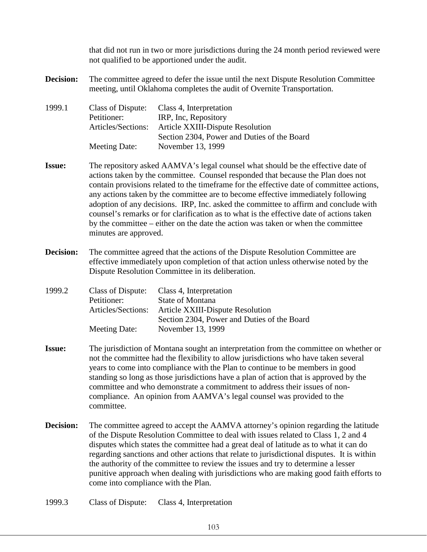that did not run in two or more jurisdictions during the 24 month period reviewed were not qualified to be apportioned under the audit.

- **Decision:** The committee agreed to defer the issue until the next Dispute Resolution Committee meeting, until Oklahoma completes the audit of Overnite Transportation.
- 1999.1 Class of Dispute: Class 4, Interpretation Petitioner: IRP, Inc, Repository Articles/Sections: Article XXIII-Dispute Resolution Section 2304, Power and Duties of the Board Meeting Date: November 13, 1999
- **Issue:** The repository asked AAMVA's legal counsel what should be the effective date of actions taken by the committee. Counsel responded that because the Plan does not contain provisions related to the timeframe for the effective date of committee actions, any actions taken by the committee are to become effective immediately following adoption of any decisions. IRP, Inc. asked the committee to affirm and conclude with counsel's remarks or for clarification as to what is the effective date of actions taken by the committee – either on the date the action was taken or when the committee minutes are approved.
- **Decision:** The committee agreed that the actions of the Dispute Resolution Committee are effective immediately upon completion of that action unless otherwise noted by the Dispute Resolution Committee in its deliberation.

| 1999.2 | Class of Dispute:  | Class 4, Interpretation                     |
|--------|--------------------|---------------------------------------------|
|        | Petitioner:        | <b>State of Montana</b>                     |
|        | Articles/Sections: | <b>Article XXIII-Dispute Resolution</b>     |
|        |                    | Section 2304, Power and Duties of the Board |
|        | Meeting Date:      | November 13, 1999                           |

- **Issue:** The jurisdiction of Montana sought an interpretation from the committee on whether or not the committee had the flexibility to allow jurisdictions who have taken several years to come into compliance with the Plan to continue to be members in good standing so long as those jurisdictions have a plan of action that is approved by the committee and who demonstrate a commitment to address their issues of noncompliance. An opinion from AAMVA's legal counsel was provided to the committee.
- **Decision:** The committee agreed to accept the AAMVA attorney's opinion regarding the latitude of the Dispute Resolution Committee to deal with issues related to Class 1, 2 and 4 disputes which states the committee had a great deal of latitude as to what it can do regarding sanctions and other actions that relate to jurisdictional disputes. It is within the authority of the committee to review the issues and try to determine a lesser punitive approach when dealing with jurisdictions who are making good faith efforts to come into compliance with the Plan.
- 1999.3 Class of Dispute: Class 4, Interpretation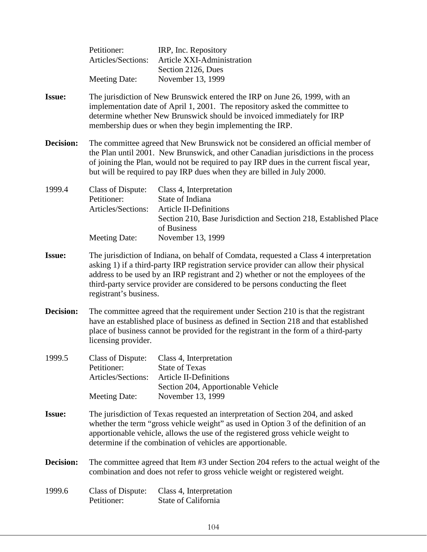|               | Petitioner:<br>Articles/Sections:                                                                                                                                                                                                                                                                                                                                                | IRP, Inc. Repository<br>Article XXI-Administration<br>Section 2126, Dues                                                                                                              |
|---------------|----------------------------------------------------------------------------------------------------------------------------------------------------------------------------------------------------------------------------------------------------------------------------------------------------------------------------------------------------------------------------------|---------------------------------------------------------------------------------------------------------------------------------------------------------------------------------------|
|               | <b>Meeting Date:</b>                                                                                                                                                                                                                                                                                                                                                             | November 13, 1999                                                                                                                                                                     |
| <b>Issue:</b> | The jurisdiction of New Brunswick entered the IRP on June 26, 1999, with an<br>implementation date of April 1, 2001. The repository asked the committee to<br>determine whether New Brunswick should be invoiced immediately for IRP<br>membership dues or when they begin implementing the IRP.                                                                                 |                                                                                                                                                                                       |
| Decision:     | The committee agreed that New Brunswick not be considered an official member of<br>the Plan until 2001. New Brunswick, and other Canadian jurisdictions in the process<br>of joining the Plan, would not be required to pay IRP dues in the current fiscal year,<br>but will be required to pay IRP dues when they are billed in July 2000.                                      |                                                                                                                                                                                       |
| 1999.4        | Class of Dispute:<br>Petitioner:<br>Articles/Sections:<br><b>Meeting Date:</b>                                                                                                                                                                                                                                                                                                   | Class 4, Interpretation<br>State of Indiana<br><b>Article II-Definitions</b><br>Section 210, Base Jurisdiction and Section 218, Established Place<br>of Business<br>November 13, 1999 |
| <b>Issue:</b> | The jurisdiction of Indiana, on behalf of Comdata, requested a Class 4 interpretation<br>asking 1) if a third-party IRP registration service provider can allow their physical<br>address to be used by an IRP registrant and 2) whether or not the employees of the<br>third-party service provider are considered to be persons conducting the fleet<br>registrant's business. |                                                                                                                                                                                       |
| Decision:     | The committee agreed that the requirement under Section 210 is that the registrant<br>have an established place of business as defined in Section 218 and that established<br>place of business cannot be provided for the registrant in the form of a third-party<br>licensing provider.                                                                                        |                                                                                                                                                                                       |
| 1999.5        | Petitioner:<br>Articles/Sections:<br><b>Meeting Date:</b>                                                                                                                                                                                                                                                                                                                        | Class of Dispute: Class 4, Interpretation<br><b>State of Texas</b><br><b>Article II-Definitions</b><br>Section 204, Apportionable Vehicle<br>November 13, 1999                        |
| <b>Issue:</b> | The jurisdiction of Texas requested an interpretation of Section 204, and asked<br>whether the term "gross vehicle weight" as used in Option 3 of the definition of an<br>apportionable vehicle, allows the use of the registered gross vehicle weight to<br>determine if the combination of vehicles are apportionable.                                                         |                                                                                                                                                                                       |
| Decision:     | The committee agreed that Item #3 under Section 204 refers to the actual weight of the<br>combination and does not refer to gross vehicle weight or registered weight.                                                                                                                                                                                                           |                                                                                                                                                                                       |
| 1999.6        | <b>Class of Dispute:</b><br>Petitioner:                                                                                                                                                                                                                                                                                                                                          | Class 4, Interpretation<br>State of California                                                                                                                                        |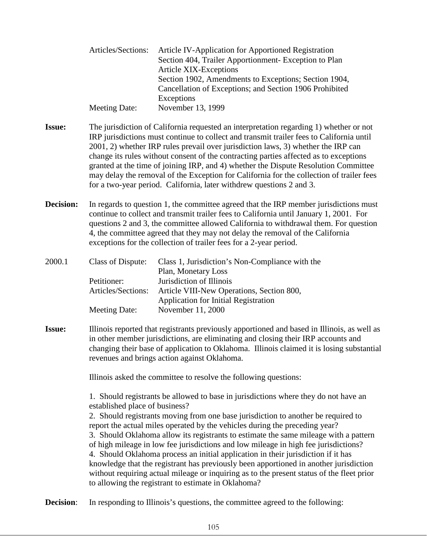| Article IV-Application for Apportioned Registration     |
|---------------------------------------------------------|
| Section 404, Trailer Apportionment- Exception to Plan   |
| Article XIX-Exceptions                                  |
| Section 1902, Amendments to Exceptions; Section 1904,   |
| Cancellation of Exceptions; and Section 1906 Prohibited |
| Exceptions                                              |
| November 13, 1999                                       |
|                                                         |

- **Issue:** The jurisdiction of California requested an interpretation regarding 1) whether or not IRP jurisdictions must continue to collect and transmit trailer fees to California until 2001, 2) whether IRP rules prevail over jurisdiction laws, 3) whether the IRP can change its rules without consent of the contracting parties affected as to exceptions granted at the time of joining IRP, and 4) whether the Dispute Resolution Committee may delay the removal of the Exception for California for the collection of trailer fees for a two-year period. California, later withdrew questions 2 and 3.
- **Decision:** In regards to question 1, the committee agreed that the IRP member jurisdictions must continue to collect and transmit trailer fees to California until January 1, 2001. For questions 2 and 3, the committee allowed California to withdrawal them. For question 4, the committee agreed that they may not delay the removal of the California exceptions for the collection of trailer fees for a 2-year period.

| 2000.1 | Class of Dispute:  | Class 1, Jurisdiction's Non-Compliance with the |
|--------|--------------------|-------------------------------------------------|
|        |                    | Plan, Monetary Loss                             |
|        | Petitioner:        | Jurisdiction of Illinois                        |
|        | Articles/Sections: | Article VIII-New Operations, Section 800,       |
|        |                    | <b>Application for Initial Registration</b>     |
|        | Meeting Date:      | November 11, 2000                               |

**Issue:** Illinois reported that registrants previously apportioned and based in Illinois, as well as in other member jurisdictions, are eliminating and closing their IRP accounts and changing their base of application to Oklahoma. Illinois claimed it is losing substantial revenues and brings action against Oklahoma.

Illinois asked the committee to resolve the following questions:

1. Should registrants be allowed to base in jurisdictions where they do not have an established place of business?

2. Should registrants moving from one base jurisdiction to another be required to report the actual miles operated by the vehicles during the preceding year? 3. Should Oklahoma allow its registrants to estimate the same mileage with a pattern of high mileage in low fee jurisdictions and low mileage in high fee jurisdictions? 4. Should Oklahoma process an initial application in their jurisdiction if it has knowledge that the registrant has previously been apportioned in another jurisdiction without requiring actual mileage or inquiring as to the present status of the fleet prior to allowing the registrant to estimate in Oklahoma?

**Decision:** In responding to Illinois's questions, the committee agreed to the following: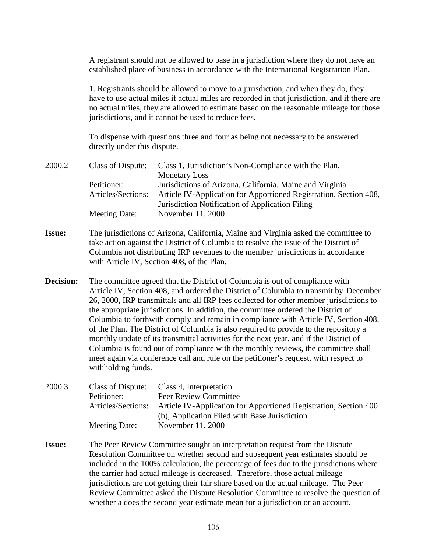A registrant should not be allowed to base in a jurisdiction where they do not have an established place of business in accordance with the International Registration Plan.

1. Registrants should be allowed to move to a jurisdiction, and when they do, they have to use actual miles if actual miles are recorded in that jurisdiction, and if there are no actual miles, they are allowed to estimate based on the reasonable mileage for those jurisdictions, and it cannot be used to reduce fees.

To dispense with questions three and four as being not necessary to be answered directly under this dispute.

| 2000.2           | Class of Dispute:                                                                                                                                                                                                                                                                                                                                                                                                                                                                                                                                                                                                                                                                                                                                                                                                                  | Class 1, Jurisdiction's Non-Compliance with the Plan,<br><b>Monetary Loss</b>                                                                                                    |  |
|------------------|------------------------------------------------------------------------------------------------------------------------------------------------------------------------------------------------------------------------------------------------------------------------------------------------------------------------------------------------------------------------------------------------------------------------------------------------------------------------------------------------------------------------------------------------------------------------------------------------------------------------------------------------------------------------------------------------------------------------------------------------------------------------------------------------------------------------------------|----------------------------------------------------------------------------------------------------------------------------------------------------------------------------------|--|
|                  | Petitioner:<br>Articles/Sections:                                                                                                                                                                                                                                                                                                                                                                                                                                                                                                                                                                                                                                                                                                                                                                                                  | Jurisdictions of Arizona, California, Maine and Virginia<br>Article IV-Application for Apportioned Registration, Section 408,<br>Jurisdiction Notification of Application Filing |  |
|                  | <b>Meeting Date:</b>                                                                                                                                                                                                                                                                                                                                                                                                                                                                                                                                                                                                                                                                                                                                                                                                               | November 11, 2000                                                                                                                                                                |  |
| <b>Issue:</b>    | The jurisdictions of Arizona, California, Maine and Virginia asked the committee to<br>take action against the District of Columbia to resolve the issue of the District of<br>Columbia not distributing IRP revenues to the member jurisdictions in accordance<br>with Article IV, Section 408, of the Plan.                                                                                                                                                                                                                                                                                                                                                                                                                                                                                                                      |                                                                                                                                                                                  |  |
| <b>Decision:</b> | The committee agreed that the District of Columbia is out of compliance with<br>Article IV, Section 408, and ordered the District of Columbia to transmit by December<br>26, 2000, IRP transmittals and all IRP fees collected for other member jurisdictions to<br>the appropriate jurisdictions. In addition, the committee ordered the District of<br>Columbia to forthwith comply and remain in compliance with Article IV, Section 408,<br>of the Plan. The District of Columbia is also required to provide to the repository a<br>monthly update of its transmittal activities for the next year, and if the District of<br>Columbia is found out of compliance with the monthly reviews, the committee shall<br>meet again via conference call and rule on the petitioner's request, with respect to<br>withholding funds. |                                                                                                                                                                                  |  |
| 2000.3           | Class of Dispute:<br>Petitioner:<br>Articles/Sections:                                                                                                                                                                                                                                                                                                                                                                                                                                                                                                                                                                                                                                                                                                                                                                             | Class 4, Interpretation<br>Peer Review Committee<br>Article IV-Application for Apportioned Registration, Section 400<br>(b), Application Filed with Base Jurisdiction            |  |
|                  | <b>Meeting Date:</b>                                                                                                                                                                                                                                                                                                                                                                                                                                                                                                                                                                                                                                                                                                                                                                                                               | November 11, 2000                                                                                                                                                                |  |
| <b>Issue:</b>    | The Peer Review Committee sought an interpretation request from the Dispute<br>Resolution Committee on whether second and subsequent year estimates should be<br>included in the 100% calculation, the percentage of fees due to the jurisdictions where<br>the carrier had actual mileage is decreased. Therefore, those actual mileage                                                                                                                                                                                                                                                                                                                                                                                                                                                                                           |                                                                                                                                                                                  |  |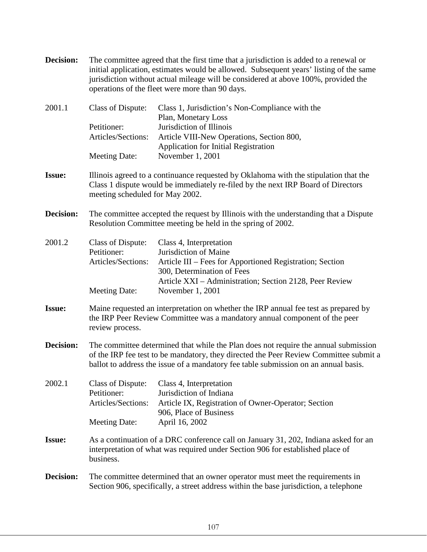| Decision:     | The committee agreed that the first time that a jurisdiction is added to a renewal or<br>initial application, estimates would be allowed. Subsequent years' listing of the same<br>jurisdiction without actual mileage will be considered at above 100%, provided the<br>operations of the fleet were more than 90 days. |                                                                                                                                                                                                                           |
|---------------|--------------------------------------------------------------------------------------------------------------------------------------------------------------------------------------------------------------------------------------------------------------------------------------------------------------------------|---------------------------------------------------------------------------------------------------------------------------------------------------------------------------------------------------------------------------|
| 2001.1        | Class of Dispute:<br>Petitioner:<br>Articles/Sections:                                                                                                                                                                                                                                                                   | Class 1, Jurisdiction's Non-Compliance with the<br>Plan, Monetary Loss<br>Jurisdiction of Illinois<br>Article VIII-New Operations, Section 800,<br><b>Application for Initial Registration</b>                            |
|               | <b>Meeting Date:</b>                                                                                                                                                                                                                                                                                                     | November 1, 2001                                                                                                                                                                                                          |
| <b>Issue:</b> | Illinois agreed to a continuance requested by Oklahoma with the stipulation that the<br>Class 1 dispute would be immediately re-filed by the next IRP Board of Directors<br>meeting scheduled for May 2002.                                                                                                              |                                                                                                                                                                                                                           |
| Decision:     | The committee accepted the request by Illinois with the understanding that a Dispute<br>Resolution Committee meeting be held in the spring of 2002.                                                                                                                                                                      |                                                                                                                                                                                                                           |
| 2001.2        | Class of Dispute:<br>Petitioner:<br>Articles/Sections:<br><b>Meeting Date:</b>                                                                                                                                                                                                                                           | Class 4, Interpretation<br>Jurisdiction of Maine<br>Article III – Fees for Apportioned Registration; Section<br>300, Determination of Fees<br>Article XXI - Administration; Section 2128, Peer Review<br>November 1, 2001 |
| <b>Issue:</b> | Maine requested an interpretation on whether the IRP annual fee test as prepared by<br>the IRP Peer Review Committee was a mandatory annual component of the peer<br>review process.                                                                                                                                     |                                                                                                                                                                                                                           |
| Decision:     | The committee determined that while the Plan does not require the annual submission<br>of the IRP fee test to be mandatory, they directed the Peer Review Committee submit a<br>ballot to address the issue of a mandatory fee table submission on an annual basis.                                                      |                                                                                                                                                                                                                           |
| 2002.1        | Class of Dispute:<br>Petitioner:<br>Articles/Sections:<br><b>Meeting Date:</b>                                                                                                                                                                                                                                           | Class 4, Interpretation<br>Jurisdiction of Indiana<br>Article IX, Registration of Owner-Operator; Section<br>906, Place of Business<br>April 16, 2002                                                                     |
| <b>Issue:</b> | As a continuation of a DRC conference call on January 31, 202, Indiana asked for an<br>interpretation of what was required under Section 906 for established place of<br>business.                                                                                                                                       |                                                                                                                                                                                                                           |
| Decision:     | The committee determined that an owner operator must meet the requirements in<br>Section 906, specifically, a street address within the base jurisdiction, a telephone                                                                                                                                                   |                                                                                                                                                                                                                           |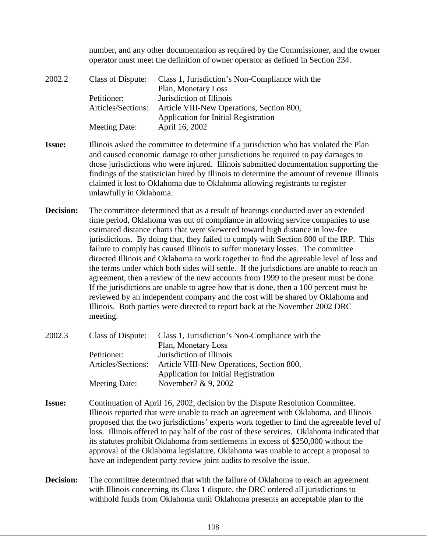number, and any other documentation as required by the Commissioner, and the owner operator must meet the definition of owner operator as defined in Section 234.

| 2002.2 | Class of Dispute:  | Class 1, Jurisdiction's Non-Compliance with the |
|--------|--------------------|-------------------------------------------------|
|        |                    | Plan, Monetary Loss                             |
|        | Petitioner:        | Jurisdiction of Illinois                        |
|        | Articles/Sections: | Article VIII-New Operations, Section 800,       |
|        |                    | <b>Application for Initial Registration</b>     |
|        | Meeting Date:      | April 16, 2002                                  |

- **Issue:** Illinois asked the committee to determine if a jurisdiction who has violated the Plan and caused economic damage to other jurisdictions be required to pay damages to those jurisdictions who were injured. Illinois submitted documentation supporting the findings of the statistician hired by Illinois to determine the amount of revenue Illinois claimed it lost to Oklahoma due to Oklahoma allowing registrants to register unlawfully in Oklahoma.
- **Decision:** The committee determined that as a result of hearings conducted over an extended time period, Oklahoma was out of compliance in allowing service companies to use estimated distance charts that were skewered toward high distance in low-fee jurisdictions. By doing that, they failed to comply with Section 800 of the IRP. This failure to comply has caused Illinois to suffer monetary losses. The committee directed Illinois and Oklahoma to work together to find the agreeable level of loss and the terms under which both sides will settle. If the jurisdictions are unable to reach an agreement, then a review of the new accounts from 1999 to the present must be done. If the jurisdictions are unable to agree how that is done, then a 100 percent must be reviewed by an independent company and the cost will be shared by Oklahoma and Illinois. Both parties were directed to report back at the November 2002 DRC meeting.

| Class of Dispute:  | Class 1, Jurisdiction's Non-Compliance with the |
|--------------------|-------------------------------------------------|
|                    | Plan, Monetary Loss                             |
| Petitioner:        | Jurisdiction of Illinois                        |
| Articles/Sections: | Article VIII-New Operations, Section 800,       |
|                    | <b>Application for Initial Registration</b>     |
| Meeting Date:      | November $7 \& 9,2002$                          |
|                    |                                                 |

- **Issue:** Continuation of April 16, 2002, decision by the Dispute Resolution Committee. Illinois reported that were unable to reach an agreement with Oklahoma, and Illinois proposed that the two jurisdictions' experts work together to find the agreeable level of loss. Illinois offered to pay half of the cost of these services. Oklahoma indicated that its statutes prohibit Oklahoma from settlements in excess of \$250,000 without the approval of the Oklahoma legislature. Oklahoma was unable to accept a proposal to have an independent party review joint audits to resolve the issue.
- **Decision:** The committee determined that with the failure of Oklahoma to reach an agreement with Illinois concerning its Class 1 dispute, the DRC ordered all jurisdictions to withhold funds from Oklahoma until Oklahoma presents an acceptable plan to the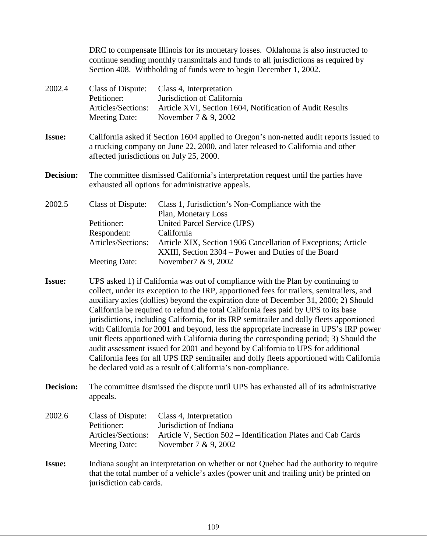DRC to compensate Illinois for its monetary losses. Oklahoma is also instructed to continue sending monthly transmittals and funds to all jurisdictions as required by Section 408. Withholding of funds were to begin December 1, 2002. 2002.4 Class of Dispute: Class 4, Interpretation Petitioner: Jurisdiction of California Articles/Sections: Article XVI, Section 1604, Notification of Audit Results Meeting Date: November 7 & 9, 2002 **Issue:** California asked if Section 1604 applied to Oregon's non-netted audit reports issued to a trucking company on June 22, 2000, and later released to California and other affected jurisdictions on July 25, 2000. **Decision:** The committee dismissed California's interpretation request until the parties have exhausted all options for administrative appeals. 2002.5 Class of Dispute: Class 1, Jurisdiction's Non-Compliance with the Plan, Monetary Loss Petitioner: United Parcel Service (UPS) Respondent: California Articles/Sections: Article XIX, Section 1906 Cancellation of Exceptions; Article XXIII, Section 2304 – Power and Duties of the Board

**Issue:** UPS asked 1) if California was out of compliance with the Plan by continuing to collect, under its exception to the IRP, apportioned fees for trailers, semitrailers, and auxiliary axles (dollies) beyond the expiration date of December 31, 2000; 2) Should California be required to refund the total California fees paid by UPS to its base jurisdictions, including California, for its IRP semitrailer and dolly fleets apportioned with California for 2001 and beyond, less the appropriate increase in UPS's IRP power unit fleets apportioned with California during the corresponding period; 3) Should the audit assessment issued for 2001 and beyond by California to UPS for additional California fees for all UPS IRP semitrailer and dolly fleets apportioned with California be declared void as a result of California's non-compliance.

Meeting Date: November 7 & 9, 2002

**Decision:** The committee dismissed the dispute until UPS has exhausted all of its administrative appeals.

| 2002.6 | Class of Dispute:  | Class 4, Interpretation                                      |
|--------|--------------------|--------------------------------------------------------------|
|        | Petitioner:        | Jurisdiction of Indiana                                      |
|        | Articles/Sections: | Article V, Section 502 – Identification Plates and Cab Cards |
|        | Meeting Date:      | November $7 & 9,2002$                                        |

**Issue:** Indiana sought an interpretation on whether or not Quebec had the authority to require that the total number of a vehicle's axles (power unit and trailing unit) be printed on jurisdiction cab cards.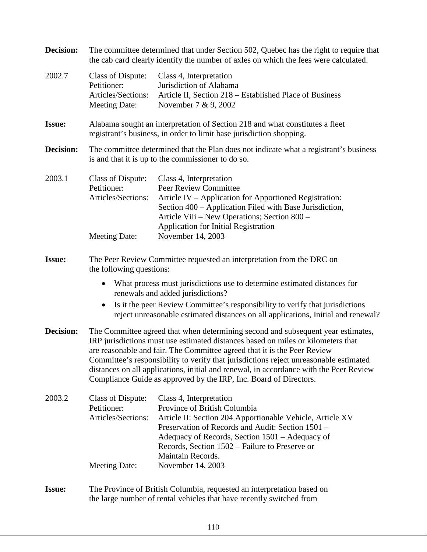| <b>Decision:</b> | The committee determined that under Section 502, Quebec has the right to require that<br>the cab card clearly identify the number of axles on which the fees were calculated.                                                                                                                                                                                                                                                                                                                            |                                                                                                                                                                                                                                                                                                                          |  |
|------------------|----------------------------------------------------------------------------------------------------------------------------------------------------------------------------------------------------------------------------------------------------------------------------------------------------------------------------------------------------------------------------------------------------------------------------------------------------------------------------------------------------------|--------------------------------------------------------------------------------------------------------------------------------------------------------------------------------------------------------------------------------------------------------------------------------------------------------------------------|--|
| 2002.7           | Class of Dispute:<br>Petitioner:<br>Articles/Sections:<br><b>Meeting Date:</b>                                                                                                                                                                                                                                                                                                                                                                                                                           | Class 4, Interpretation<br>Jurisdiction of Alabama<br>Article II, Section 218 – Established Place of Business<br>November 7 & 9, 2002                                                                                                                                                                                    |  |
| <b>Issue:</b>    |                                                                                                                                                                                                                                                                                                                                                                                                                                                                                                          | Alabama sought an interpretation of Section 218 and what constitutes a fleet<br>registrant's business, in order to limit base jurisdiction shopping.                                                                                                                                                                     |  |
| Decision:        | The committee determined that the Plan does not indicate what a registrant's business<br>is and that it is up to the commissioner to do so.                                                                                                                                                                                                                                                                                                                                                              |                                                                                                                                                                                                                                                                                                                          |  |
| 2003.1           | <b>Class of Dispute:</b><br>Petitioner:<br>Articles/Sections:<br><b>Meeting Date:</b>                                                                                                                                                                                                                                                                                                                                                                                                                    | Class 4, Interpretation<br>Peer Review Committee<br>Article IV – Application for Apportioned Registration:<br>Section 400 - Application Filed with Base Jurisdiction,<br>Article Viii – New Operations; Section 800 –<br>Application for Initial Registration<br>November 14, 2003                                       |  |
| <b>Issue:</b>    | The Peer Review Committee requested an interpretation from the DRC on<br>the following questions:<br>What process must jurisdictions use to determine estimated distances for<br>$\bullet$<br>renewals and added jurisdictions?<br>Is it the peer Review Committee's responsibility to verify that jurisdictions<br>reject unreasonable estimated distances on all applications, Initial and renewal?                                                                                                    |                                                                                                                                                                                                                                                                                                                          |  |
| Decision:        | The Committee agreed that when determining second and subsequent year estimates,<br>IRP jurisdictions must use estimated distances based on miles or kilometers that<br>are reasonable and fair. The Committee agreed that it is the Peer Review<br>Committee's responsibility to verify that jurisdictions reject unreasonable estimated<br>distances on all applications, initial and renewal, in accordance with the Peer Review<br>Compliance Guide as approved by the IRP, Inc. Board of Directors. |                                                                                                                                                                                                                                                                                                                          |  |
| 2003.2           | Class of Dispute:<br>Petitioner:<br>Articles/Sections:<br><b>Meeting Date:</b>                                                                                                                                                                                                                                                                                                                                                                                                                           | Class 4, Interpretation<br>Province of British Columbia<br>Article II: Section 204 Apportionable Vehicle, Article XV<br>Preservation of Records and Audit: Section 1501 –<br>Adequacy of Records, Section 1501 – Adequacy of<br>Records, Section 1502 – Failure to Preserve or<br>Maintain Records.<br>November 14, 2003 |  |
| <b>Issue:</b>    | The Province of British Columbia, requested an interpretation based on<br>the large number of rental vehicles that have recently switched from                                                                                                                                                                                                                                                                                                                                                           |                                                                                                                                                                                                                                                                                                                          |  |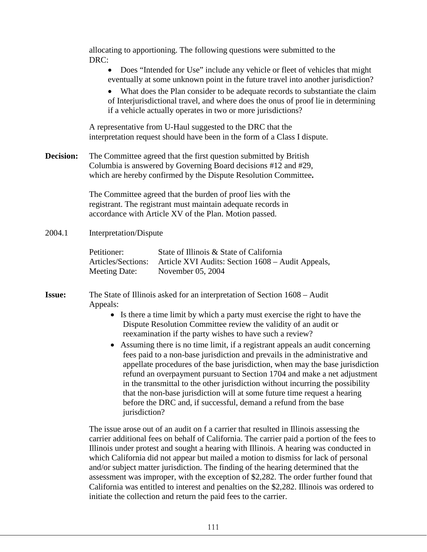allocating to apportioning. The following questions were submitted to the DRC:

• Does "Intended for Use" include any vehicle or fleet of vehicles that might eventually at some unknown point in the future travel into another jurisdiction?

• What does the Plan consider to be adequate records to substantiate the claim of Interjurisdictional travel, and where does the onus of proof lie in determining if a vehicle actually operates in two or more jurisdictions?

A representative from U-Haul suggested to the DRC that the interpretation request should have been in the form of a Class I dispute.

**Decision:** The Committee agreed that the first question submitted by British Columbia is answered by Governing Board decisions #12 and #29, which are hereby confirmed by the Dispute Resolution Committee**.** 

> The Committee agreed that the burden of proof lies with the registrant. The registrant must maintain adequate records in accordance with Article XV of the Plan. Motion passed.

2004.1 Interpretation/Dispute

| Petitioner:        | State of Illinois & State of California           |
|--------------------|---------------------------------------------------|
| Articles/Sections: | Article XVI Audits: Section 1608 – Audit Appeals, |
| Meeting Date:      | November 05, 2004                                 |

**Issue:** The State of Illinois asked for an interpretation of Section 1608 – Audit Appeals:

- Is there a time limit by which a party must exercise the right to have the Dispute Resolution Committee review the validity of an audit or reexamination if the party wishes to have such a review?
- Assuming there is no time limit, if a registrant appeals an audit concerning fees paid to a non-base jurisdiction and prevails in the administrative and appellate procedures of the base jurisdiction, when may the base jurisdiction refund an overpayment pursuant to Section 1704 and make a net adjustment in the transmittal to the other jurisdiction without incurring the possibility that the non-base jurisdiction will at some future time request a hearing before the DRC and, if successful, demand a refund from the base jurisdiction?

The issue arose out of an audit on f a carrier that resulted in Illinois assessing the carrier additional fees on behalf of California. The carrier paid a portion of the fees to Illinois under protest and sought a hearing with Illinois. A hearing was conducted in which California did not appear but mailed a motion to dismiss for lack of personal and/or subject matter jurisdiction. The finding of the hearing determined that the assessment was improper, with the exception of \$2,282. The order further found that California was entitled to interest and penalties on the \$2,282. Illinois was ordered to initiate the collection and return the paid fees to the carrier.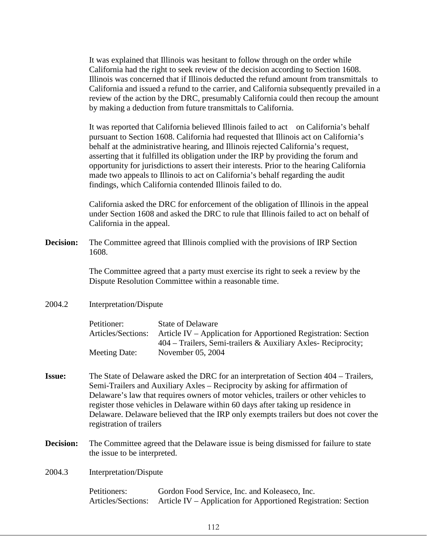It was explained that Illinois was hesitant to follow through on the order while California had the right to seek review of the decision according to Section 1608. Illinois was concerned that if Illinois deducted the refund amount from transmittals to California and issued a refund to the carrier, and California subsequently prevailed in a review of the action by the DRC, presumably California could then recoup the amount by making a deduction from future transmittals to California.

It was reported that California believed Illinois failed to act on California's behalf pursuant to Section 1608. California had requested that Illinois act on California's behalf at the administrative hearing, and Illinois rejected California's request, asserting that it fulfilled its obligation under the IRP by providing the forum and opportunity for jurisdictions to assert their interests. Prior to the hearing California made two appeals to Illinois to act on California's behalf regarding the audit findings, which California contended Illinois failed to do.

California asked the DRC for enforcement of the obligation of Illinois in the appeal under Section 1608 and asked the DRC to rule that Illinois failed to act on behalf of California in the appeal.

**Decision:** The Committee agreed that Illinois complied with the provisions of IRP Section 1608.

> The Committee agreed that a party must exercise its right to seek a review by the Dispute Resolution Committee within a reasonable time.

2004.2 Interpretation/Dispute

| Petitioner:        | <b>State of Delaware</b>                                        |
|--------------------|-----------------------------------------------------------------|
| Articles/Sections: | Article IV – Application for Apportioned Registration: Section  |
|                    | $404$ – Trailers, Semi-trailers & Auxiliary Axles- Reciprocity; |
| Meeting Date:      | November 05, 2004                                               |

- **Issue:** The State of Delaware asked the DRC for an interpretation of Section 404 Trailers, Semi-Trailers and Auxiliary Axles – Reciprocity by asking for affirmation of Delaware's law that requires owners of motor vehicles, trailers or other vehicles to register those vehicles in Delaware within 60 days after taking up residence in Delaware. Delaware believed that the IRP only exempts trailers but does not cover the registration of trailers
- **Decision:** The Committee agreed that the Delaware issue is being dismissed for failure to state the issue to be interpreted.
- 2004.3 Interpretation/Dispute

| Petitioners: | Gordon Food Service, Inc. and Koleaseco, Inc.                                     |
|--------------|-----------------------------------------------------------------------------------|
|              | Articles/Sections: Article IV – Application for Apportioned Registration: Section |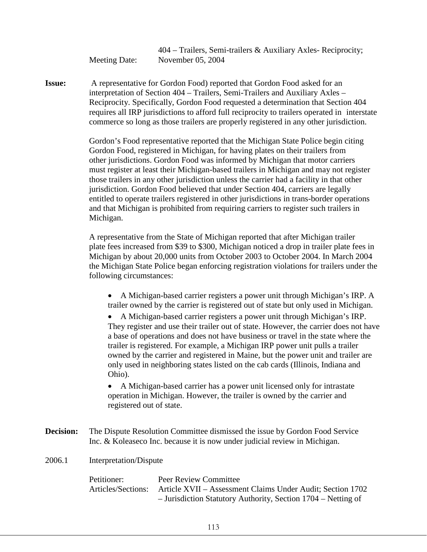404 – Trailers, Semi-trailers & Auxiliary Axles- Reciprocity; Meeting Date: November 05, 2004

**Issue:** A representative for Gordon Food) reported that Gordon Food asked for an interpretation of Section 404 – Trailers, Semi-Trailers and Auxiliary Axles – Reciprocity. Specifically, Gordon Food requested a determination that Section 404 requires all IRP jurisdictions to afford full reciprocity to trailers operated in interstate commerce so long as those trailers are properly registered in any other jurisdiction.

> Gordon's Food representative reported that the Michigan State Police begin citing Gordon Food, registered in Michigan, for having plates on their trailers from other jurisdictions. Gordon Food was informed by Michigan that motor carriers must register at least their Michigan-based trailers in Michigan and may not register those trailers in any other jurisdiction unless the carrier had a facility in that other jurisdiction. Gordon Food believed that under Section 404, carriers are legally entitled to operate trailers registered in other jurisdictions in trans-border operations and that Michigan is prohibited from requiring carriers to register such trailers in Michigan.

A representative from the State of Michigan reported that after Michigan trailer plate fees increased from \$39 to \$300, Michigan noticed a drop in trailer plate fees in Michigan by about 20,000 units from October 2003 to October 2004. In March 2004 the Michigan State Police began enforcing registration violations for trailers under the following circumstances:

• A Michigan-based carrier registers a power unit through Michigan's IRP. A trailer owned by the carrier is registered out of state but only used in Michigan.

• A Michigan-based carrier registers a power unit through Michigan's IRP. They register and use their trailer out of state. However, the carrier does not have a base of operations and does not have business or travel in the state where the trailer is registered. For example, a Michigan IRP power unit pulls a trailer owned by the carrier and registered in Maine, but the power unit and trailer are only used in neighboring states listed on the cab cards (Illinois, Indiana and Ohio).

• A Michigan-based carrier has a power unit licensed only for intrastate operation in Michigan. However, the trailer is owned by the carrier and registered out of state.

**Decision:** The Dispute Resolution Committee dismissed the issue by Gordon Food Service Inc. & Koleaseco Inc. because it is now under judicial review in Michigan.

2006.1 Interpretation/Dispute

| Petitioner:        | Peer Review Committee                                         |
|--------------------|---------------------------------------------------------------|
| Articles/Sections: | Article XVII – Assessment Claims Under Audit; Section 1702    |
|                    | - Jurisdiction Statutory Authority, Section 1704 – Netting of |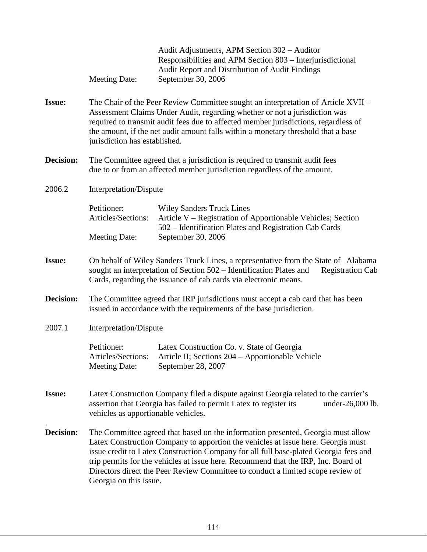|               | <b>Meeting Date:</b>                                                                                                                                                                                                                                                                                                                                                                                                                                            | Audit Adjustments, APM Section 302 – Auditor<br>Responsibilities and APM Section 803 – Interjurisdictional<br>Audit Report and Distribution of Audit Findings<br>September 30, 2006 |
|---------------|-----------------------------------------------------------------------------------------------------------------------------------------------------------------------------------------------------------------------------------------------------------------------------------------------------------------------------------------------------------------------------------------------------------------------------------------------------------------|-------------------------------------------------------------------------------------------------------------------------------------------------------------------------------------|
| <b>Issue:</b> | The Chair of the Peer Review Committee sought an interpretation of Article XVII -<br>Assessment Claims Under Audit, regarding whether or not a jurisdiction was<br>required to transmit audit fees due to affected member jurisdictions, regardless of<br>the amount, if the net audit amount falls within a monetary threshold that a base<br>jurisdiction has established.                                                                                    |                                                                                                                                                                                     |
| Decision:     | The Committee agreed that a jurisdiction is required to transmit audit fees<br>due to or from an affected member jurisdiction regardless of the amount.                                                                                                                                                                                                                                                                                                         |                                                                                                                                                                                     |
| 2006.2        | Interpretation/Dispute                                                                                                                                                                                                                                                                                                                                                                                                                                          |                                                                                                                                                                                     |
|               | Petitioner:<br>Articles/Sections:                                                                                                                                                                                                                                                                                                                                                                                                                               | <b>Wiley Sanders Truck Lines</b><br>Article V - Registration of Apportionable Vehicles; Section<br>502 – Identification Plates and Registration Cab Cards                           |
|               | <b>Meeting Date:</b>                                                                                                                                                                                                                                                                                                                                                                                                                                            | September 30, 2006                                                                                                                                                                  |
| <b>Issue:</b> | On behalf of Wiley Sanders Truck Lines, a representative from the State of Alabama<br>sought an interpretation of Section 502 – Identification Plates and<br><b>Registration Cab</b><br>Cards, regarding the issuance of cab cards via electronic means.                                                                                                                                                                                                        |                                                                                                                                                                                     |
| Decision:     | The Committee agreed that IRP jurisdictions must accept a cab card that has been<br>issued in accordance with the requirements of the base jurisdiction.                                                                                                                                                                                                                                                                                                        |                                                                                                                                                                                     |
| 2007.1        | Interpretation/Dispute                                                                                                                                                                                                                                                                                                                                                                                                                                          |                                                                                                                                                                                     |
|               | Petitioner:<br><b>Meeting Date:</b>                                                                                                                                                                                                                                                                                                                                                                                                                             | Latex Construction Co. v. State of Georgia<br>Articles/Sections: Article II; Sections 204 - Apportionable Vehicle<br>September 28, 2007                                             |
| <b>Issue:</b> | Latex Construction Company filed a dispute against Georgia related to the carrier's<br>assertion that Georgia has failed to permit Latex to register its<br>under-26,000 lb.<br>vehicles as apportionable vehicles.                                                                                                                                                                                                                                             |                                                                                                                                                                                     |
| Decision:     | The Committee agreed that based on the information presented, Georgia must allow<br>Latex Construction Company to apportion the vehicles at issue here. Georgia must<br>issue credit to Latex Construction Company for all full base-plated Georgia fees and<br>trip permits for the vehicles at issue here. Recommend that the IRP, Inc. Board of<br>Directors direct the Peer Review Committee to conduct a limited scope review of<br>Georgia on this issue. |                                                                                                                                                                                     |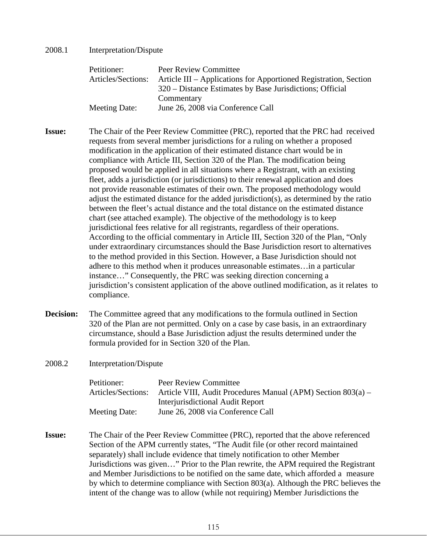### 2008.1 Interpretation/Dispute

| Petitioner:          | Peer Review Committee                                            |
|----------------------|------------------------------------------------------------------|
| Articles/Sections:   | Article III – Applications for Apportioned Registration, Section |
|                      | 320 – Distance Estimates by Base Jurisdictions; Official         |
|                      | Commentary                                                       |
| <b>Meeting Date:</b> | June 26, 2008 via Conference Call                                |

- **Issue:** The Chair of the Peer Review Committee (PRC), reported that the PRC had received requests from several member jurisdictions for a ruling on whether a proposed modification in the application of their estimated distance chart would be in compliance with Article III, Section 320 of the Plan. The modification being proposed would be applied in all situations where a Registrant, with an existing fleet, adds a jurisdiction (or jurisdictions) to their renewal application and does not provide reasonable estimates of their own. The proposed methodology would adjust the estimated distance for the added jurisdiction(s), as determined by the ratio between the fleet's actual distance and the total distance on the estimated distance chart (see attached example). The objective of the methodology is to keep jurisdictional fees relative for all registrants, regardless of their operations. According to the official commentary in Article III, Section 320 of the Plan, "Only under extraordinary circumstances should the Base Jurisdiction resort to alternatives to the method provided in this Section. However, a Base Jurisdiction should not adhere to this method when it produces unreasonable estimates…in a particular instance…" Consequently, the PRC was seeking direction concerning a jurisdiction's consistent application of the above outlined modification, as it relates to compliance.
- **Decision:** The Committee agreed that any modifications to the formula outlined in Section 320 of the Plan are not permitted. Only on a case by case basis, in an extraordinary circumstance, should a Base Jurisdiction adjust the results determined under the formula provided for in Section 320 of the Plan.
- 2008.2 Interpretation/Dispute

| Petitioner:          | Peer Review Committee                                        |
|----------------------|--------------------------------------------------------------|
| Articles/Sections:   | Article VIII, Audit Procedures Manual (APM) Section 803(a) – |
|                      | <b>Interjurisdictional Audit Report</b>                      |
| <b>Meeting Date:</b> | June 26, 2008 via Conference Call                            |

**Issue:** The Chair of the Peer Review Committee (PRC), reported that the above referenced Section of the APM currently states, "The Audit file (or other record maintained separately) shall include evidence that timely notification to other Member Jurisdictions was given…" Prior to the Plan rewrite, the APM required the Registrant and Member Jurisdictions to be notified on the same date, which afforded a measure by which to determine compliance with Section 803(a). Although the PRC believes the intent of the change was to allow (while not requiring) Member Jurisdictions the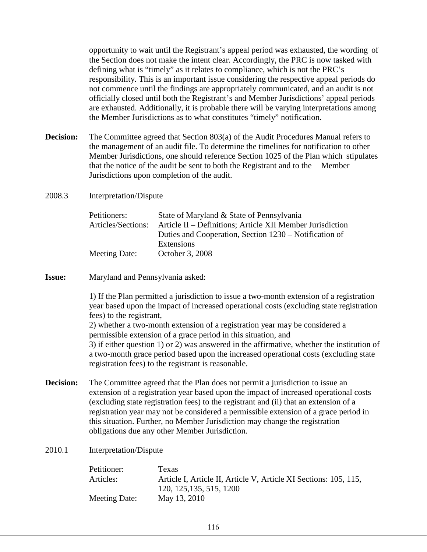opportunity to wait until the Registrant's appeal period was exhausted, the wording of the Section does not make the intent clear. Accordingly, the PRC is now tasked with defining what is "timely" as it relates to compliance, which is not the PRC's responsibility. This is an important issue considering the respective appeal periods do not commence until the findings are appropriately communicated, and an audit is not officially closed until both the Registrant's and Member Jurisdictions' appeal periods are exhausted. Additionally, it is probable there will be varying interpretations among the Member Jurisdictions as to what constitutes "timely" notification.

**Decision:** The Committee agreed that Section 803(a) of the Audit Procedures Manual refers to the management of an audit file. To determine the timelines for notification to other Member Jurisdictions, one should reference Section 1025 of the Plan which stipulates that the notice of the audit be sent to both the Registrant and to the Member Jurisdictions upon completion of the audit.

2008.3 Interpretation/Dispute

| Petitioners:       | State of Maryland & State of Pennsylvania                 |
|--------------------|-----------------------------------------------------------|
| Articles/Sections: | Article II – Definitions; Article XII Member Jurisdiction |
|                    | Duties and Cooperation, Section 1230 – Notification of    |
|                    | Extensions                                                |
| Meeting Date:      | October 3, 2008                                           |

**Issue:** Maryland and Pennsylvania asked:

1) If the Plan permitted a jurisdiction to issue a two-month extension of a registration year based upon the impact of increased operational costs (excluding state registration fees) to the registrant,

2) whether a two-month extension of a registration year may be considered a permissible extension of a grace period in this situation, and 3) if either question 1) or 2) was answered in the affirmative, whether the institution of a two-month grace period based upon the increased operational costs (excluding state registration fees) to the registrant is reasonable.

- **Decision:** The Committee agreed that the Plan does not permit a jurisdiction to issue an extension of a registration year based upon the impact of increased operational costs (excluding state registration fees) to the registrant and (ii) that an extension of a registration year may not be considered a permissible extension of a grace period in this situation. Further, no Member Jurisdiction may change the registration obligations due any other Member Jurisdiction.
- 2010.1 Interpretation/Dispute

| Petitioner:   | Texas                                                            |
|---------------|------------------------------------------------------------------|
| Articles:     | Article I, Article II, Article V, Article XI Sections: 105, 115, |
|               | 120, 125, 135, 515, 1200                                         |
| Meeting Date: | May 13, 2010                                                     |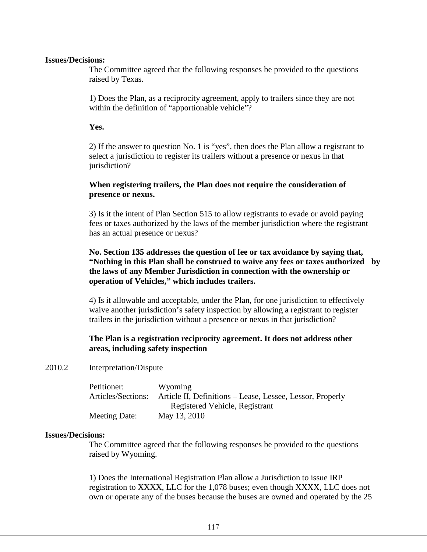#### **Issues/Decisions:**

The Committee agreed that the following responses be provided to the questions raised by Texas.

1) Does the Plan, as a reciprocity agreement, apply to trailers since they are not within the definition of "apportionable vehicle"?

### **Yes.**

2) If the answer to question No. 1 is "yes", then does the Plan allow a registrant to select a jurisdiction to register its trailers without a presence or nexus in that jurisdiction?

## **When registering trailers, the Plan does not require the consideration of presence or nexus.**

3) Is it the intent of Plan Section 515 to allow registrants to evade or avoid paying fees or taxes authorized by the laws of the member jurisdiction where the registrant has an actual presence or nexus?

## **No. Section 135 addresses the question of fee or tax avoidance by saying that, "Nothing in this Plan shall be construed to waive any fees or taxes authorized by the laws of any Member Jurisdiction in connection with the ownership or operation of Vehicles," which includes trailers.**

4) Is it allowable and acceptable, under the Plan, for one jurisdiction to effectively waive another jurisdiction's safety inspection by allowing a registrant to register trailers in the jurisdiction without a presence or nexus in that jurisdiction?

# **The Plan is a registration reciprocity agreement. It does not address other areas, including safety inspection**

2010.2 Interpretation/Dispute

| Petitioner:        | Wyoming                                                   |
|--------------------|-----------------------------------------------------------|
| Articles/Sections: | Article II, Definitions – Lease, Lessee, Lessor, Properly |
|                    | Registered Vehicle, Registrant                            |
| Meeting Date:      | May 13, 2010                                              |

### **Issues/Decisions:**

The Committee agreed that the following responses be provided to the questions raised by Wyoming.

1) Does the International Registration Plan allow a Jurisdiction to issue IRP registration to XXXX, LLC for the 1,078 buses; even though XXXX, LLC does not own or operate any of the buses because the buses are owned and operated by the 25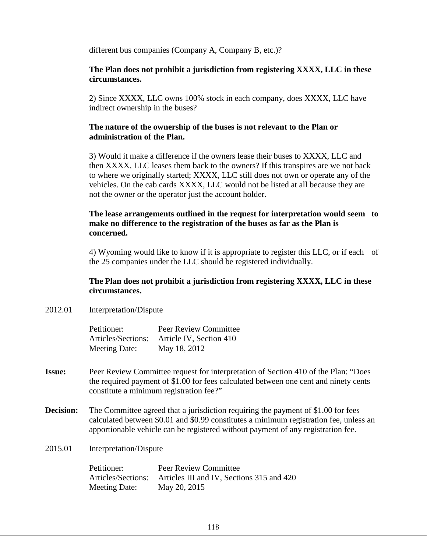different bus companies (Company A, Company B, etc.)?

## **The Plan does not prohibit a jurisdiction from registering XXXX, LLC in these circumstances.**

2) Since XXXX, LLC owns 100% stock in each company, does XXXX, LLC have indirect ownership in the buses?

### **The nature of the ownership of the buses is not relevant to the Plan or administration of the Plan.**

3) Would it make a difference if the owners lease their buses to XXXX, LLC and then XXXX, LLC leases them back to the owners? If this transpires are we not back to where we originally started; XXXX, LLC still does not own or operate any of the vehicles. On the cab cards XXXX, LLC would not be listed at all because they are not the owner or the operator just the account holder.

### **The lease arrangements outlined in the request for interpretation would seem to make no difference to the registration of the buses as far as the Plan is concerned.**

4) Wyoming would like to know if it is appropriate to register this LLC, or if each of the 25 companies under the LLC should be registered individually.

### **The Plan does not prohibit a jurisdiction from registering XXXX, LLC in these circumstances.**

2012.01 Interpretation/Dispute

| Petitioner:          | Peer Review Committee   |
|----------------------|-------------------------|
| Articles/Sections:   | Article IV, Section 410 |
| <b>Meeting Date:</b> | May 18, 2012            |

- **Issue:** Peer Review Committee request for interpretation of Section 410 of the Plan: "Does the required payment of \$1.00 for fees calculated between one cent and ninety cents constitute a minimum registration fee?"
- **Decision:** The Committee agreed that a jurisdiction requiring the payment of \$1.00 for fees calculated between \$0.01 and \$0.99 constitutes a minimum registration fee, unless an apportionable vehicle can be registered without payment of any registration fee.
- 2015.01 Interpretation/Dispute

| Petitioner:          | Peer Review Committee                     |
|----------------------|-------------------------------------------|
| Articles/Sections:   | Articles III and IV, Sections 315 and 420 |
| <b>Meeting Date:</b> | May 20, 2015                              |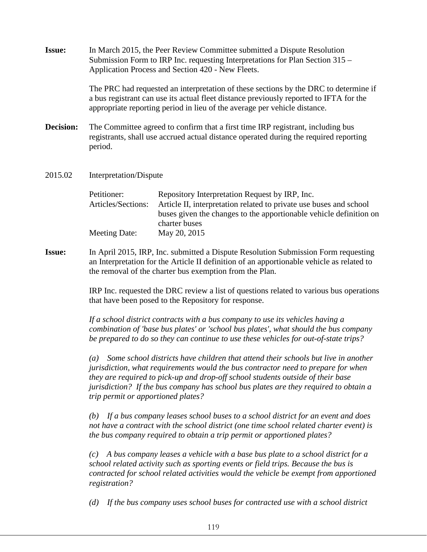| <b>Issue:</b>    | In March 2015, the Peer Review Committee submitted a Dispute Resolution<br>Submission Form to IRP Inc. requesting Interpretations for Plan Section 315 -<br>Application Process and Section 420 - New Fleets.                                                                                                                                                                                 |                                                                                                                                                                                                                                                                                                                                                   |
|------------------|-----------------------------------------------------------------------------------------------------------------------------------------------------------------------------------------------------------------------------------------------------------------------------------------------------------------------------------------------------------------------------------------------|---------------------------------------------------------------------------------------------------------------------------------------------------------------------------------------------------------------------------------------------------------------------------------------------------------------------------------------------------|
|                  |                                                                                                                                                                                                                                                                                                                                                                                               | The PRC had requested an interpretation of these sections by the DRC to determine if<br>a bus registrant can use its actual fleet distance previously reported to IFTA for the<br>appropriate reporting period in lieu of the average per vehicle distance.                                                                                       |
| <b>Decision:</b> | The Committee agreed to confirm that a first time IRP registrant, including bus<br>registrants, shall use accrued actual distance operated during the required reporting<br>period.                                                                                                                                                                                                           |                                                                                                                                                                                                                                                                                                                                                   |
| 2015.02          | Interpretation/Dispute                                                                                                                                                                                                                                                                                                                                                                        |                                                                                                                                                                                                                                                                                                                                                   |
|                  | Petitioner:<br>Articles/Sections:                                                                                                                                                                                                                                                                                                                                                             | Repository Interpretation Request by IRP, Inc.<br>Article II, interpretation related to private use buses and school<br>buses given the changes to the apportionable vehicle definition on<br>charter buses                                                                                                                                       |
|                  | <b>Meeting Date:</b>                                                                                                                                                                                                                                                                                                                                                                          | May 20, 2015                                                                                                                                                                                                                                                                                                                                      |
| <b>Issue:</b>    | In April 2015, IRP, Inc. submitted a Dispute Resolution Submission Form requesting<br>an Interpretation for the Article II definition of an apportionable vehicle as related to<br>the removal of the charter bus exemption from the Plan.<br>IRP Inc. requested the DRC review a list of questions related to various bus operations<br>that have been posed to the Repository for response. |                                                                                                                                                                                                                                                                                                                                                   |
|                  |                                                                                                                                                                                                                                                                                                                                                                                               |                                                                                                                                                                                                                                                                                                                                                   |
|                  |                                                                                                                                                                                                                                                                                                                                                                                               | If a school district contracts with a bus company to use its vehicles having a<br>combination of 'base bus plates' or 'school bus plates', what should the bus company<br>be prepared to do so they can continue to use these vehicles for out-of-state trips?                                                                                    |
|                  | $\left(a\right)$<br>trip permit or apportioned plates?                                                                                                                                                                                                                                                                                                                                        | Some school districts have children that attend their schools but live in another<br>jurisdiction, what requirements would the bus contractor need to prepare for when<br>they are required to pick-up and drop-off school students outside of their base<br>jurisdiction? If the bus company has school bus plates are they required to obtain a |
|                  | (b)                                                                                                                                                                                                                                                                                                                                                                                           | If a bus company leases school buses to a school district for an event and does<br>not have a contract with the school district (one time school related charter event) is<br>the bus company required to obtain a trip permit or apportioned plates?                                                                                             |
|                  | (c)<br>registration?                                                                                                                                                                                                                                                                                                                                                                          | A bus company leases a vehicle with a base bus plate to a school district for a<br>school related activity such as sporting events or field trips. Because the bus is<br>contracted for school related activities would the vehicle be exempt from apportioned                                                                                    |

*(d) If the bus company uses school buses for contracted use with a school district*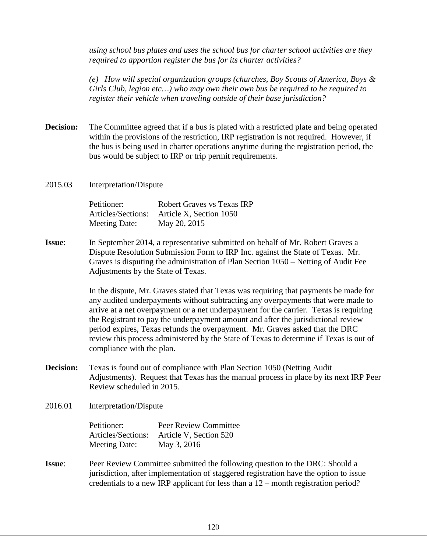*using school bus plates and uses the school bus for charter school activities are they required to apportion register the bus for its charter activities?*

*(e) How will special organization groups (churches, Boy Scouts of America, Boys & Girls Club, legion etc…) who may own their own bus be required to be required to register their vehicle when traveling outside of their base jurisdiction?*

- **Decision:** The Committee agreed that if a bus is plated with a restricted plate and being operated within the provisions of the restriction, IRP registration is not required. However, if the bus is being used in charter operations anytime during the registration period, the bus would be subject to IRP or trip permit requirements.
- 2015.03 Interpretation/Dispute

| Petitioner:        | <b>Robert Graves vs Texas IRP</b> |
|--------------------|-----------------------------------|
| Articles/Sections: | Article X, Section 1050           |
| Meeting Date:      | May 20, 2015                      |

**Issue**: In September 2014, a representative submitted on behalf of Mr. Robert Graves a Dispute Resolution Submission Form to IRP Inc. against the State of Texas. Mr. Graves is disputing the administration of Plan Section 1050 – Netting of Audit Fee Adjustments by the State of Texas.

> In the dispute, Mr. Graves stated that Texas was requiring that payments be made for any audited underpayments without subtracting any overpayments that were made to arrive at a net overpayment or a net underpayment for the carrier. Texas is requiring the Registrant to pay the underpayment amount and after the jurisdictional review period expires, Texas refunds the overpayment. Mr. Graves asked that the DRC review this process administered by the State of Texas to determine if Texas is out of compliance with the plan.

**Decision:** Texas is found out of compliance with Plan Section 1050 (Netting Audit Adjustments). Request that Texas has the manual process in place by its next IRP Peer Review scheduled in 2015.

2016.01 Interpretation/Dispute

| Petitioner:        | <b>Peer Review Committee</b> |
|--------------------|------------------------------|
| Articles/Sections: | Article V, Section 520       |
| Meeting Date:      | May 3, 2016                  |

**Issue**: Peer Review Committee submitted the following question to the DRC: Should a jurisdiction, after implementation of staggered registration have the option to issue credentials to a new IRP applicant for less than a 12 – month registration period?